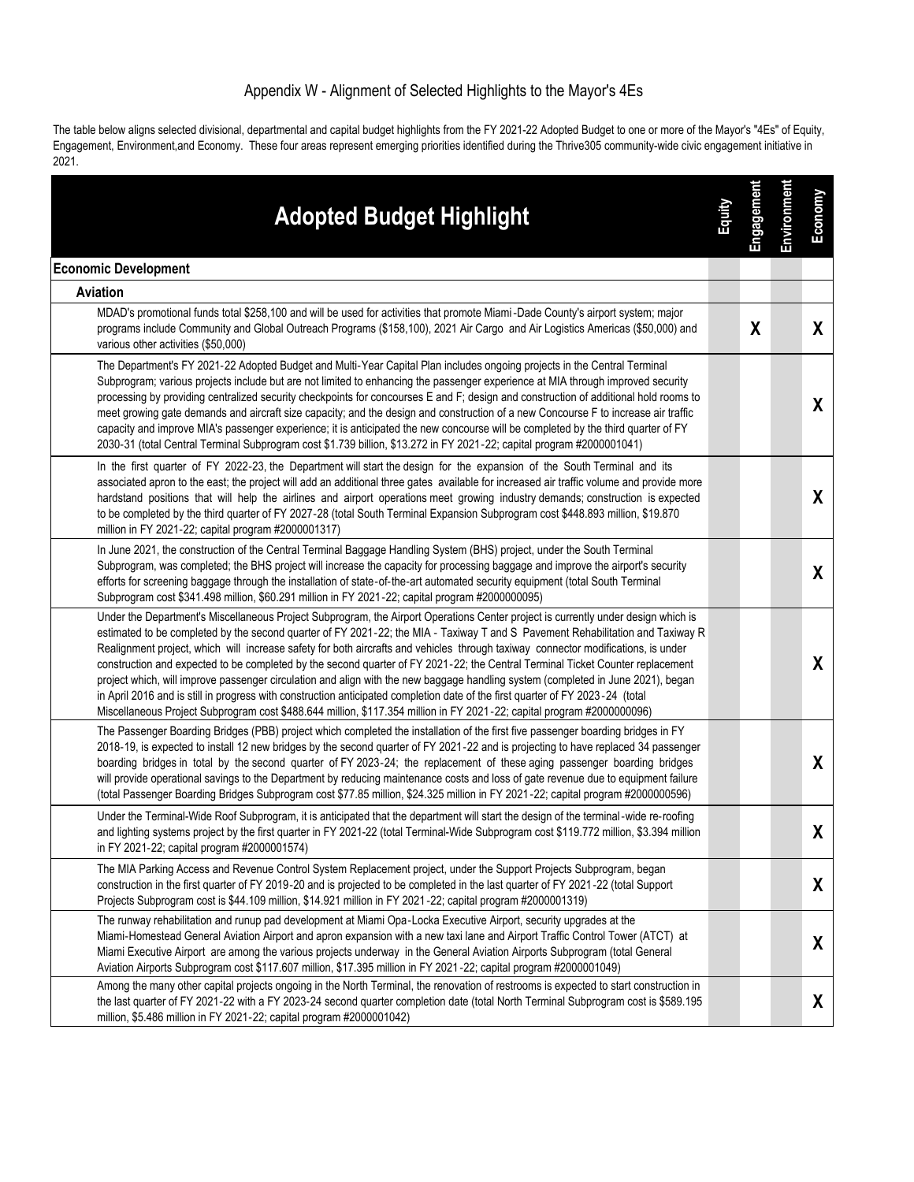## Appendix W - Alignment of Selected Highlights to the Mayor's 4Es

The table below aligns selected divisional, departmental and capital budget highlights from the FY 2021-22 Adopted Budget to one or more of the Mayor's "4Es" of Equity, Engagement, Environment,and Economy. These four areas represent emerging priorities identified during the Thrive305 community-wide civic engagement initiative in 2021.

| <b>Adopted Budget Highlight</b>                                                                                                                                                                                                                                                                                                                                                                                                                                                                                                                                                                                                                                                                                                                                                                                                                                                                                                            | Equity | Engagement | Environment | Economy      |
|--------------------------------------------------------------------------------------------------------------------------------------------------------------------------------------------------------------------------------------------------------------------------------------------------------------------------------------------------------------------------------------------------------------------------------------------------------------------------------------------------------------------------------------------------------------------------------------------------------------------------------------------------------------------------------------------------------------------------------------------------------------------------------------------------------------------------------------------------------------------------------------------------------------------------------------------|--------|------------|-------------|--------------|
| <b>Economic Development</b>                                                                                                                                                                                                                                                                                                                                                                                                                                                                                                                                                                                                                                                                                                                                                                                                                                                                                                                |        |            |             |              |
| Aviation                                                                                                                                                                                                                                                                                                                                                                                                                                                                                                                                                                                                                                                                                                                                                                                                                                                                                                                                   |        |            |             |              |
| MDAD's promotional funds total \$258,100 and will be used for activities that promote Miami-Dade County's airport system; major<br>programs include Community and Global Outreach Programs (\$158,100), 2021 Air Cargo and Air Logistics Americas (\$50,000) and<br>various other activities (\$50,000)                                                                                                                                                                                                                                                                                                                                                                                                                                                                                                                                                                                                                                    |        | χ          |             | X            |
| The Department's FY 2021-22 Adopted Budget and Multi-Year Capital Plan includes ongoing projects in the Central Terminal<br>Subprogram; various projects include but are not limited to enhancing the passenger experience at MIA through improved security<br>processing by providing centralized security checkpoints for concourses E and F; design and construction of additional hold rooms to<br>meet growing gate demands and aircraft size capacity; and the design and construction of a new Concourse F to increase air traffic<br>capacity and improve MIA's passenger experience; it is anticipated the new concourse will be completed by the third quarter of FY<br>2030-31 (total Central Terminal Subprogram cost \$1.739 billion, \$13.272 in FY 2021-22; capital program #2000001041)                                                                                                                                    |        |            |             | X            |
| In the first quarter of FY 2022-23, the Department will start the design for the expansion of the South Terminal and its<br>associated apron to the east; the project will add an additional three gates available for increased air traffic volume and provide more<br>hardstand positions that will help the airlines and airport operations meet growing industry demands; construction is expected<br>to be completed by the third quarter of FY 2027-28 (total South Terminal Expansion Subprogram cost \$448.893 million, \$19.870<br>million in FY 2021-22; capital program #2000001317)                                                                                                                                                                                                                                                                                                                                            |        |            |             | X            |
| In June 2021, the construction of the Central Terminal Baggage Handling System (BHS) project, under the South Terminal<br>Subprogram, was completed; the BHS project will increase the capacity for processing baggage and improve the airport's security<br>efforts for screening baggage through the installation of state-of-the-art automated security equipment (total South Terminal<br>Subprogram cost \$341.498 million, \$60.291 million in FY 2021-22; capital program #2000000095)                                                                                                                                                                                                                                                                                                                                                                                                                                              |        |            |             | X            |
| Under the Department's Miscellaneous Project Subprogram, the Airport Operations Center project is currently under design which is<br>estimated to be completed by the second quarter of FY 2021-22; the MIA - Taxiway T and S Pavement Rehabilitation and Taxiway R<br>Realignment project, which will increase safety for both aircrafts and vehicles through taxiway connector modifications, is under<br>construction and expected to be completed by the second quarter of FY 2021-22; the Central Terminal Ticket Counter replacement<br>project which, will improve passenger circulation and align with the new baggage handling system (completed in June 2021), began<br>in April 2016 and is still in progress with construction anticipated completion date of the first quarter of FY 2023 -24 (total<br>Miscellaneous Project Subprogram cost \$488.644 million, \$117.354 million in FY 2021-22; capital program #200000096) |        |            |             | $\mathsf{X}$ |
| The Passenger Boarding Bridges (PBB) project which completed the installation of the first five passenger boarding bridges in FY<br>2018-19, is expected to install 12 new bridges by the second quarter of FY 2021-22 and is projecting to have replaced 34 passenger<br>boarding bridges in total by the second quarter of FY 2023-24; the replacement of these aging passenger boarding bridges<br>will provide operational savings to the Department by reducing maintenance costs and loss of gate revenue due to equipment failure<br>(total Passenger Boarding Bridges Subprogram cost \$77.85 million, \$24.325 million in FY 2021-22; capital program #2000000596)                                                                                                                                                                                                                                                                |        |            |             | X            |
| Under the Terminal-Wide Roof Subprogram, it is anticipated that the department will start the design of the terminal-wide re-roofing<br>and lighting systems project by the first quarter in FY 2021-22 (total Terminal-Wide Subprogram cost \$119.772 million, \$3.394 million<br>in FY 2021-22; capital program #2000001574)                                                                                                                                                                                                                                                                                                                                                                                                                                                                                                                                                                                                             |        |            |             | X            |
| The MIA Parking Access and Revenue Control System Replacement project, under the Support Projects Subprogram, began<br>construction in the first quarter of FY 2019-20 and is projected to be completed in the last quarter of FY 2021-22 (total Support<br>Projects Subprogram cost is \$44.109 million, \$14.921 million in FY 2021-22; capital program #2000001319)                                                                                                                                                                                                                                                                                                                                                                                                                                                                                                                                                                     |        |            |             | X            |
| The runway rehabilitation and runup pad development at Miami Opa-Locka Executive Airport, security upgrades at the<br>Miami-Homestead General Aviation Airport and apron expansion with a new taxi lane and Airport Traffic Control Tower (ATCT) at<br>Miami Executive Airport are among the various projects underway in the General Aviation Airports Subprogram (total General<br>Aviation Airports Subprogram cost \$117.607 million, \$17.395 million in FY 2021-22; capital program #2000001049)                                                                                                                                                                                                                                                                                                                                                                                                                                     |        |            |             | X            |
| Among the many other capital projects ongoing in the North Terminal, the renovation of restrooms is expected to start construction in<br>the last quarter of FY 2021-22 with a FY 2023-24 second quarter completion date (total North Terminal Subprogram cost is \$589.195<br>million, \$5.486 million in FY 2021-22; capital program #2000001042)                                                                                                                                                                                                                                                                                                                                                                                                                                                                                                                                                                                        |        |            |             | X            |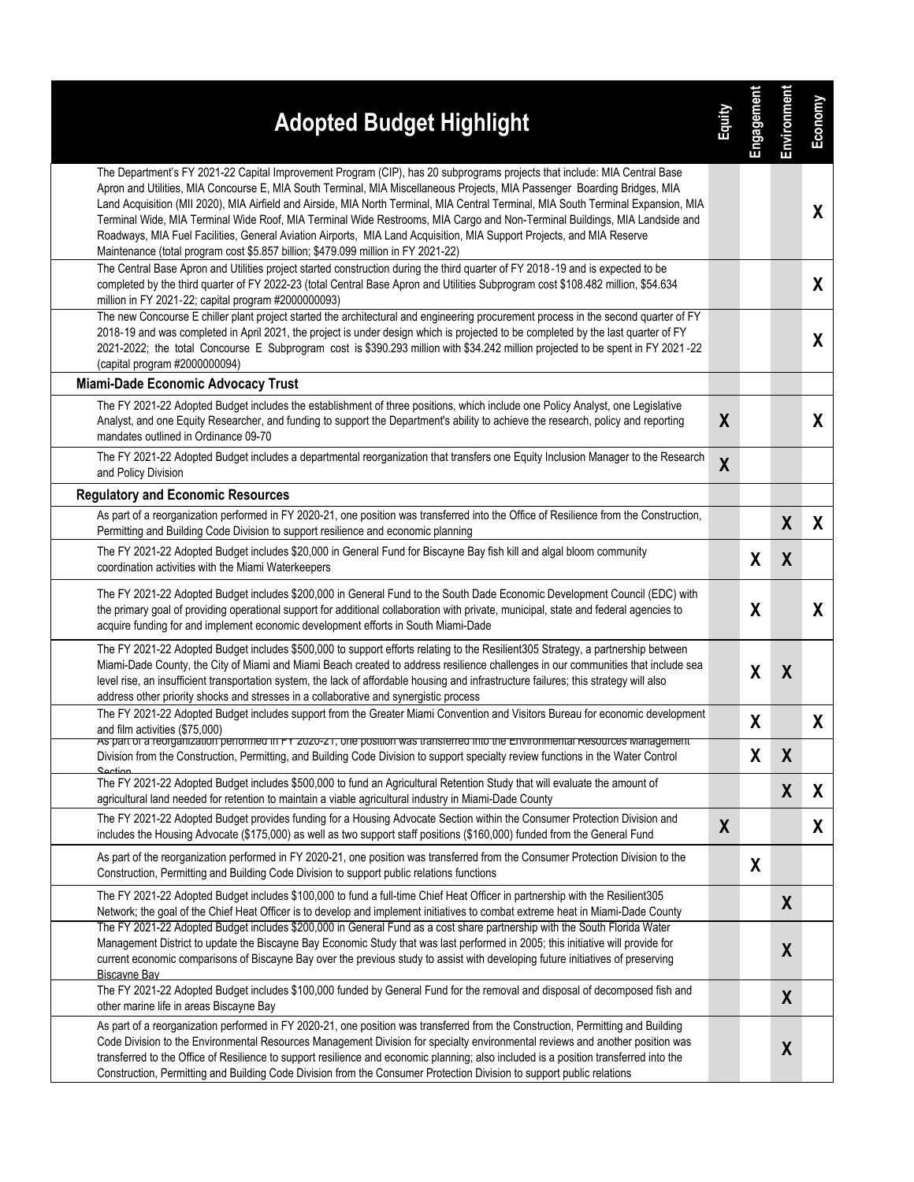| <b>Adopted Budget Highlight</b>                                                                                                                                                                                                                                                                                                                                                                                                                                                                                                                                                                                                                                                                                                          | 富                | Engagement | Environment      | Economy      |
|------------------------------------------------------------------------------------------------------------------------------------------------------------------------------------------------------------------------------------------------------------------------------------------------------------------------------------------------------------------------------------------------------------------------------------------------------------------------------------------------------------------------------------------------------------------------------------------------------------------------------------------------------------------------------------------------------------------------------------------|------------------|------------|------------------|--------------|
| The Department's FY 2021-22 Capital Improvement Program (CIP), has 20 subprograms projects that include: MIA Central Base<br>Apron and Utilities, MIA Concourse E, MIA South Terminal, MIA Miscellaneous Projects, MIA Passenger Boarding Bridges, MIA<br>Land Acquisition (MII 2020), MIA Airfield and Airside, MIA North Terminal, MIA Central Terminal, MIA South Terminal Expansion, MIA<br>Terminal Wide, MIA Terminal Wide Roof, MIA Terminal Wide Restrooms, MIA Cargo and Non-Terminal Buildings, MIA Landside and<br>Roadways, MIA Fuel Facilities, General Aviation Airports, MIA Land Acquisition, MIA Support Projects, and MIA Reserve<br>Maintenance (total program cost \$5.857 billion; \$479.099 million in FY 2021-22) |                  |            |                  | X.           |
| The Central Base Apron and Utilities project started construction during the third quarter of FY 2018-19 and is expected to be<br>completed by the third quarter of FY 2022-23 (total Central Base Apron and Utilities Subprogram cost \$108.482 million, \$54.634<br>million in FY 2021-22; capital program #2000000093)                                                                                                                                                                                                                                                                                                                                                                                                                |                  |            |                  | $\mathsf{X}$ |
| The new Concourse E chiller plant project started the architectural and engineering procurement process in the second quarter of FY<br>2018-19 and was completed in April 2021, the project is under design which is projected to be completed by the last quarter of FY<br>2021-2022; the total Concourse E Subprogram cost is \$390.293 million with \$34.242 million projected to be spent in FY 2021-22<br>(capital program #2000000094)                                                                                                                                                                                                                                                                                             |                  |            |                  | X            |
| Miami-Dade Economic Advocacy Trust                                                                                                                                                                                                                                                                                                                                                                                                                                                                                                                                                                                                                                                                                                       |                  |            |                  |              |
| The FY 2021-22 Adopted Budget includes the establishment of three positions, which include one Policy Analyst, one Legislative<br>Analyst, and one Equity Researcher, and funding to support the Department's ability to achieve the research, policy and reporting<br>mandates outlined in Ordinance 09-70                                                                                                                                                                                                                                                                                                                                                                                                                              | X                |            |                  | X            |
| The FY 2021-22 Adopted Budget includes a departmental reorganization that transfers one Equity Inclusion Manager to the Research<br>and Policy Division                                                                                                                                                                                                                                                                                                                                                                                                                                                                                                                                                                                  | $\boldsymbol{X}$ |            |                  |              |
| <b>Regulatory and Economic Resources</b>                                                                                                                                                                                                                                                                                                                                                                                                                                                                                                                                                                                                                                                                                                 |                  |            |                  |              |
| As part of a reorganization performed in FY 2020-21, one position was transferred into the Office of Resilience from the Construction,<br>Permitting and Building Code Division to support resilience and economic planning                                                                                                                                                                                                                                                                                                                                                                                                                                                                                                              |                  |            | X                | X            |
| The FY 2021-22 Adopted Budget includes \$20,000 in General Fund for Biscayne Bay fish kill and algal bloom community<br>coordination activities with the Miami Waterkeepers                                                                                                                                                                                                                                                                                                                                                                                                                                                                                                                                                              |                  | X          | X                |              |
| The FY 2021-22 Adopted Budget includes \$200,000 in General Fund to the South Dade Economic Development Council (EDC) with<br>the primary goal of providing operational support for additional collaboration with private, municipal, state and federal agencies to<br>acquire funding for and implement economic development efforts in South Miami-Dade                                                                                                                                                                                                                                                                                                                                                                                |                  | X          |                  | X            |
| The FY 2021-22 Adopted Budget includes \$500,000 to support efforts relating to the Resilient305 Strategy, a partnership between<br>Miami-Dade County, the City of Miami and Miami Beach created to address resilience challenges in our communities that include sea<br>level rise, an insufficient transportation system, the lack of affordable housing and infrastructure failures; this strategy will also<br>address other priority shocks and stresses in a collaborative and synergistic process                                                                                                                                                                                                                                 |                  | χ          | X                |              |
| The FY 2021-22 Adopted Budget includes support from the Greater Miami Convention and Visitors Bureau for economic development<br>and film activities (\$75,000)                                                                                                                                                                                                                                                                                                                                                                                                                                                                                                                                                                          |                  | X          |                  | X            |
| As part or a reorganization performed in FY 2020-21, one position was transferred into the Environmental Resources Management<br>Division from the Construction, Permitting, and Building Code Division to support specialty review functions in the Water Control<br>Section                                                                                                                                                                                                                                                                                                                                                                                                                                                            |                  | X          | X                |              |
| The FY 2021-22 Adopted Budget includes \$500,000 to fund an Agricultural Retention Study that will evaluate the amount of<br>agricultural land needed for retention to maintain a viable agricultural industry in Miami-Dade County                                                                                                                                                                                                                                                                                                                                                                                                                                                                                                      |                  |            | $\boldsymbol{X}$ | X            |
| The FY 2021-22 Adopted Budget provides funding for a Housing Advocate Section within the Consumer Protection Division and<br>includes the Housing Advocate (\$175,000) as well as two support staff positions (\$160,000) funded from the General Fund                                                                                                                                                                                                                                                                                                                                                                                                                                                                                   | X                |            |                  | X            |
| As part of the reorganization performed in FY 2020-21, one position was transferred from the Consumer Protection Division to the<br>Construction, Permitting and Building Code Division to support public relations functions                                                                                                                                                                                                                                                                                                                                                                                                                                                                                                            |                  | X          |                  |              |
| The FY 2021-22 Adopted Budget includes \$100,000 to fund a full-time Chief Heat Officer in partnership with the Resilient305<br>Network; the goal of the Chief Heat Officer is to develop and implement initiatives to combat extreme heat in Miami-Dade County                                                                                                                                                                                                                                                                                                                                                                                                                                                                          |                  |            | X                |              |
| The FY 2021-22 Adopted Budget includes \$200,000 in General Fund as a cost share partnership with the South Florida Water<br>Management District to update the Biscayne Bay Economic Study that was last performed in 2005; this initiative will provide for<br>current economic comparisons of Biscayne Bay over the previous study to assist with developing future initiatives of preserving<br><b>Biscayne Bay</b>                                                                                                                                                                                                                                                                                                                   |                  |            | X                |              |
| The FY 2021-22 Adopted Budget includes \$100,000 funded by General Fund for the removal and disposal of decomposed fish and<br>other marine life in areas Biscayne Bay                                                                                                                                                                                                                                                                                                                                                                                                                                                                                                                                                                   |                  |            | $\boldsymbol{X}$ |              |
| As part of a reorganization performed in FY 2020-21, one position was transferred from the Construction, Permitting and Building<br>Code Division to the Environmental Resources Management Division for specialty environmental reviews and another position was<br>transferred to the Office of Resilience to support resilience and economic planning; also included is a position transferred into the<br>Construction, Permitting and Building Code Division from the Consumer Protection Division to support public relations                                                                                                                                                                                                      |                  |            | $\boldsymbol{X}$ |              |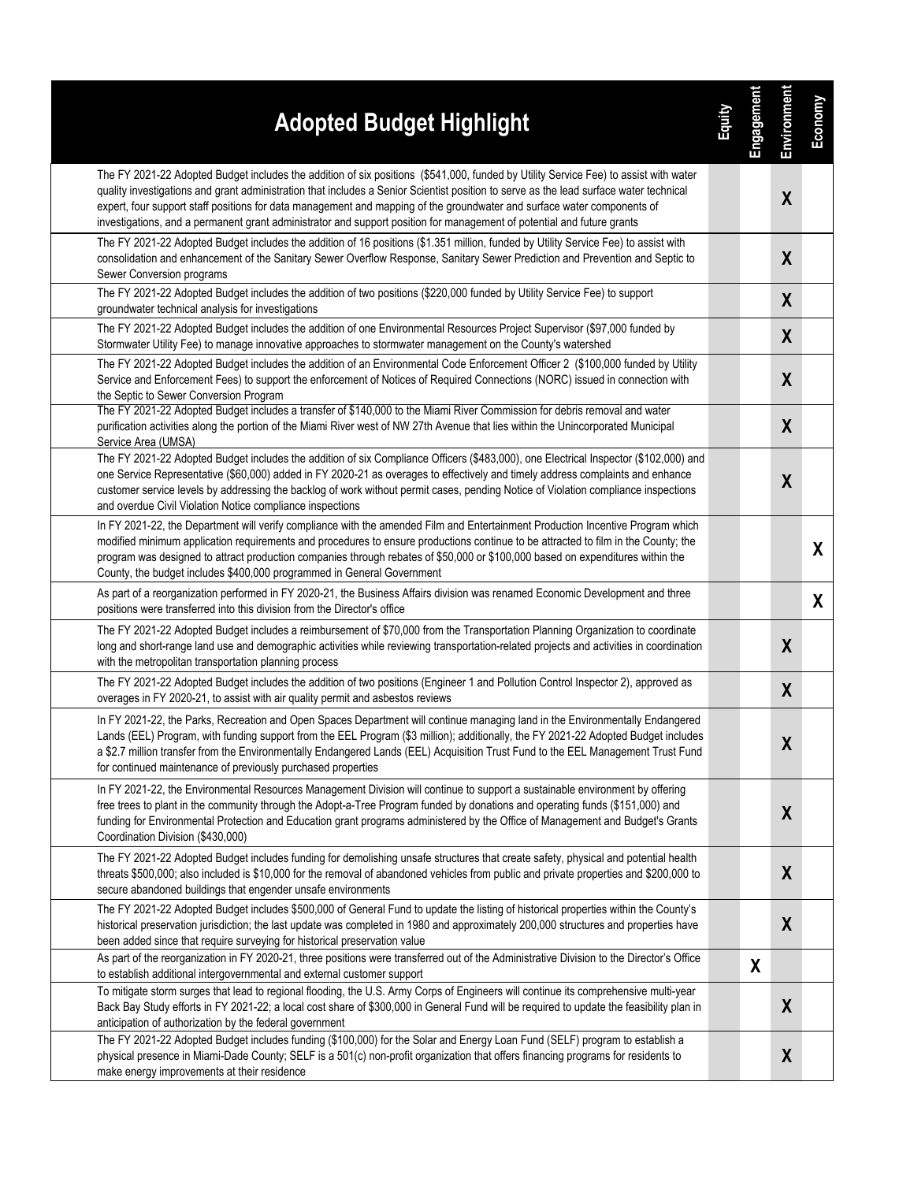| <b>Adopted Budget Highlight</b>                                                                                                                                                                                                                                                                                                                                                                                                                                                                                                     | 高 | <b>Engagement</b> | Environment      | Economy |
|-------------------------------------------------------------------------------------------------------------------------------------------------------------------------------------------------------------------------------------------------------------------------------------------------------------------------------------------------------------------------------------------------------------------------------------------------------------------------------------------------------------------------------------|---|-------------------|------------------|---------|
| The FY 2021-22 Adopted Budget includes the addition of six positions (\$541,000, funded by Utility Service Fee) to assist with water<br>quality investigations and grant administration that includes a Senior Scientist position to serve as the lead surface water technical<br>expert, four support staff positions for data management and mapping of the groundwater and surface water components of<br>investigations, and a permanent grant administrator and support position for management of potential and future grants |   |                   | $\boldsymbol{X}$ |         |
| The FY 2021-22 Adopted Budget includes the addition of 16 positions (\$1.351 million, funded by Utility Service Fee) to assist with<br>consolidation and enhancement of the Sanitary Sewer Overflow Response, Sanitary Sewer Prediction and Prevention and Septic to<br>Sewer Conversion programs                                                                                                                                                                                                                                   |   |                   | $\boldsymbol{X}$ |         |
| The FY 2021-22 Adopted Budget includes the addition of two positions (\$220,000 funded by Utility Service Fee) to support<br>groundwater technical analysis for investigations                                                                                                                                                                                                                                                                                                                                                      |   |                   | X                |         |
| The FY 2021-22 Adopted Budget includes the addition of one Environmental Resources Project Supervisor (\$97,000 funded by<br>Stormwater Utility Fee) to manage innovative approaches to stormwater management on the County's watershed                                                                                                                                                                                                                                                                                             |   |                   | X                |         |
| The FY 2021-22 Adopted Budget includes the addition of an Environmental Code Enforcement Officer 2 (\$100,000 funded by Utility<br>Service and Enforcement Fees) to support the enforcement of Notices of Required Connections (NORC) issued in connection with<br>the Septic to Sewer Conversion Program                                                                                                                                                                                                                           |   |                   | $\boldsymbol{X}$ |         |
| The FY 2021-22 Adopted Budget includes a transfer of \$140,000 to the Miami River Commission for debris removal and water<br>purification activities along the portion of the Miami River west of NW 27th Avenue that lies within the Unincorporated Municipal<br>Service Area (UMSA)                                                                                                                                                                                                                                               |   |                   | X                |         |
| The FY 2021-22 Adopted Budget includes the addition of six Compliance Officers (\$483,000), one Electrical Inspector (\$102,000) and<br>one Service Representative (\$60,000) added in FY 2020-21 as overages to effectively and timely address complaints and enhance<br>customer service levels by addressing the backlog of work without permit cases, pending Notice of Violation compliance inspections<br>and overdue Civil Violation Notice compliance inspections                                                           |   |                   | $\boldsymbol{X}$ |         |
| In FY 2021-22, the Department will verify compliance with the amended Film and Entertainment Production Incentive Program which<br>modified minimum application requirements and procedures to ensure productions continue to be attracted to film in the County; the<br>program was designed to attract production companies through rebates of \$50,000 or \$100,000 based on expenditures within the<br>County, the budget includes \$400,000 programmed in General Government                                                   |   |                   |                  | X       |
| As part of a reorganization performed in FY 2020-21, the Business Affairs division was renamed Economic Development and three<br>positions were transferred into this division from the Director's office                                                                                                                                                                                                                                                                                                                           |   |                   |                  | X       |
| The FY 2021-22 Adopted Budget includes a reimbursement of \$70,000 from the Transportation Planning Organization to coordinate<br>long and short-range land use and demographic activities while reviewing transportation-related projects and activities in coordination<br>with the metropolitan transportation planning process                                                                                                                                                                                                  |   |                   | $\boldsymbol{X}$ |         |
| The FY 2021-22 Adopted Budget includes the addition of two positions (Engineer 1 and Pollution Control Inspector 2), approved as<br>overages in FY 2020-21, to assist with air quality permit and asbestos reviews                                                                                                                                                                                                                                                                                                                  |   |                   | $\boldsymbol{X}$ |         |
| In FY 2021-22, the Parks, Recreation and Open Spaces Department will continue managing land in the Environmentally Endangered<br>Lands (EEL) Program, with funding support from the EEL Program (\$3 million); additionally, the FY 2021-22 Adopted Budget includes<br>a \$2.7 million transfer from the Environmentally Endangered Lands (EEL) Acquisition Trust Fund to the EEL Management Trust Fund<br>for continued maintenance of previously purchased properties                                                             |   |                   | X                |         |
| In FY 2021-22, the Environmental Resources Management Division will continue to support a sustainable environment by offering<br>free trees to plant in the community through the Adopt-a-Tree Program funded by donations and operating funds (\$151,000) and<br>funding for Environmental Protection and Education grant programs administered by the Office of Management and Budget's Grants<br>Coordination Division (\$430,000)                                                                                               |   |                   | $\boldsymbol{X}$ |         |
| The FY 2021-22 Adopted Budget includes funding for demolishing unsafe structures that create safety, physical and potential health<br>threats \$500,000; also included is \$10,000 for the removal of abandoned vehicles from public and private properties and \$200,000 to<br>secure abandoned buildings that engender unsafe environments                                                                                                                                                                                        |   |                   | $\boldsymbol{X}$ |         |
| The FY 2021-22 Adopted Budget includes \$500,000 of General Fund to update the listing of historical properties within the County's<br>historical preservation jurisdiction; the last update was completed in 1980 and approximately 200,000 structures and properties have<br>been added since that require surveying for historical preservation value                                                                                                                                                                            |   |                   | $\boldsymbol{X}$ |         |
| As part of the reorganization in FY 2020-21, three positions were transferred out of the Administrative Division to the Director's Office<br>to establish additional intergovernmental and external customer support                                                                                                                                                                                                                                                                                                                |   | X                 |                  |         |
| To mitigate storm surges that lead to regional flooding, the U.S. Army Corps of Engineers will continue its comprehensive multi-year<br>Back Bay Study efforts in FY 2021-22; a local cost share of \$300,000 in General Fund will be required to update the feasibility plan in<br>anticipation of authorization by the federal government                                                                                                                                                                                         |   |                   | X                |         |
| The FY 2021-22 Adopted Budget includes funding (\$100,000) for the Solar and Energy Loan Fund (SELF) program to establish a<br>physical presence in Miami-Dade County; SELF is a 501(c) non-profit organization that offers financing programs for residents to<br>make energy improvements at their residence                                                                                                                                                                                                                      |   |                   | X                |         |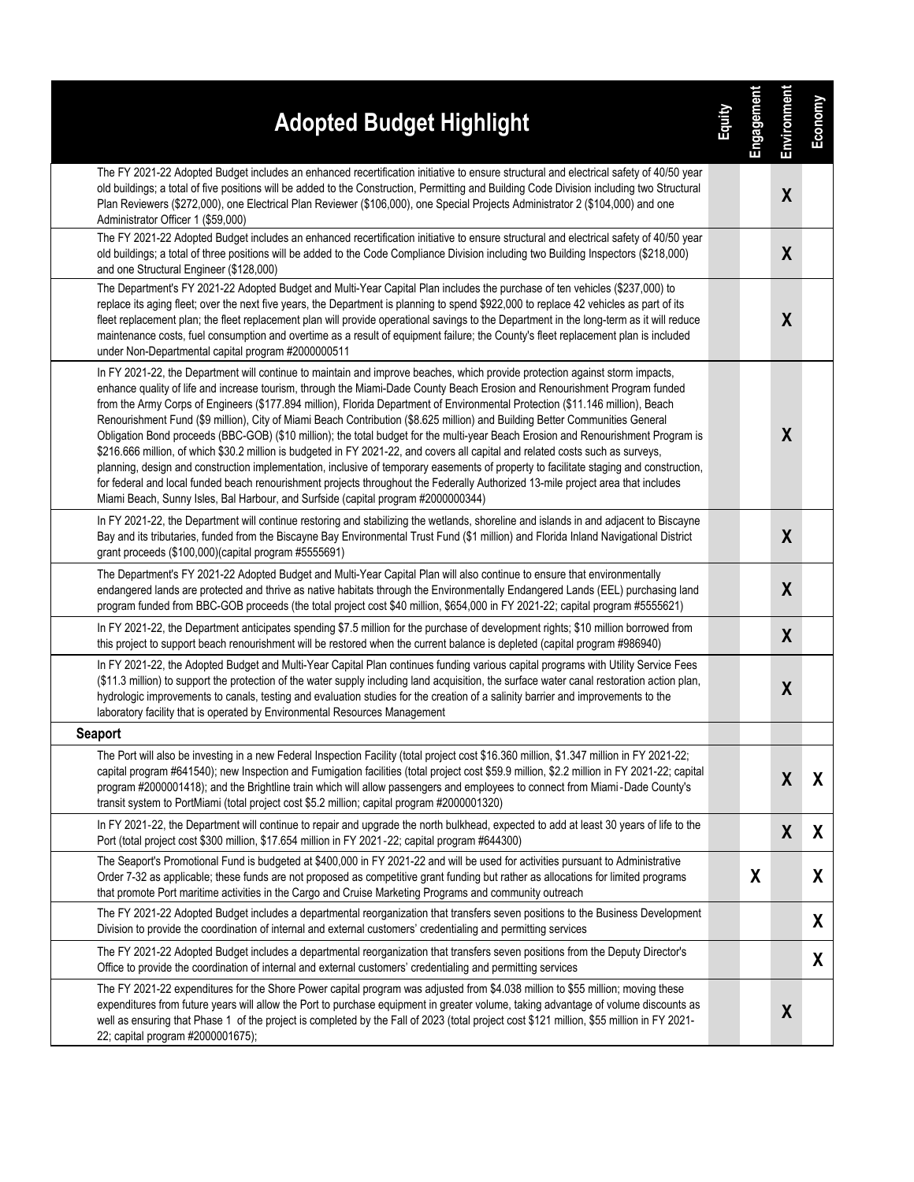| <b>Adopted Budget Highlight</b>                                                                                                                                                                                                                                                                                                                                                                                                                                                                                                                                                                                                                                                                                                                                                                                                                                                                                                                                                                                                                                                                                                                                         | 国語 | Engagement | Environment      | Economy |
|-------------------------------------------------------------------------------------------------------------------------------------------------------------------------------------------------------------------------------------------------------------------------------------------------------------------------------------------------------------------------------------------------------------------------------------------------------------------------------------------------------------------------------------------------------------------------------------------------------------------------------------------------------------------------------------------------------------------------------------------------------------------------------------------------------------------------------------------------------------------------------------------------------------------------------------------------------------------------------------------------------------------------------------------------------------------------------------------------------------------------------------------------------------------------|----|------------|------------------|---------|
| The FY 2021-22 Adopted Budget includes an enhanced recertification initiative to ensure structural and electrical safety of 40/50 year<br>old buildings; a total of five positions will be added to the Construction, Permitting and Building Code Division including two Structural<br>Plan Reviewers (\$272,000), one Electrical Plan Reviewer (\$106,000), one Special Projects Administrator 2 (\$104,000) and one<br>Administrator Officer 1 (\$59,000)                                                                                                                                                                                                                                                                                                                                                                                                                                                                                                                                                                                                                                                                                                            |    |            | $\boldsymbol{X}$ |         |
| The FY 2021-22 Adopted Budget includes an enhanced recertification initiative to ensure structural and electrical safety of 40/50 year<br>old buildings; a total of three positions will be added to the Code Compliance Division including two Building Inspectors (\$218,000)<br>and one Structural Engineer (\$128,000)                                                                                                                                                                                                                                                                                                                                                                                                                                                                                                                                                                                                                                                                                                                                                                                                                                              |    |            | $\boldsymbol{X}$ |         |
| The Department's FY 2021-22 Adopted Budget and Multi-Year Capital Plan includes the purchase of ten vehicles (\$237,000) to<br>replace its aging fleet; over the next five years, the Department is planning to spend \$922,000 to replace 42 vehicles as part of its<br>fleet replacement plan; the fleet replacement plan will provide operational savings to the Department in the long-term as it will reduce<br>maintenance costs, fuel consumption and overtime as a result of equipment failure; the County's fleet replacement plan is included<br>under Non-Departmental capital program #2000000511                                                                                                                                                                                                                                                                                                                                                                                                                                                                                                                                                           |    |            | X                |         |
| In FY 2021-22, the Department will continue to maintain and improve beaches, which provide protection against storm impacts,<br>enhance quality of life and increase tourism, through the Miami-Dade County Beach Erosion and Renourishment Program funded<br>from the Army Corps of Engineers (\$177.894 million), Florida Department of Environmental Protection (\$11.146 million), Beach<br>Renourishment Fund (\$9 million), City of Miami Beach Contribution (\$8.625 million) and Building Better Communities General<br>Obligation Bond proceeds (BBC-GOB) (\$10 million); the total budget for the multi-year Beach Erosion and Renourishment Program is<br>\$216.666 million, of which \$30.2 million is budgeted in FY 2021-22, and covers all capital and related costs such as surveys,<br>planning, design and construction implementation, inclusive of temporary easements of property to facilitate staging and construction,<br>for federal and local funded beach renourishment projects throughout the Federally Authorized 13-mile project area that includes<br>Miami Beach, Sunny Isles, Bal Harbour, and Surfside (capital program #2000000344) |    |            | X                |         |
| In FY 2021-22, the Department will continue restoring and stabilizing the wetlands, shoreline and islands in and adjacent to Biscayne<br>Bay and its tributaries, funded from the Biscayne Bay Environmental Trust Fund (\$1 million) and Florida Inland Navigational District<br>grant proceeds (\$100,000)(capital program #5555691)                                                                                                                                                                                                                                                                                                                                                                                                                                                                                                                                                                                                                                                                                                                                                                                                                                  |    |            | X                |         |
| The Department's FY 2021-22 Adopted Budget and Multi-Year Capital Plan will also continue to ensure that environmentally<br>endangered lands are protected and thrive as native habitats through the Environmentally Endangered Lands (EEL) purchasing land<br>program funded from BBC-GOB proceeds (the total project cost \$40 million, \$654,000 in FY 2021-22; capital program #5555621)                                                                                                                                                                                                                                                                                                                                                                                                                                                                                                                                                                                                                                                                                                                                                                            |    |            | $\boldsymbol{X}$ |         |
| In FY 2021-22, the Department anticipates spending \$7.5 million for the purchase of development rights; \$10 million borrowed from<br>this project to support beach renourishment will be restored when the current balance is depleted (capital program #986940)                                                                                                                                                                                                                                                                                                                                                                                                                                                                                                                                                                                                                                                                                                                                                                                                                                                                                                      |    |            | $\boldsymbol{X}$ |         |
| In FY 2021-22, the Adopted Budget and Multi-Year Capital Plan continues funding various capital programs with Utility Service Fees<br>(\$11.3 million) to support the protection of the water supply including land acquisition, the surface water canal restoration action plan,<br>hydrologic improvements to canals, testing and evaluation studies for the creation of a salinity barrier and improvements to the<br>laboratory facility that is operated by Environmental Resources Management                                                                                                                                                                                                                                                                                                                                                                                                                                                                                                                                                                                                                                                                     |    |            | X                |         |
| <b>Seaport</b>                                                                                                                                                                                                                                                                                                                                                                                                                                                                                                                                                                                                                                                                                                                                                                                                                                                                                                                                                                                                                                                                                                                                                          |    |            |                  |         |
| The Port will also be investing in a new Federal Inspection Facility (total project cost \$16.360 million, \$1.347 million in FY 2021-22;<br>capital program #641540); new Inspection and Fumigation facilities (total project cost \$59.9 million, \$2.2 million in FY 2021-22; capital<br>program #2000001418); and the Brightline train which will allow passengers and employees to connect from Miami-Dade County's<br>transit system to PortMiami (total project cost \$5.2 million; capital program #2000001320)                                                                                                                                                                                                                                                                                                                                                                                                                                                                                                                                                                                                                                                 |    |            | $\boldsymbol{X}$ | X       |
| In FY 2021-22, the Department will continue to repair and upgrade the north bulkhead, expected to add at least 30 years of life to the<br>Port (total project cost \$300 million, \$17.654 million in FY 2021-22; capital program #644300)                                                                                                                                                                                                                                                                                                                                                                                                                                                                                                                                                                                                                                                                                                                                                                                                                                                                                                                              |    |            | X                | X       |
| The Seaport's Promotional Fund is budgeted at \$400,000 in FY 2021-22 and will be used for activities pursuant to Administrative<br>Order 7-32 as applicable; these funds are not proposed as competitive grant funding but rather as allocations for limited programs<br>that promote Port maritime activities in the Cargo and Cruise Marketing Programs and community outreach                                                                                                                                                                                                                                                                                                                                                                                                                                                                                                                                                                                                                                                                                                                                                                                       |    | X          |                  | X       |
| The FY 2021-22 Adopted Budget includes a departmental reorganization that transfers seven positions to the Business Development<br>Division to provide the coordination of internal and external customers' credentialing and permitting services                                                                                                                                                                                                                                                                                                                                                                                                                                                                                                                                                                                                                                                                                                                                                                                                                                                                                                                       |    |            |                  | X       |
| The FY 2021-22 Adopted Budget includes a departmental reorganization that transfers seven positions from the Deputy Director's<br>Office to provide the coordination of internal and external customers' credentialing and permitting services                                                                                                                                                                                                                                                                                                                                                                                                                                                                                                                                                                                                                                                                                                                                                                                                                                                                                                                          |    |            |                  | X       |
| The FY 2021-22 expenditures for the Shore Power capital program was adjusted from \$4.038 million to \$55 million; moving these<br>expenditures from future years will allow the Port to purchase equipment in greater volume, taking advantage of volume discounts as<br>well as ensuring that Phase 1 of the project is completed by the Fall of 2023 (total project cost \$121 million, \$55 million in FY 2021-<br>22; capital program #2000001675);                                                                                                                                                                                                                                                                                                                                                                                                                                                                                                                                                                                                                                                                                                                |    |            | X                |         |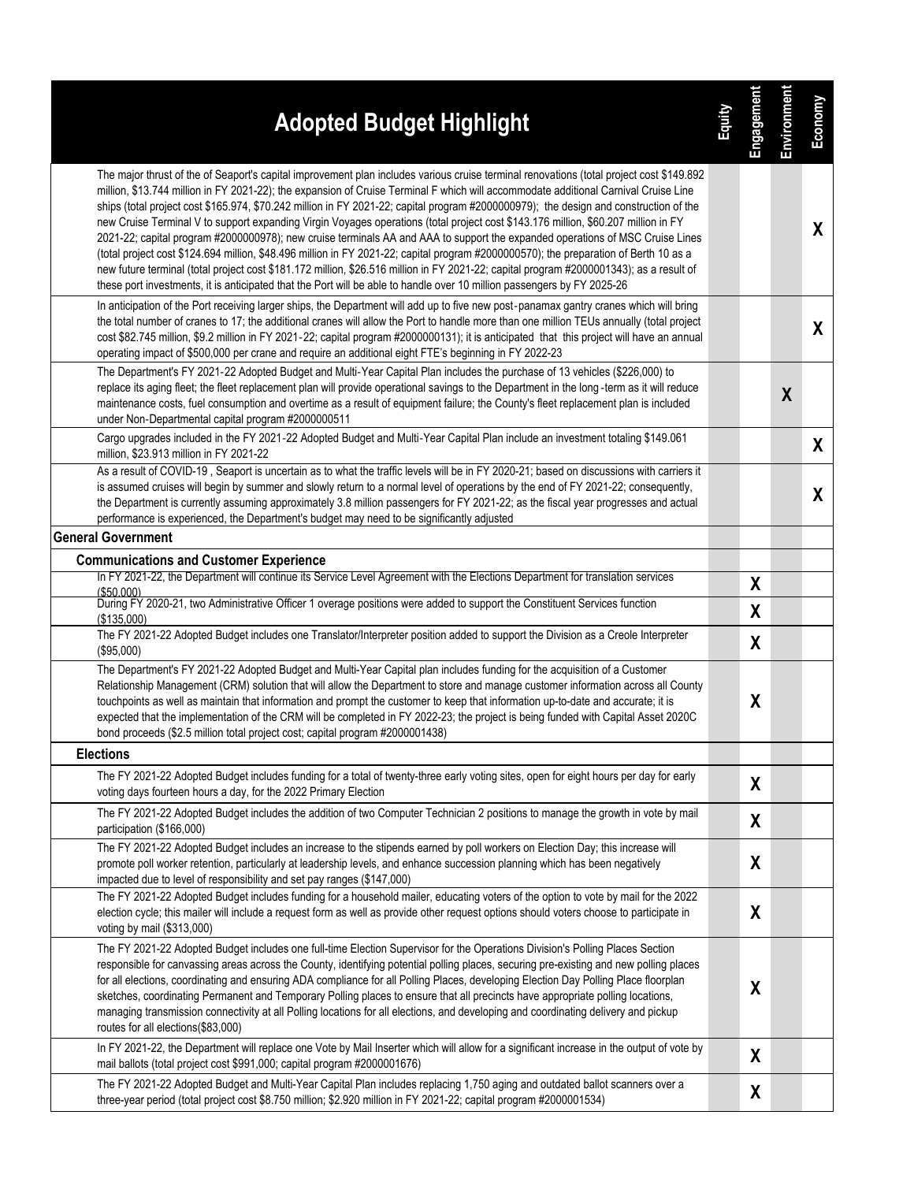| <b>Adopted Budget Highlight</b>                                                                                                                                                                                                                                                                                                                                                                                                                                                                                                                                                                                                                                                                                                                                                                                                                                                                                                                                                                                                                                                                                | 富 | Engagement       | Environment      | Economy |
|----------------------------------------------------------------------------------------------------------------------------------------------------------------------------------------------------------------------------------------------------------------------------------------------------------------------------------------------------------------------------------------------------------------------------------------------------------------------------------------------------------------------------------------------------------------------------------------------------------------------------------------------------------------------------------------------------------------------------------------------------------------------------------------------------------------------------------------------------------------------------------------------------------------------------------------------------------------------------------------------------------------------------------------------------------------------------------------------------------------|---|------------------|------------------|---------|
| The major thrust of the of Seaport's capital improvement plan includes various cruise terminal renovations (total project cost \$149.892<br>million, \$13.744 million in FY 2021-22); the expansion of Cruise Terminal F which will accommodate additional Carnival Cruise Line<br>ships (total project cost \$165.974, \$70.242 million in FY 2021-22; capital program #2000000979); the design and construction of the<br>new Cruise Terminal V to support expanding Virgin Voyages operations (total project cost \$143.176 million, \$60.207 million in FY<br>2021-22; capital program #2000000978); new cruise terminals AA and AAA to support the expanded operations of MSC Cruise Lines<br>(total project cost \$124.694 million, \$48.496 million in FY 2021-22; capital program #2000000570); the preparation of Berth 10 as a<br>new future terminal (total project cost \$181.172 million, \$26.516 million in FY 2021-22; capital program #2000001343); as a result of<br>these port investments, it is anticipated that the Port will be able to handle over 10 million passengers by FY 2025-26 |   |                  |                  | X       |
| In anticipation of the Port receiving larger ships, the Department will add up to five new post-panamax gantry cranes which will bring<br>the total number of cranes to 17; the additional cranes will allow the Port to handle more than one million TEUs annually (total project<br>cost \$82.745 million, \$9.2 million in FY 2021-22; capital program #2000000131); it is anticipated that this project will have an annual<br>operating impact of \$500,000 per crane and require an additional eight FTE's beginning in FY 2022-23                                                                                                                                                                                                                                                                                                                                                                                                                                                                                                                                                                       |   |                  |                  | X       |
| The Department's FY 2021-22 Adopted Budget and Multi-Year Capital Plan includes the purchase of 13 vehicles (\$226,000) to<br>replace its aging fleet; the fleet replacement plan will provide operational savings to the Department in the long-term as it will reduce<br>maintenance costs, fuel consumption and overtime as a result of equipment failure; the County's fleet replacement plan is included<br>under Non-Departmental capital program #2000000511                                                                                                                                                                                                                                                                                                                                                                                                                                                                                                                                                                                                                                            |   |                  | $\boldsymbol{X}$ |         |
| Cargo upgrades included in the FY 2021-22 Adopted Budget and Multi-Year Capital Plan include an investment totaling \$149.061<br>million, \$23.913 million in FY 2021-22                                                                                                                                                                                                                                                                                                                                                                                                                                                                                                                                                                                                                                                                                                                                                                                                                                                                                                                                       |   |                  |                  | X       |
| As a result of COVID-19, Seaport is uncertain as to what the traffic levels will be in FY 2020-21; based on discussions with carriers it<br>is assumed cruises will begin by summer and slowly return to a normal level of operations by the end of FY 2021-22; consequently,<br>the Department is currently assuming approximately 3.8 million passengers for FY 2021-22; as the fiscal year progresses and actual<br>performance is experienced, the Department's budget may need to be significantly adjusted                                                                                                                                                                                                                                                                                                                                                                                                                                                                                                                                                                                               |   |                  |                  | X       |
| <b>General Government</b>                                                                                                                                                                                                                                                                                                                                                                                                                                                                                                                                                                                                                                                                                                                                                                                                                                                                                                                                                                                                                                                                                      |   |                  |                  |         |
| <b>Communications and Customer Experience</b><br>In FY 2021-22, the Department will continue its Service Level Agreement with the Elections Department for translation services                                                                                                                                                                                                                                                                                                                                                                                                                                                                                                                                                                                                                                                                                                                                                                                                                                                                                                                                |   |                  |                  |         |
| (\$50.000)                                                                                                                                                                                                                                                                                                                                                                                                                                                                                                                                                                                                                                                                                                                                                                                                                                                                                                                                                                                                                                                                                                     |   | $\boldsymbol{X}$ |                  |         |
| During FY 2020-21, two Administrative Officer 1 overage positions were added to support the Constituent Services function<br>(\$135,000)                                                                                                                                                                                                                                                                                                                                                                                                                                                                                                                                                                                                                                                                                                                                                                                                                                                                                                                                                                       |   | χ                |                  |         |
| The FY 2021-22 Adopted Budget includes one Translator/Interpreter position added to support the Division as a Creole Interpreter<br>(\$95,000)                                                                                                                                                                                                                                                                                                                                                                                                                                                                                                                                                                                                                                                                                                                                                                                                                                                                                                                                                                 |   | χ                |                  |         |
| The Department's FY 2021-22 Adopted Budget and Multi-Year Capital plan includes funding for the acquisition of a Customer<br>Relationship Management (CRM) solution that will allow the Department to store and manage customer information across all County<br>touchpoints as well as maintain that information and prompt the customer to keep that information up-to-date and accurate; it is<br>expected that the implementation of the CRM will be completed in FY 2022-23; the project is being funded with Capital Asset 2020C<br>bond proceeds (\$2.5 million total project cost; capital program #2000001438)                                                                                                                                                                                                                                                                                                                                                                                                                                                                                        |   | $\boldsymbol{X}$ |                  |         |
| <b>Elections</b>                                                                                                                                                                                                                                                                                                                                                                                                                                                                                                                                                                                                                                                                                                                                                                                                                                                                                                                                                                                                                                                                                               |   |                  |                  |         |
| The FY 2021-22 Adopted Budget includes funding for a total of twenty-three early voting sites, open for eight hours per day for early<br>voting days fourteen hours a day, for the 2022 Primary Election                                                                                                                                                                                                                                                                                                                                                                                                                                                                                                                                                                                                                                                                                                                                                                                                                                                                                                       |   | X                |                  |         |
| The FY 2021-22 Adopted Budget includes the addition of two Computer Technician 2 positions to manage the growth in vote by mail<br>participation (\$166,000)                                                                                                                                                                                                                                                                                                                                                                                                                                                                                                                                                                                                                                                                                                                                                                                                                                                                                                                                                   |   | X                |                  |         |
| The FY 2021-22 Adopted Budget includes an increase to the stipends earned by poll workers on Election Day; this increase will<br>promote poll worker retention, particularly at leadership levels, and enhance succession planning which has been negatively<br>impacted due to level of responsibility and set pay ranges (\$147,000)                                                                                                                                                                                                                                                                                                                                                                                                                                                                                                                                                                                                                                                                                                                                                                         |   | X                |                  |         |
| The FY 2021-22 Adopted Budget includes funding for a household mailer, educating voters of the option to vote by mail for the 2022<br>election cycle; this mailer will include a request form as well as provide other request options should voters choose to participate in<br>voting by mail (\$313,000)                                                                                                                                                                                                                                                                                                                                                                                                                                                                                                                                                                                                                                                                                                                                                                                                    |   | X                |                  |         |
| The FY 2021-22 Adopted Budget includes one full-time Election Supervisor for the Operations Division's Polling Places Section<br>responsible for canvassing areas across the County, identifying potential polling places, securing pre-existing and new polling places<br>for all elections, coordinating and ensuring ADA compliance for all Polling Places, developing Election Day Polling Place floorplan<br>sketches, coordinating Permanent and Temporary Polling places to ensure that all precincts have appropriate polling locations,<br>managing transmission connectivity at all Polling locations for all elections, and developing and coordinating delivery and pickup<br>routes for all elections(\$83,000)                                                                                                                                                                                                                                                                                                                                                                                   |   | X                |                  |         |
| In FY 2021-22, the Department will replace one Vote by Mail Inserter which will allow for a significant increase in the output of vote by<br>mail ballots (total project cost \$991,000; capital program #2000001676)                                                                                                                                                                                                                                                                                                                                                                                                                                                                                                                                                                                                                                                                                                                                                                                                                                                                                          |   | χ                |                  |         |
| The FY 2021-22 Adopted Budget and Multi-Year Capital Plan includes replacing 1,750 aging and outdated ballot scanners over a<br>three-year period (total project cost \$8.750 million; \$2.920 million in FY 2021-22; capital program #2000001534)                                                                                                                                                                                                                                                                                                                                                                                                                                                                                                                                                                                                                                                                                                                                                                                                                                                             |   | X                |                  |         |
|                                                                                                                                                                                                                                                                                                                                                                                                                                                                                                                                                                                                                                                                                                                                                                                                                                                                                                                                                                                                                                                                                                                |   |                  |                  |         |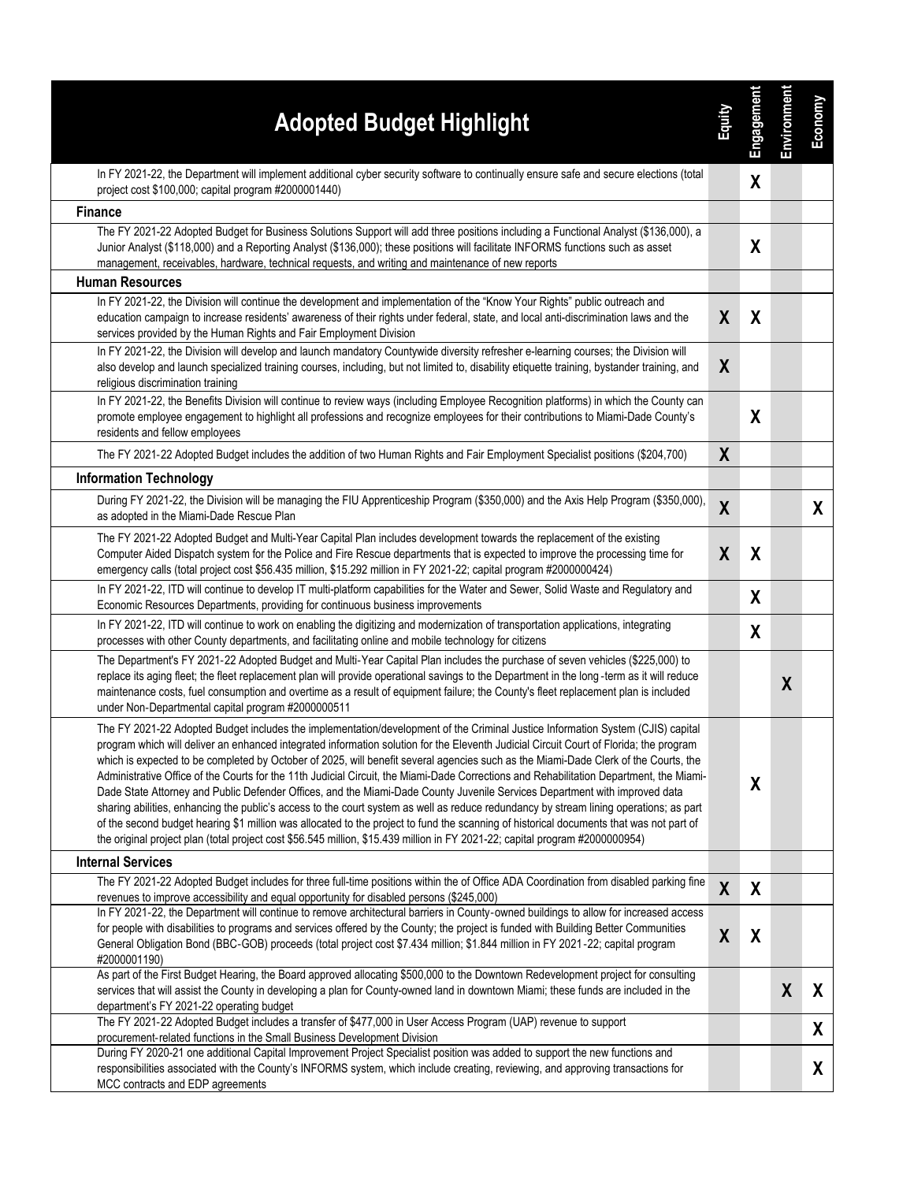| <b>Adopted Budget Highlight</b>                                                                                                                                                                                                                                                                                                                                                                                                                                                                                                                                                                                                                                                                                                                                                                                                                                                                                                                                                                                                                                                                                | <u>Zamba</u>     | Engagement       | Environment      | Economy |
|----------------------------------------------------------------------------------------------------------------------------------------------------------------------------------------------------------------------------------------------------------------------------------------------------------------------------------------------------------------------------------------------------------------------------------------------------------------------------------------------------------------------------------------------------------------------------------------------------------------------------------------------------------------------------------------------------------------------------------------------------------------------------------------------------------------------------------------------------------------------------------------------------------------------------------------------------------------------------------------------------------------------------------------------------------------------------------------------------------------|------------------|------------------|------------------|---------|
| In FY 2021-22, the Department will implement additional cyber security software to continually ensure safe and secure elections (total<br>project cost \$100,000; capital program #2000001440)                                                                                                                                                                                                                                                                                                                                                                                                                                                                                                                                                                                                                                                                                                                                                                                                                                                                                                                 |                  | X                |                  |         |
| <b>Finance</b>                                                                                                                                                                                                                                                                                                                                                                                                                                                                                                                                                                                                                                                                                                                                                                                                                                                                                                                                                                                                                                                                                                 |                  |                  |                  |         |
| The FY 2021-22 Adopted Budget for Business Solutions Support will add three positions including a Functional Analyst (\$136,000), a<br>Junior Analyst (\$118,000) and a Reporting Analyst (\$136,000); these positions will facilitate INFORMS functions such as asset<br>management, receivables, hardware, technical requests, and writing and maintenance of new reports                                                                                                                                                                                                                                                                                                                                                                                                                                                                                                                                                                                                                                                                                                                                    |                  | $\boldsymbol{X}$ |                  |         |
| <b>Human Resources</b>                                                                                                                                                                                                                                                                                                                                                                                                                                                                                                                                                                                                                                                                                                                                                                                                                                                                                                                                                                                                                                                                                         |                  |                  |                  |         |
| In FY 2021-22, the Division will continue the development and implementation of the "Know Your Rights" public outreach and<br>education campaign to increase residents' awareness of their rights under federal, state, and local anti-discrimination laws and the<br>services provided by the Human Rights and Fair Employment Division                                                                                                                                                                                                                                                                                                                                                                                                                                                                                                                                                                                                                                                                                                                                                                       | X                | X                |                  |         |
| In FY 2021-22, the Division will develop and launch mandatory Countywide diversity refresher e-learning courses; the Division will<br>also develop and launch specialized training courses, including, but not limited to, disability etiquette training, bystander training, and<br>religious discrimination training                                                                                                                                                                                                                                                                                                                                                                                                                                                                                                                                                                                                                                                                                                                                                                                         | X                |                  |                  |         |
| In FY 2021-22, the Benefits Division will continue to review ways (including Employee Recognition platforms) in which the County can<br>promote employee engagement to highlight all professions and recognize employees for their contributions to Miami-Dade County's<br>residents and fellow employees                                                                                                                                                                                                                                                                                                                                                                                                                                                                                                                                                                                                                                                                                                                                                                                                      |                  | χ                |                  |         |
| The FY 2021-22 Adopted Budget includes the addition of two Human Rights and Fair Employment Specialist positions (\$204,700)                                                                                                                                                                                                                                                                                                                                                                                                                                                                                                                                                                                                                                                                                                                                                                                                                                                                                                                                                                                   | X                |                  |                  |         |
| <b>Information Technology</b>                                                                                                                                                                                                                                                                                                                                                                                                                                                                                                                                                                                                                                                                                                                                                                                                                                                                                                                                                                                                                                                                                  |                  |                  |                  |         |
| During FY 2021-22, the Division will be managing the FIU Apprenticeship Program (\$350,000) and the Axis Help Program (\$350,000),<br>as adopted in the Miami-Dade Rescue Plan                                                                                                                                                                                                                                                                                                                                                                                                                                                                                                                                                                                                                                                                                                                                                                                                                                                                                                                                 | $\boldsymbol{X}$ |                  |                  | X       |
| The FY 2021-22 Adopted Budget and Multi-Year Capital Plan includes development towards the replacement of the existing<br>Computer Aided Dispatch system for the Police and Fire Rescue departments that is expected to improve the processing time for<br>emergency calls (total project cost \$56.435 million, \$15.292 million in FY 2021-22; capital program #2000000424)                                                                                                                                                                                                                                                                                                                                                                                                                                                                                                                                                                                                                                                                                                                                  | $\boldsymbol{X}$ | X                |                  |         |
| In FY 2021-22, ITD will continue to develop IT multi-platform capabilities for the Water and Sewer, Solid Waste and Regulatory and<br>Economic Resources Departments, providing for continuous business improvements                                                                                                                                                                                                                                                                                                                                                                                                                                                                                                                                                                                                                                                                                                                                                                                                                                                                                           |                  | χ                |                  |         |
| In FY 2021-22, ITD will continue to work on enabling the digitizing and modernization of transportation applications, integrating<br>processes with other County departments, and facilitating online and mobile technology for citizens                                                                                                                                                                                                                                                                                                                                                                                                                                                                                                                                                                                                                                                                                                                                                                                                                                                                       |                  | χ                |                  |         |
| The Department's FY 2021-22 Adopted Budget and Multi-Year Capital Plan includes the purchase of seven vehicles (\$225,000) to<br>replace its aging fleet; the fleet replacement plan will provide operational savings to the Department in the long-term as it will reduce<br>maintenance costs, fuel consumption and overtime as a result of equipment failure; the County's fleet replacement plan is included<br>under Non-Departmental capital program #2000000511                                                                                                                                                                                                                                                                                                                                                                                                                                                                                                                                                                                                                                         |                  |                  | $\boldsymbol{X}$ |         |
| The FY 2021-22 Adopted Budget includes the implementation/development of the Criminal Justice Information System (CJIS) capital<br>program which will deliver an enhanced integrated information solution for the Eleventh Judicial Circuit Court of Florida; the program<br>which is expected to be completed by October of 2025, will benefit several agencies such as the Miami-Dade Clerk of the Courts, the<br>Administrative Office of the Courts for the 11th Judicial Circuit, the Miami-Dade Corrections and Rehabilitation Department, the Miami-<br>Dade State Attorney and Public Defender Offices, and the Miami-Dade County Juvenile Services Department with improved data<br>sharing abilities, enhancing the public's access to the court system as well as reduce redundancy by stream lining operations; as part<br>of the second budget hearing \$1 million was allocated to the project to fund the scanning of historical documents that was not part of<br>the original project plan (total project cost \$56.545 million, \$15.439 million in FY 2021-22; capital program #2000000954) |                  | X                |                  |         |
| <b>Internal Services</b>                                                                                                                                                                                                                                                                                                                                                                                                                                                                                                                                                                                                                                                                                                                                                                                                                                                                                                                                                                                                                                                                                       |                  |                  |                  |         |
| The FY 2021-22 Adopted Budget includes for three full-time positions within the of Office ADA Coordination from disabled parking fine<br>revenues to improve accessibility and equal opportunity for disabled persons (\$245,000)                                                                                                                                                                                                                                                                                                                                                                                                                                                                                                                                                                                                                                                                                                                                                                                                                                                                              | $\boldsymbol{X}$ | X                |                  |         |
| In FY 2021-22, the Department will continue to remove architectural barriers in County-owned buildings to allow for increased access<br>for people with disabilities to programs and services offered by the County; the project is funded with Building Better Communities<br>General Obligation Bond (BBC-GOB) proceeds (total project cost \$7.434 million; \$1.844 million in FY 2021-22; capital program<br>#2000001190)                                                                                                                                                                                                                                                                                                                                                                                                                                                                                                                                                                                                                                                                                  | $\boldsymbol{X}$ | X                |                  |         |
| As part of the First Budget Hearing, the Board approved allocating \$500,000 to the Downtown Redevelopment project for consulting<br>services that will assist the County in developing a plan for County-owned land in downtown Miami; these funds are included in the<br>department's FY 2021-22 operating budget                                                                                                                                                                                                                                                                                                                                                                                                                                                                                                                                                                                                                                                                                                                                                                                            |                  |                  | X                | X       |
| The FY 2021-22 Adopted Budget includes a transfer of \$477,000 in User Access Program (UAP) revenue to support<br>procurement-related functions in the Small Business Development Division<br>During FY 2020-21 one additional Capital Improvement Project Specialist position was added to support the new functions and                                                                                                                                                                                                                                                                                                                                                                                                                                                                                                                                                                                                                                                                                                                                                                                      |                  |                  |                  | X       |
| responsibilities associated with the County's INFORMS system, which include creating, reviewing, and approving transactions for<br>MCC contracts and EDP agreements                                                                                                                                                                                                                                                                                                                                                                                                                                                                                                                                                                                                                                                                                                                                                                                                                                                                                                                                            |                  |                  |                  | X       |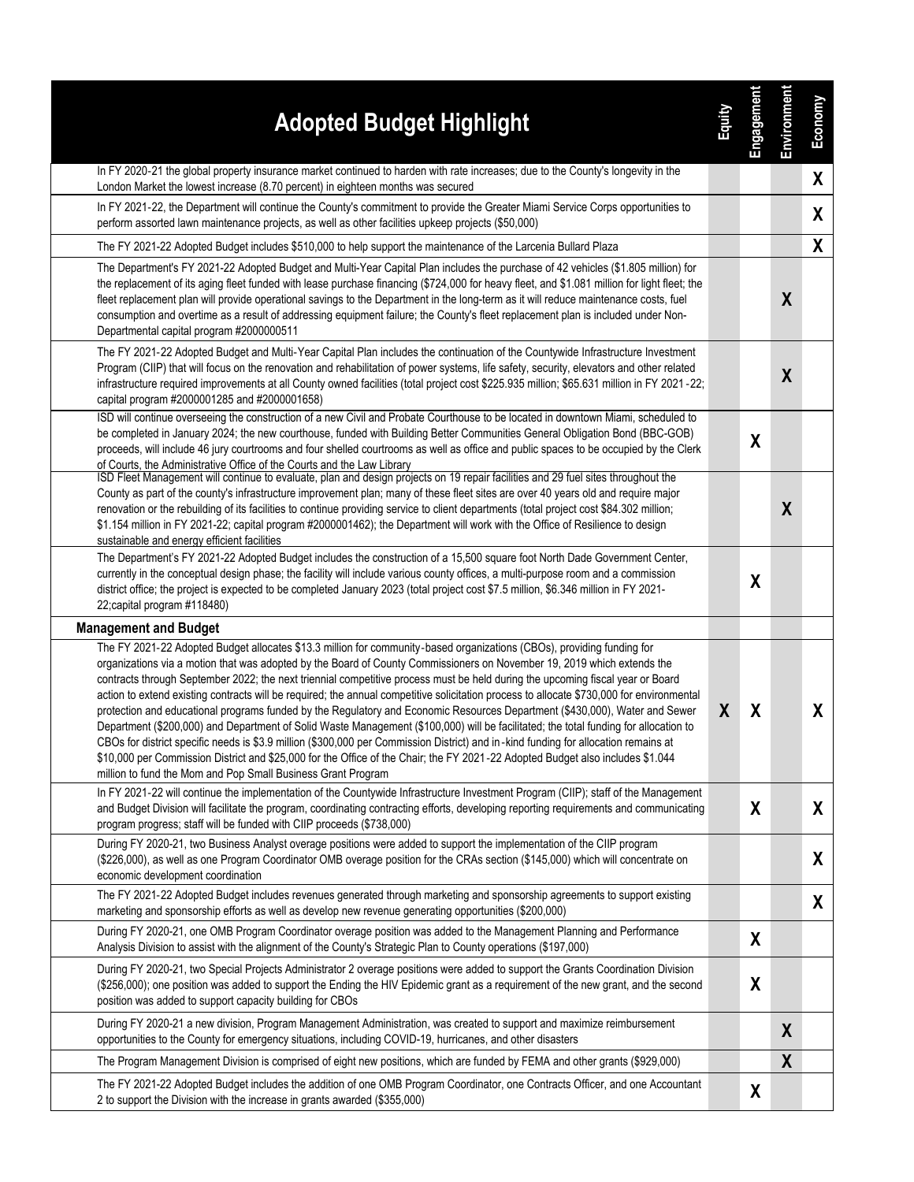| <b>Adopted Budget Highlight</b>                                                                                                                                                                                                                                                                                                                                                                                                                                                                                                                                                                                                                                                                                                                                                                                                                                                                                                                                                                                                                                                                                                                  | Equity | Engagement       | Environment      | Economy |
|--------------------------------------------------------------------------------------------------------------------------------------------------------------------------------------------------------------------------------------------------------------------------------------------------------------------------------------------------------------------------------------------------------------------------------------------------------------------------------------------------------------------------------------------------------------------------------------------------------------------------------------------------------------------------------------------------------------------------------------------------------------------------------------------------------------------------------------------------------------------------------------------------------------------------------------------------------------------------------------------------------------------------------------------------------------------------------------------------------------------------------------------------|--------|------------------|------------------|---------|
| In FY 2020-21 the global property insurance market continued to harden with rate increases; due to the County's longevity in the<br>London Market the lowest increase (8.70 percent) in eighteen months was secured                                                                                                                                                                                                                                                                                                                                                                                                                                                                                                                                                                                                                                                                                                                                                                                                                                                                                                                              |        |                  |                  | X       |
| In FY 2021-22, the Department will continue the County's commitment to provide the Greater Miami Service Corps opportunities to<br>perform assorted lawn maintenance projects, as well as other facilities upkeep projects (\$50,000)                                                                                                                                                                                                                                                                                                                                                                                                                                                                                                                                                                                                                                                                                                                                                                                                                                                                                                            |        |                  |                  | X       |
| The FY 2021-22 Adopted Budget includes \$510,000 to help support the maintenance of the Larcenia Bullard Plaza                                                                                                                                                                                                                                                                                                                                                                                                                                                                                                                                                                                                                                                                                                                                                                                                                                                                                                                                                                                                                                   |        |                  |                  | X       |
| The Department's FY 2021-22 Adopted Budget and Multi-Year Capital Plan includes the purchase of 42 vehicles (\$1.805 million) for<br>the replacement of its aging fleet funded with lease purchase financing (\$724,000 for heavy fleet, and \$1.081 million for light fleet; the<br>fleet replacement plan will provide operational savings to the Department in the long-term as it will reduce maintenance costs, fuel<br>consumption and overtime as a result of addressing equipment failure; the County's fleet replacement plan is included under Non-<br>Departmental capital program #2000000511                                                                                                                                                                                                                                                                                                                                                                                                                                                                                                                                        |        |                  | X                |         |
| The FY 2021-22 Adopted Budget and Multi-Year Capital Plan includes the continuation of the Countywide Infrastructure Investment<br>Program (CIIP) that will focus on the renovation and rehabilitation of power systems, life safety, security, elevators and other related<br>infrastructure required improvements at all County owned facilities (total project cost \$225.935 million; \$65.631 million in FY 2021-22;<br>capital program #2000001285 and #2000001658)                                                                                                                                                                                                                                                                                                                                                                                                                                                                                                                                                                                                                                                                        |        |                  | $\boldsymbol{X}$ |         |
| ISD will continue overseeing the construction of a new Civil and Probate Courthouse to be located in downtown Miami, scheduled to<br>be completed in January 2024; the new courthouse, funded with Building Better Communities General Obligation Bond (BBC-GOB)<br>proceeds, will include 46 jury courtrooms and four shelled courtrooms as well as office and public spaces to be occupied by the Clerk<br>of Courts, the Administrative Office of the Courts and the Law Library                                                                                                                                                                                                                                                                                                                                                                                                                                                                                                                                                                                                                                                              |        | $\boldsymbol{X}$ |                  |         |
| ISD Fleet Management will continue to evaluate, plan and design projects on 19 repair facilities and 29 fuel sites throughout the<br>County as part of the county's infrastructure improvement plan; many of these fleet sites are over 40 years old and require major<br>renovation or the rebuilding of its facilities to continue providing service to client departments (total project cost \$84.302 million;<br>\$1.154 million in FY 2021-22; capital program #2000001462); the Department will work with the Office of Resilience to design<br>sustainable and energy efficient facilities                                                                                                                                                                                                                                                                                                                                                                                                                                                                                                                                               |        |                  | $\boldsymbol{X}$ |         |
| The Department's FY 2021-22 Adopted Budget includes the construction of a 15,500 square foot North Dade Government Center,<br>currently in the conceptual design phase; the facility will include various county offices, a multi-purpose room and a commission<br>district office; the project is expected to be completed January 2023 (total project cost \$7.5 million, \$6.346 million in FY 2021-<br>22; capital program #118480)                                                                                                                                                                                                                                                                                                                                                                                                                                                                                                                                                                                                                                                                                                          |        | χ                |                  |         |
| <b>Management and Budget</b>                                                                                                                                                                                                                                                                                                                                                                                                                                                                                                                                                                                                                                                                                                                                                                                                                                                                                                                                                                                                                                                                                                                     |        |                  |                  |         |
| The FY 2021-22 Adopted Budget allocates \$13.3 million for community-based organizations (CBOs), providing funding for<br>organizations via a motion that was adopted by the Board of County Commissioners on November 19, 2019 which extends the<br>contracts through September 2022; the next triennial competitive process must be held during the upcoming fiscal year or Board<br>action to extend existing contracts will be required; the annual competitive solicitation process to allocate \$730,000 for environmental<br>protection and educational programs funded by the Regulatory and Economic Resources Department (\$430,000), Water and Sewer<br>Department (\$200,000) and Department of Solid Waste Management (\$100,000) will be facilitated; the total funding for allocation to<br>CBOs for district specific needs is \$3.9 million (\$300,000 per Commission District) and in-kind funding for allocation remains at<br>\$10,000 per Commission District and \$25,000 for the Office of the Chair; the FY 2021-22 Adopted Budget also includes \$1.044<br>million to fund the Mom and Pop Small Business Grant Program | X      | X                |                  | X       |
| In FY 2021-22 will continue the implementation of the Countywide Infrastructure Investment Program (CIIP); staff of the Management<br>and Budget Division will facilitate the program, coordinating contracting efforts, developing reporting requirements and communicating<br>program progress; staff will be funded with CIIP proceeds (\$738,000)                                                                                                                                                                                                                                                                                                                                                                                                                                                                                                                                                                                                                                                                                                                                                                                            |        | X                |                  | X       |
| During FY 2020-21, two Business Analyst overage positions were added to support the implementation of the CIIP program<br>(\$226,000), as well as one Program Coordinator OMB overage position for the CRAs section (\$145,000) which will concentrate on<br>economic development coordination                                                                                                                                                                                                                                                                                                                                                                                                                                                                                                                                                                                                                                                                                                                                                                                                                                                   |        |                  |                  | X       |
| The FY 2021-22 Adopted Budget includes revenues generated through marketing and sponsorship agreements to support existing<br>marketing and sponsorship efforts as well as develop new revenue generating opportunities (\$200,000)                                                                                                                                                                                                                                                                                                                                                                                                                                                                                                                                                                                                                                                                                                                                                                                                                                                                                                              |        |                  |                  | X       |
| During FY 2020-21, one OMB Program Coordinator overage position was added to the Management Planning and Performance<br>Analysis Division to assist with the alignment of the County's Strategic Plan to County operations (\$197,000)                                                                                                                                                                                                                                                                                                                                                                                                                                                                                                                                                                                                                                                                                                                                                                                                                                                                                                           |        | X                |                  |         |
| During FY 2020-21, two Special Projects Administrator 2 overage positions were added to support the Grants Coordination Division<br>(\$256,000); one position was added to support the Ending the HIV Epidemic grant as a requirement of the new grant, and the second<br>position was added to support capacity building for CBOs                                                                                                                                                                                                                                                                                                                                                                                                                                                                                                                                                                                                                                                                                                                                                                                                               |        | X                |                  |         |
| During FY 2020-21 a new division, Program Management Administration, was created to support and maximize reimbursement<br>opportunities to the County for emergency situations, including COVID-19, hurricanes, and other disasters                                                                                                                                                                                                                                                                                                                                                                                                                                                                                                                                                                                                                                                                                                                                                                                                                                                                                                              |        |                  | X                |         |
| The Program Management Division is comprised of eight new positions, which are funded by FEMA and other grants (\$929,000)                                                                                                                                                                                                                                                                                                                                                                                                                                                                                                                                                                                                                                                                                                                                                                                                                                                                                                                                                                                                                       |        |                  | X                |         |
| The FY 2021-22 Adopted Budget includes the addition of one OMB Program Coordinator, one Contracts Officer, and one Accountant<br>2 to support the Division with the increase in grants awarded (\$355,000)                                                                                                                                                                                                                                                                                                                                                                                                                                                                                                                                                                                                                                                                                                                                                                                                                                                                                                                                       |        | X                |                  |         |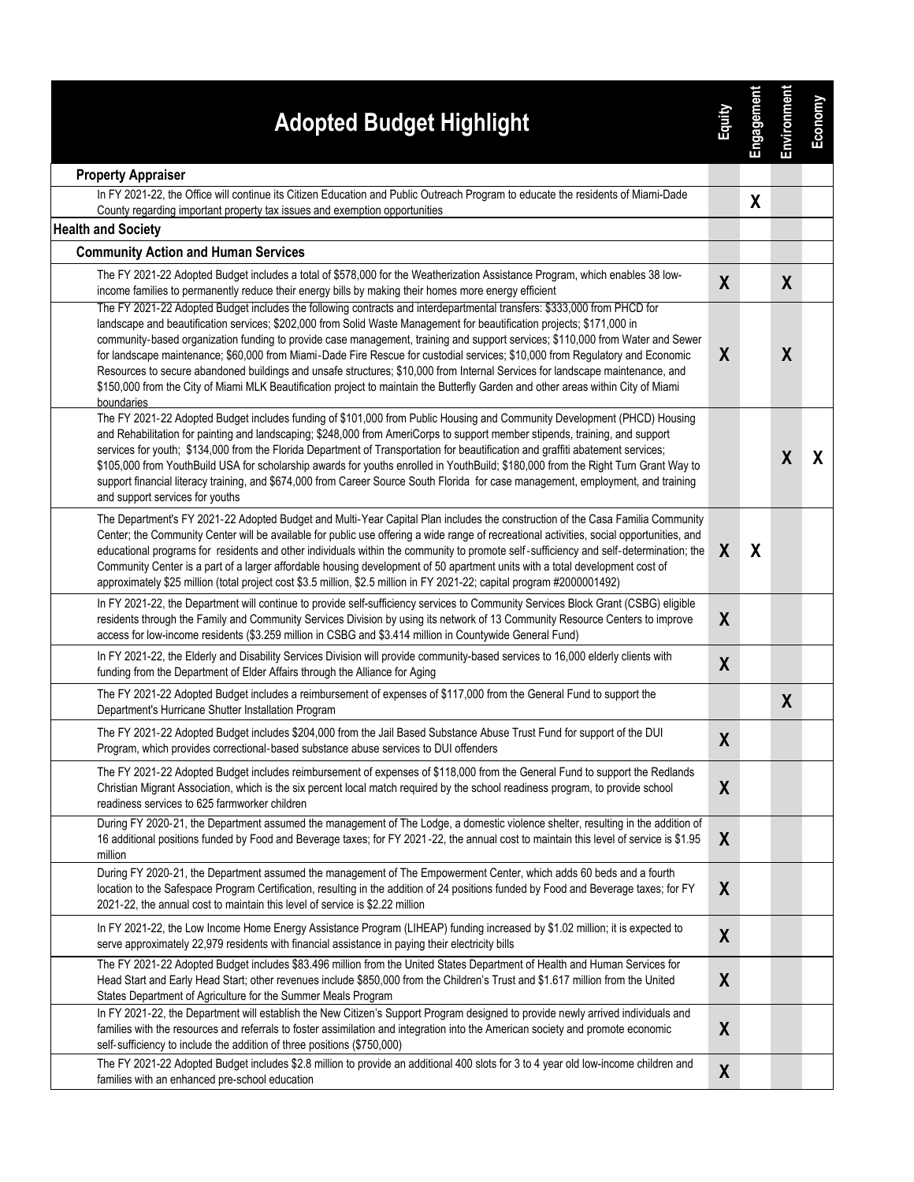| <b>Adopted Budget Highlight</b><br><b>Property Appraiser</b>                                                                                                                                                                                                                                                                                                                                                                                                                                                                                                                                                                                                                                              | Equity           | Engagement | Environment      | Economy |
|-----------------------------------------------------------------------------------------------------------------------------------------------------------------------------------------------------------------------------------------------------------------------------------------------------------------------------------------------------------------------------------------------------------------------------------------------------------------------------------------------------------------------------------------------------------------------------------------------------------------------------------------------------------------------------------------------------------|------------------|------------|------------------|---------|
| In FY 2021-22, the Office will continue its Citizen Education and Public Outreach Program to educate the residents of Miami-Dade                                                                                                                                                                                                                                                                                                                                                                                                                                                                                                                                                                          |                  | X          |                  |         |
| County regarding important property tax issues and exemption opportunities<br><b>Health and Society</b>                                                                                                                                                                                                                                                                                                                                                                                                                                                                                                                                                                                                   |                  |            |                  |         |
| <b>Community Action and Human Services</b>                                                                                                                                                                                                                                                                                                                                                                                                                                                                                                                                                                                                                                                                |                  |            |                  |         |
| The FY 2021-22 Adopted Budget includes a total of \$578,000 for the Weatherization Assistance Program, which enables 38 low-                                                                                                                                                                                                                                                                                                                                                                                                                                                                                                                                                                              |                  |            |                  |         |
| income families to permanently reduce their energy bills by making their homes more energy efficient<br>The FY 2021-22 Adopted Budget includes the following contracts and interdepartmental transfers: \$333,000 from PHCD for                                                                                                                                                                                                                                                                                                                                                                                                                                                                           | X                |            | X                |         |
| landscape and beautification services; \$202,000 from Solid Waste Management for beautification projects; \$171,000 in<br>community-based organization funding to provide case management, training and support services; \$110,000 from Water and Sewer<br>for landscape maintenance; \$60,000 from Miami-Dade Fire Rescue for custodial services; \$10,000 from Regulatory and Economic<br>Resources to secure abandoned buildings and unsafe structures; \$10,000 from Internal Services for landscape maintenance, and<br>\$150,000 from the City of Miami MLK Beautification project to maintain the Butterfly Garden and other areas within City of Miami<br>boundaries                             | X                |            | X                |         |
| The FY 2021-22 Adopted Budget includes funding of \$101,000 from Public Housing and Community Development (PHCD) Housing<br>and Rehabilitation for painting and landscaping; \$248,000 from AmeriCorps to support member stipends, training, and support<br>services for youth; \$134,000 from the Florida Department of Transportation for beautification and graffiti abatement services;<br>\$105,000 from YouthBuild USA for scholarship awards for youths enrolled in YouthBuild; \$180,000 from the Right Turn Grant Way to<br>support financial literacy training, and \$674,000 from Career Source South Florida for case management, employment, and training<br>and support services for youths |                  |            | $\boldsymbol{X}$ | X       |
| The Department's FY 2021-22 Adopted Budget and Multi-Year Capital Plan includes the construction of the Casa Familia Community<br>Center; the Community Center will be available for public use offering a wide range of recreational activities, social opportunities, and<br>educational programs for residents and other individuals within the community to promote self-sufficiency and self-determination; the<br>Community Center is a part of a larger affordable housing development of 50 apartment units with a total development cost of<br>approximately \$25 million (total project cost \$3.5 million, \$2.5 million in FY 2021-22; capital program #2000001492)                           | X                | X          |                  |         |
| In FY 2021-22, the Department will continue to provide self-sufficiency services to Community Services Block Grant (CSBG) eligible<br>residents through the Family and Community Services Division by using its network of 13 Community Resource Centers to improve<br>access for low-income residents (\$3.259 million in CSBG and \$3.414 million in Countywide General Fund)                                                                                                                                                                                                                                                                                                                           | X                |            |                  |         |
| In FY 2021-22, the Elderly and Disability Services Division will provide community-based services to 16,000 elderly clients with<br>funding from the Department of Elder Affairs through the Alliance for Aging                                                                                                                                                                                                                                                                                                                                                                                                                                                                                           | $\boldsymbol{X}$ |            |                  |         |
| The FY 2021-22 Adopted Budget includes a reimbursement of expenses of \$117,000 from the General Fund to support the<br>Department's Hurricane Shutter Installation Program                                                                                                                                                                                                                                                                                                                                                                                                                                                                                                                               |                  |            | X                |         |
| The FY 2021-22 Adopted Budget includes \$204,000 from the Jail Based Substance Abuse Trust Fund for support of the DUI<br>Program, which provides correctional-based substance abuse services to DUI offenders                                                                                                                                                                                                                                                                                                                                                                                                                                                                                            | X                |            |                  |         |
| The FY 2021-22 Adopted Budget includes reimbursement of expenses of \$118,000 from the General Fund to support the Redlands<br>Christian Migrant Association, which is the six percent local match required by the school readiness program, to provide school<br>readiness services to 625 farmworker children                                                                                                                                                                                                                                                                                                                                                                                           | $\boldsymbol{X}$ |            |                  |         |
| During FY 2020-21, the Department assumed the management of The Lodge, a domestic violence shelter, resulting in the addition of<br>16 additional positions funded by Food and Beverage taxes; for FY 2021-22, the annual cost to maintain this level of service is \$1.95<br>million                                                                                                                                                                                                                                                                                                                                                                                                                     | X                |            |                  |         |
| During FY 2020-21, the Department assumed the management of The Empowerment Center, which adds 60 beds and a fourth<br>location to the Safespace Program Certification, resulting in the addition of 24 positions funded by Food and Beverage taxes; for FY<br>2021-22, the annual cost to maintain this level of service is \$2.22 million                                                                                                                                                                                                                                                                                                                                                               | X                |            |                  |         |
| In FY 2021-22, the Low Income Home Energy Assistance Program (LIHEAP) funding increased by \$1.02 million; it is expected to<br>serve approximately 22,979 residents with financial assistance in paying their electricity bills                                                                                                                                                                                                                                                                                                                                                                                                                                                                          | X                |            |                  |         |
| The FY 2021-22 Adopted Budget includes \$83.496 million from the United States Department of Health and Human Services for<br>Head Start and Early Head Start; other revenues include \$850,000 from the Children's Trust and \$1.617 million from the United<br>States Department of Agriculture for the Summer Meals Program                                                                                                                                                                                                                                                                                                                                                                            | X                |            |                  |         |
| In FY 2021-22, the Department will establish the New Citizen's Support Program designed to provide newly arrived individuals and<br>families with the resources and referrals to foster assimilation and integration into the American society and promote economic<br>self-sufficiency to include the addition of three positions (\$750,000)                                                                                                                                                                                                                                                                                                                                                            | $\boldsymbol{X}$ |            |                  |         |
| The FY 2021-22 Adopted Budget includes \$2.8 million to provide an additional 400 slots for 3 to 4 year old low-income children and<br>families with an enhanced pre-school education                                                                                                                                                                                                                                                                                                                                                                                                                                                                                                                     | $\boldsymbol{X}$ |            |                  |         |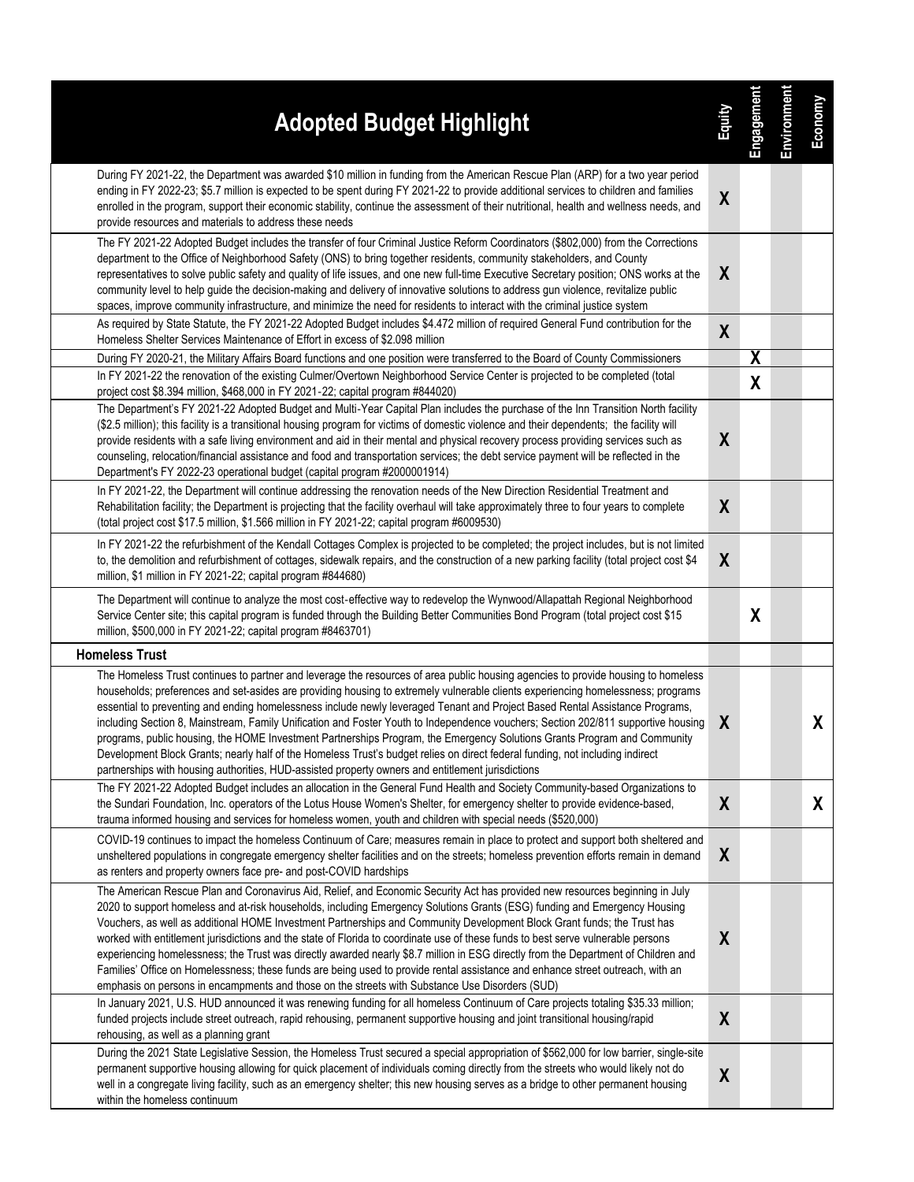| <b>Adopted Budget Highlight</b>                                                                                                                                                                                                                                                                                                                                                                                                                                                                                                                                                                                                                                                                                                                                                                                                                                                                              | <b>Zulup</b>     | Engagement | Environment | Economy |
|--------------------------------------------------------------------------------------------------------------------------------------------------------------------------------------------------------------------------------------------------------------------------------------------------------------------------------------------------------------------------------------------------------------------------------------------------------------------------------------------------------------------------------------------------------------------------------------------------------------------------------------------------------------------------------------------------------------------------------------------------------------------------------------------------------------------------------------------------------------------------------------------------------------|------------------|------------|-------------|---------|
| During FY 2021-22, the Department was awarded \$10 million in funding from the American Rescue Plan (ARP) for a two year period<br>ending in FY 2022-23; \$5.7 million is expected to be spent during FY 2021-22 to provide additional services to children and families<br>enrolled in the program, support their economic stability, continue the assessment of their nutritional, health and wellness needs, and<br>provide resources and materials to address these needs                                                                                                                                                                                                                                                                                                                                                                                                                                | $\boldsymbol{X}$ |            |             |         |
| The FY 2021-22 Adopted Budget includes the transfer of four Criminal Justice Reform Coordinators (\$802,000) from the Corrections<br>department to the Office of Neighborhood Safety (ONS) to bring together residents, community stakeholders, and County<br>representatives to solve public safety and quality of life issues, and one new full-time Executive Secretary position; ONS works at the<br>community level to help guide the decision-making and delivery of innovative solutions to address gun violence, revitalize public<br>spaces, improve community infrastructure, and minimize the need for residents to interact with the criminal justice system                                                                                                                                                                                                                                     | X                |            |             |         |
| As required by State Statute, the FY 2021-22 Adopted Budget includes \$4.472 million of required General Fund contribution for the<br>Homeless Shelter Services Maintenance of Effort in excess of \$2.098 million                                                                                                                                                                                                                                                                                                                                                                                                                                                                                                                                                                                                                                                                                           | X                |            |             |         |
| During FY 2020-21, the Military Affairs Board functions and one position were transferred to the Board of County Commissioners                                                                                                                                                                                                                                                                                                                                                                                                                                                                                                                                                                                                                                                                                                                                                                               |                  | X          |             |         |
| In FY 2021-22 the renovation of the existing Culmer/Overtown Neighborhood Service Center is projected to be completed (total<br>project cost \$8.394 million, \$468,000 in FY 2021-22; capital program #844020)                                                                                                                                                                                                                                                                                                                                                                                                                                                                                                                                                                                                                                                                                              |                  | X          |             |         |
| The Department's FY 2021-22 Adopted Budget and Multi-Year Capital Plan includes the purchase of the Inn Transition North facility<br>(\$2.5 million); this facility is a transitional housing program for victims of domestic violence and their dependents; the facility will<br>provide residents with a safe living environment and aid in their mental and physical recovery process providing services such as<br>counseling, relocation/financial assistance and food and transportation services; the debt service payment will be reflected in the<br>Department's FY 2022-23 operational budget (capital program #2000001914)                                                                                                                                                                                                                                                                       | X                |            |             |         |
| In FY 2021-22, the Department will continue addressing the renovation needs of the New Direction Residential Treatment and<br>Rehabilitation facility; the Department is projecting that the facility overhaul will take approximately three to four years to complete<br>(total project cost \$17.5 million, \$1.566 million in FY 2021-22; capital program #6009530)                                                                                                                                                                                                                                                                                                                                                                                                                                                                                                                                       | $\boldsymbol{X}$ |            |             |         |
| In FY 2021-22 the refurbishment of the Kendall Cottages Complex is projected to be completed; the project includes, but is not limited<br>to, the demolition and refurbishment of cottages, sidewalk repairs, and the construction of a new parking facility (total project cost \$4<br>million, \$1 million in FY 2021-22; capital program #844680)                                                                                                                                                                                                                                                                                                                                                                                                                                                                                                                                                         | X                |            |             |         |
| The Department will continue to analyze the most cost-effective way to redevelop the Wynwood/Allapattah Regional Neighborhood<br>Service Center site; this capital program is funded through the Building Better Communities Bond Program (total project cost \$15<br>million, \$500,000 in FY 2021-22; capital program #8463701)                                                                                                                                                                                                                                                                                                                                                                                                                                                                                                                                                                            |                  | X          |             |         |
| <b>Homeless Trust</b>                                                                                                                                                                                                                                                                                                                                                                                                                                                                                                                                                                                                                                                                                                                                                                                                                                                                                        |                  |            |             |         |
| The Homeless Trust continues to partner and leverage the resources of area public housing agencies to provide housing to homeless<br>households; preferences and set-asides are providing housing to extremely vulnerable clients experiencing homelessness; programs<br>essential to preventing and ending homelessness include newly leveraged Tenant and Project Based Rental Assistance Programs,<br>including Section 8, Mainstream, Family Unification and Foster Youth to Independence vouchers; Section 202/811 supportive housing<br>programs, public housing, the HOME Investment Partnerships Program, the Emergency Solutions Grants Program and Community<br>Development Block Grants; nearly half of the Homeless Trust's budget relies on direct federal funding, not including indirect<br>partnerships with housing authorities, HUD-assisted property owners and entitlement jurisdictions | X                |            |             | X       |
| The FY 2021-22 Adopted Budget includes an allocation in the General Fund Health and Society Community-based Organizations to<br>the Sundari Foundation, Inc. operators of the Lotus House Women's Shelter, for emergency shelter to provide evidence-based,<br>trauma informed housing and services for homeless women, youth and children with special needs (\$520,000)                                                                                                                                                                                                                                                                                                                                                                                                                                                                                                                                    | $\boldsymbol{X}$ |            |             | X.      |
| COVID-19 continues to impact the homeless Continuum of Care; measures remain in place to protect and support both sheltered and<br>unsheltered populations in congregate emergency shelter facilities and on the streets; homeless prevention efforts remain in demand<br>as renters and property owners face pre- and post-COVID hardships                                                                                                                                                                                                                                                                                                                                                                                                                                                                                                                                                                  | X                |            |             |         |
| The American Rescue Plan and Coronavirus Aid, Relief, and Economic Security Act has provided new resources beginning in July<br>2020 to support homeless and at-risk households, including Emergency Solutions Grants (ESG) funding and Emergency Housing<br>Vouchers, as well as additional HOME Investment Partnerships and Community Development Block Grant funds; the Trust has<br>worked with entitlement jurisdictions and the state of Florida to coordinate use of these funds to best serve vulnerable persons<br>experiencing homelessness; the Trust was directly awarded nearly \$8.7 million in ESG directly from the Department of Children and<br>Families' Office on Homelessness; these funds are being used to provide rental assistance and enhance street outreach, with an<br>emphasis on persons in encampments and those on the streets with Substance Use Disorders (SUD)           | X                |            |             |         |
| In January 2021, U.S. HUD announced it was renewing funding for all homeless Continuum of Care projects totaling \$35.33 million;<br>funded projects include street outreach, rapid rehousing, permanent supportive housing and joint transitional housing/rapid<br>rehousing, as well as a planning grant                                                                                                                                                                                                                                                                                                                                                                                                                                                                                                                                                                                                   | $\pmb{\chi}$     |            |             |         |
| During the 2021 State Legislative Session, the Homeless Trust secured a special appropriation of \$562,000 for low barrier, single-site<br>permanent supportive housing allowing for quick placement of individuals coming directly from the streets who would likely not do<br>well in a congregate living facility, such as an emergency shelter; this new housing serves as a bridge to other permanent housing<br>within the homeless continuum                                                                                                                                                                                                                                                                                                                                                                                                                                                          | $\pmb{\chi}$     |            |             |         |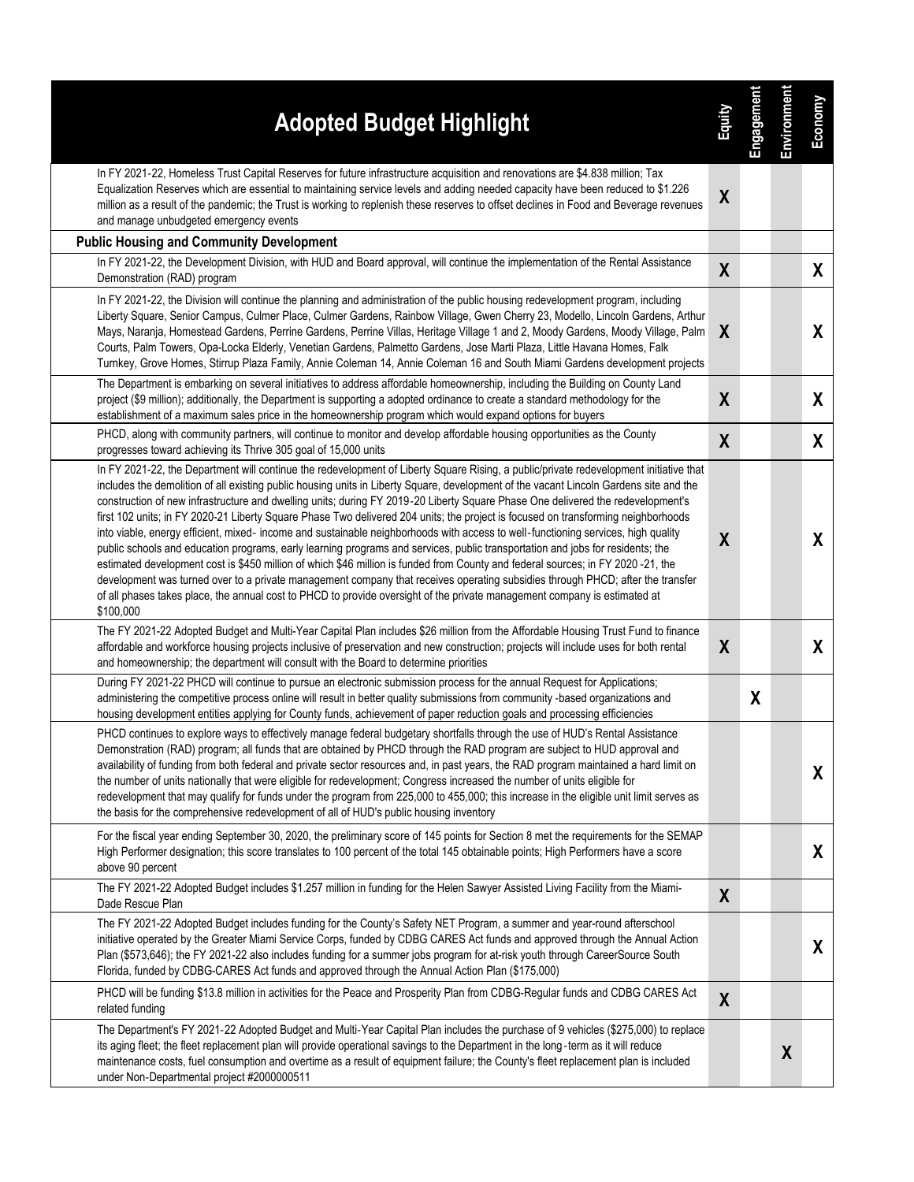| <b>Adopted Budget Highlight</b>                                                                                                                                                                                                                                                                                                                                                                                                                                                                                                                                                                                                                                                                                                                                                                                                                                                                                                                                                                                                                                                                                                                                                                                                                 | Equity           | Engagement | Environment      | Economy |
|-------------------------------------------------------------------------------------------------------------------------------------------------------------------------------------------------------------------------------------------------------------------------------------------------------------------------------------------------------------------------------------------------------------------------------------------------------------------------------------------------------------------------------------------------------------------------------------------------------------------------------------------------------------------------------------------------------------------------------------------------------------------------------------------------------------------------------------------------------------------------------------------------------------------------------------------------------------------------------------------------------------------------------------------------------------------------------------------------------------------------------------------------------------------------------------------------------------------------------------------------|------------------|------------|------------------|---------|
| In FY 2021-22, Homeless Trust Capital Reserves for future infrastructure acquisition and renovations are \$4.838 million; Tax<br>Equalization Reserves which are essential to maintaining service levels and adding needed capacity have been reduced to \$1.226<br>million as a result of the pandemic; the Trust is working to replenish these reserves to offset declines in Food and Beverage revenues<br>and manage unbudgeted emergency events                                                                                                                                                                                                                                                                                                                                                                                                                                                                                                                                                                                                                                                                                                                                                                                            | $\boldsymbol{X}$ |            |                  |         |
| <b>Public Housing and Community Development</b>                                                                                                                                                                                                                                                                                                                                                                                                                                                                                                                                                                                                                                                                                                                                                                                                                                                                                                                                                                                                                                                                                                                                                                                                 |                  |            |                  |         |
| In FY 2021-22, the Development Division, with HUD and Board approval, will continue the implementation of the Rental Assistance<br>Demonstration (RAD) program                                                                                                                                                                                                                                                                                                                                                                                                                                                                                                                                                                                                                                                                                                                                                                                                                                                                                                                                                                                                                                                                                  | $\boldsymbol{X}$ |            |                  | X       |
| In FY 2021-22, the Division will continue the planning and administration of the public housing redevelopment program, including<br>Liberty Square, Senior Campus, Culmer Place, Culmer Gardens, Rainbow Village, Gwen Cherry 23, Modello, Lincoln Gardens, Arthur<br>Mays, Naranja, Homestead Gardens, Perrine Gardens, Perrine Villas, Heritage Village 1 and 2, Moody Gardens, Moody Village, Palm<br>Courts, Palm Towers, Opa-Locka Elderly, Venetian Gardens, Palmetto Gardens, Jose Marti Plaza, Little Havana Homes, Falk<br>Turnkey, Grove Homes, Stirrup Plaza Family, Annie Coleman 14, Annie Coleman 16 and South Miami Gardens development projects                                                                                                                                                                                                                                                                                                                                                                                                                                                                                                                                                                                 | X                |            |                  | X       |
| The Department is embarking on several initiatives to address affordable homeownership, including the Building on County Land<br>project (\$9 million); additionally, the Department is supporting a adopted ordinance to create a standard methodology for the<br>establishment of a maximum sales price in the homeownership program which would expand options for buyers                                                                                                                                                                                                                                                                                                                                                                                                                                                                                                                                                                                                                                                                                                                                                                                                                                                                    | X                |            |                  | X       |
| PHCD, along with community partners, will continue to monitor and develop affordable housing opportunities as the County<br>progresses toward achieving its Thrive 305 goal of 15,000 units                                                                                                                                                                                                                                                                                                                                                                                                                                                                                                                                                                                                                                                                                                                                                                                                                                                                                                                                                                                                                                                     | $\boldsymbol{X}$ |            |                  | X       |
| In FY 2021-22, the Department will continue the redevelopment of Liberty Square Rising, a public/private redevelopment initiative that<br>includes the demolition of all existing public housing units in Liberty Square, development of the vacant Lincoln Gardens site and the<br>construction of new infrastructure and dwelling units; during FY 2019-20 Liberty Square Phase One delivered the redevelopment's<br>first 102 units; in FY 2020-21 Liberty Square Phase Two delivered 204 units; the project is focused on transforming neighborhoods<br>into viable, energy efficient, mixed- income and sustainable neighborhoods with access to well-functioning services, high quality<br>public schools and education programs, early learning programs and services, public transportation and jobs for residents; the<br>estimated development cost is \$450 million of which \$46 million is funded from County and federal sources; in FY 2020 -21, the<br>development was turned over to a private management company that receives operating subsidies through PHCD; after the transfer<br>of all phases takes place, the annual cost to PHCD to provide oversight of the private management company is estimated at<br>\$100,000 | $\boldsymbol{X}$ |            |                  | X       |
| The FY 2021-22 Adopted Budget and Multi-Year Capital Plan includes \$26 million from the Affordable Housing Trust Fund to finance<br>affordable and workforce housing projects inclusive of preservation and new construction; projects will include uses for both rental<br>and homeownership; the department will consult with the Board to determine priorities                                                                                                                                                                                                                                                                                                                                                                                                                                                                                                                                                                                                                                                                                                                                                                                                                                                                              | X                |            |                  | X       |
| During FY 2021-22 PHCD will continue to pursue an electronic submission process for the annual Request for Applications;<br>administering the competitive process online will result in better quality submissions from community -based organizations and<br>housing development entities applying for County funds, achievement of paper reduction goals and processing efficiencies                                                                                                                                                                                                                                                                                                                                                                                                                                                                                                                                                                                                                                                                                                                                                                                                                                                          |                  | χ          |                  |         |
| PHCD continues to explore ways to effectively manage federal budgetary shortfalls through the use of HUD's Rental Assistance<br>Demonstration (RAD) program; all funds that are obtained by PHCD through the RAD program are subject to HUD approval and<br>availability of funding from both federal and private sector resources and, in past years, the RAD program maintained a hard limit on<br>the number of units nationally that were eligible for redevelopment; Congress increased the number of units eligible for<br>redevelopment that may qualify for funds under the program from 225,000 to 455,000; this increase in the eligible unit limit serves as<br>the basis for the comprehensive redevelopment of all of HUD's public housing inventory                                                                                                                                                                                                                                                                                                                                                                                                                                                                               |                  |            |                  | X       |
| For the fiscal year ending September 30, 2020, the preliminary score of 145 points for Section 8 met the requirements for the SEMAP<br>High Performer designation; this score translates to 100 percent of the total 145 obtainable points; High Performers have a score<br>above 90 percent                                                                                                                                                                                                                                                                                                                                                                                                                                                                                                                                                                                                                                                                                                                                                                                                                                                                                                                                                    |                  |            |                  | X       |
| The FY 2021-22 Adopted Budget includes \$1.257 million in funding for the Helen Sawyer Assisted Living Facility from the Miami-<br>Dade Rescue Plan                                                                                                                                                                                                                                                                                                                                                                                                                                                                                                                                                                                                                                                                                                                                                                                                                                                                                                                                                                                                                                                                                             | X                |            |                  |         |
| The FY 2021-22 Adopted Budget includes funding for the County's Safety NET Program, a summer and year-round afterschool<br>initiative operated by the Greater Miami Service Corps, funded by CDBG CARES Act funds and approved through the Annual Action<br>Plan (\$573,646); the FY 2021-22 also includes funding for a summer jobs program for at-risk youth through CareerSource South<br>Florida, funded by CDBG-CARES Act funds and approved through the Annual Action Plan (\$175,000)                                                                                                                                                                                                                                                                                                                                                                                                                                                                                                                                                                                                                                                                                                                                                    |                  |            |                  | X.      |
| PHCD will be funding \$13.8 million in activities for the Peace and Prosperity Plan from CDBG-Regular funds and CDBG CARES Act<br>related funding                                                                                                                                                                                                                                                                                                                                                                                                                                                                                                                                                                                                                                                                                                                                                                                                                                                                                                                                                                                                                                                                                               | X                |            |                  |         |
| The Department's FY 2021-22 Adopted Budget and Multi-Year Capital Plan includes the purchase of 9 vehicles (\$275,000) to replace<br>its aging fleet; the fleet replacement plan will provide operational savings to the Department in the long-term as it will reduce<br>maintenance costs, fuel consumption and overtime as a result of equipment failure; the County's fleet replacement plan is included<br>under Non-Departmental project #2000000511                                                                                                                                                                                                                                                                                                                                                                                                                                                                                                                                                                                                                                                                                                                                                                                      |                  |            | $\boldsymbol{X}$ |         |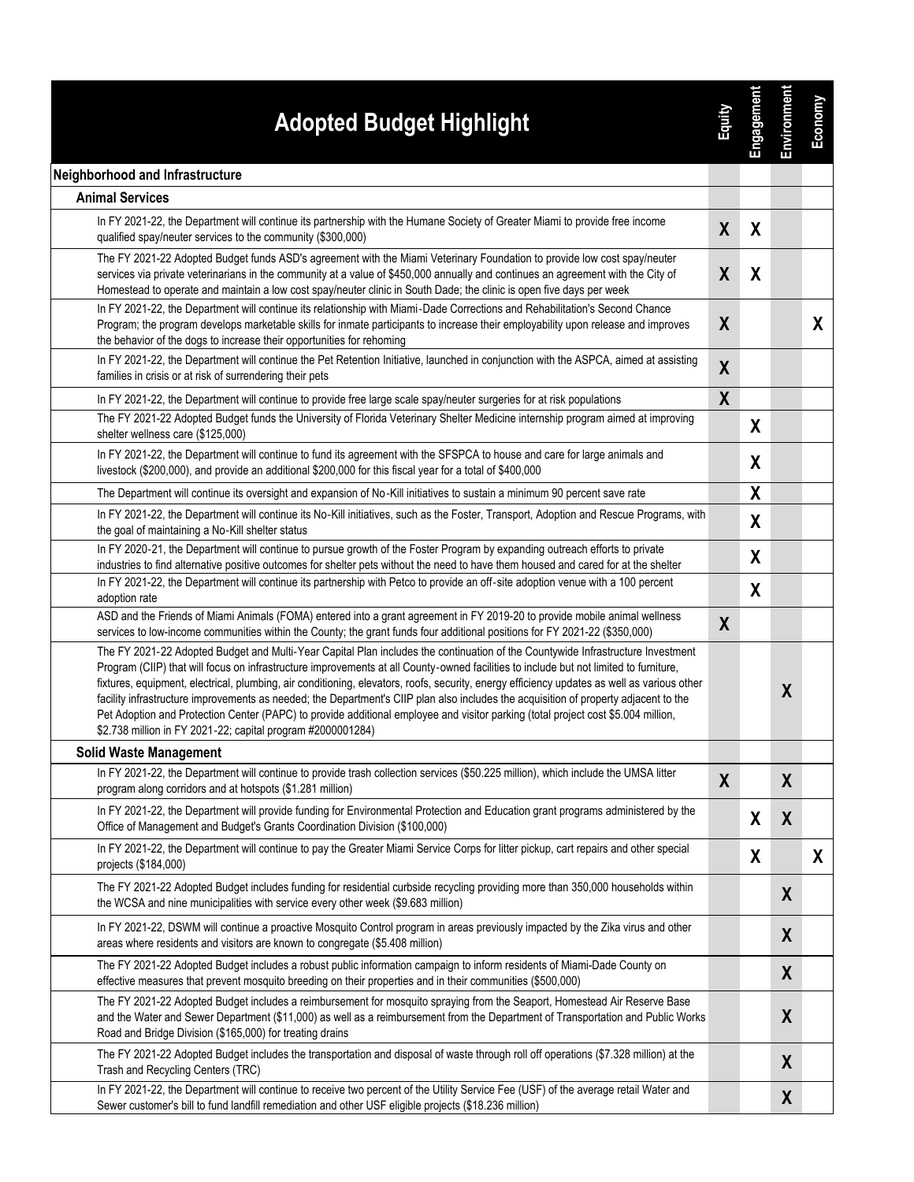| <b>Adopted Budget Highlight</b>                                                                                                                                                                                                                                                                                                                                                                                                                                                                                                                                                                                                                                                                                                                                     | <b>Rimit</b>     | Engagement       | Environment      | Economy |
|---------------------------------------------------------------------------------------------------------------------------------------------------------------------------------------------------------------------------------------------------------------------------------------------------------------------------------------------------------------------------------------------------------------------------------------------------------------------------------------------------------------------------------------------------------------------------------------------------------------------------------------------------------------------------------------------------------------------------------------------------------------------|------------------|------------------|------------------|---------|
| Neighborhood and Infrastructure                                                                                                                                                                                                                                                                                                                                                                                                                                                                                                                                                                                                                                                                                                                                     |                  |                  |                  |         |
| <b>Animal Services</b>                                                                                                                                                                                                                                                                                                                                                                                                                                                                                                                                                                                                                                                                                                                                              |                  |                  |                  |         |
| In FY 2021-22, the Department will continue its partnership with the Humane Society of Greater Miami to provide free income<br>qualified spay/neuter services to the community (\$300,000)                                                                                                                                                                                                                                                                                                                                                                                                                                                                                                                                                                          | X                | X                |                  |         |
| The FY 2021-22 Adopted Budget funds ASD's agreement with the Miami Veterinary Foundation to provide low cost spay/neuter<br>services via private veterinarians in the community at a value of \$450,000 annually and continues an agreement with the City of<br>Homestead to operate and maintain a low cost spay/neuter clinic in South Dade; the clinic is open five days per week                                                                                                                                                                                                                                                                                                                                                                                | X                | X                |                  |         |
| In FY 2021-22, the Department will continue its relationship with Miami-Dade Corrections and Rehabilitation's Second Chance<br>Program; the program develops marketable skills for inmate participants to increase their employability upon release and improves<br>the behavior of the dogs to increase their opportunities for rehoming                                                                                                                                                                                                                                                                                                                                                                                                                           | X                |                  |                  | X       |
| In FY 2021-22, the Department will continue the Pet Retention Initiative, launched in conjunction with the ASPCA, aimed at assisting<br>families in crisis or at risk of surrendering their pets                                                                                                                                                                                                                                                                                                                                                                                                                                                                                                                                                                    | $\boldsymbol{X}$ |                  |                  |         |
| In FY 2021-22, the Department will continue to provide free large scale spay/neuter surgeries for at risk populations                                                                                                                                                                                                                                                                                                                                                                                                                                                                                                                                                                                                                                               | $\boldsymbol{X}$ |                  |                  |         |
| The FY 2021-22 Adopted Budget funds the University of Florida Veterinary Shelter Medicine internship program aimed at improving<br>shelter wellness care (\$125,000)                                                                                                                                                                                                                                                                                                                                                                                                                                                                                                                                                                                                |                  | χ                |                  |         |
| In FY 2021-22, the Department will continue to fund its agreement with the SFSPCA to house and care for large animals and<br>livestock (\$200,000), and provide an additional \$200,000 for this fiscal year for a total of \$400,000                                                                                                                                                                                                                                                                                                                                                                                                                                                                                                                               |                  | χ                |                  |         |
| The Department will continue its oversight and expansion of No-Kill initiatives to sustain a minimum 90 percent save rate                                                                                                                                                                                                                                                                                                                                                                                                                                                                                                                                                                                                                                           |                  | X                |                  |         |
| In FY 2021-22, the Department will continue its No-Kill initiatives, such as the Foster, Transport, Adoption and Rescue Programs, with<br>the goal of maintaining a No-Kill shelter status                                                                                                                                                                                                                                                                                                                                                                                                                                                                                                                                                                          |                  | χ                |                  |         |
| In FY 2020-21, the Department will continue to pursue growth of the Foster Program by expanding outreach efforts to private<br>industries to find alternative positive outcomes for shelter pets without the need to have them housed and cared for at the shelter                                                                                                                                                                                                                                                                                                                                                                                                                                                                                                  |                  | χ                |                  |         |
| In FY 2021-22, the Department will continue its partnership with Petco to provide an off-site adoption venue with a 100 percent<br>adoption rate                                                                                                                                                                                                                                                                                                                                                                                                                                                                                                                                                                                                                    |                  | $\boldsymbol{X}$ |                  |         |
| ASD and the Friends of Miami Animals (FOMA) entered into a grant agreement in FY 2019-20 to provide mobile animal wellness<br>services to low-income communities within the County; the grant funds four additional positions for FY 2021-22 (\$350,000)                                                                                                                                                                                                                                                                                                                                                                                                                                                                                                            | X                |                  |                  |         |
| The FY 2021-22 Adopted Budget and Multi-Year Capital Plan includes the continuation of the Countywide Infrastructure Investment<br>Program (CIIP) that will focus on infrastructure improvements at all County-owned facilities to include but not limited to furniture,<br>fixtures, equipment, electrical, plumbing, air conditioning, elevators, roofs, security, energy efficiency updates as well as various other<br>facility infrastructure improvements as needed; the Department's CIIP plan also includes the acquisition of property adjacent to the<br>Pet Adoption and Protection Center (PAPC) to provide additional employee and visitor parking (total project cost \$5.004 million,<br>\$2.738 million in FY 2021-22; capital program #2000001284) |                  |                  | $\boldsymbol{X}$ |         |
| <b>Solid Waste Management</b>                                                                                                                                                                                                                                                                                                                                                                                                                                                                                                                                                                                                                                                                                                                                       |                  |                  |                  |         |
| In FY 2021-22, the Department will continue to provide trash collection services (\$50.225 million), which include the UMSA litter<br>program along corridors and at hotspots (\$1.281 million)                                                                                                                                                                                                                                                                                                                                                                                                                                                                                                                                                                     | X                |                  | X                |         |
| In FY 2021-22, the Department will provide funding for Environmental Protection and Education grant programs administered by the<br>Office of Management and Budget's Grants Coordination Division (\$100,000)                                                                                                                                                                                                                                                                                                                                                                                                                                                                                                                                                      |                  | X                | X                |         |
| In FY 2021-22, the Department will continue to pay the Greater Miami Service Corps for litter pickup, cart repairs and other special<br>projects (\$184,000)                                                                                                                                                                                                                                                                                                                                                                                                                                                                                                                                                                                                        |                  | X                |                  | X       |
| The FY 2021-22 Adopted Budget includes funding for residential curbside recycling providing more than 350,000 households within<br>the WCSA and nine municipalities with service every other week (\$9.683 million)                                                                                                                                                                                                                                                                                                                                                                                                                                                                                                                                                 |                  |                  | X                |         |
| In FY 2021-22, DSWM will continue a proactive Mosquito Control program in areas previously impacted by the Zika virus and other<br>areas where residents and visitors are known to congregate (\$5.408 million)                                                                                                                                                                                                                                                                                                                                                                                                                                                                                                                                                     |                  |                  | X                |         |
| The FY 2021-22 Adopted Budget includes a robust public information campaign to inform residents of Miami-Dade County on<br>effective measures that prevent mosquito breeding on their properties and in their communities (\$500,000)                                                                                                                                                                                                                                                                                                                                                                                                                                                                                                                               |                  |                  | X                |         |
| The FY 2021-22 Adopted Budget includes a reimbursement for mosquito spraying from the Seaport, Homestead Air Reserve Base<br>and the Water and Sewer Department (\$11,000) as well as a reimbursement from the Department of Transportation and Public Works<br>Road and Bridge Division (\$165,000) for treating drains                                                                                                                                                                                                                                                                                                                                                                                                                                            |                  |                  | $\boldsymbol{X}$ |         |
| The FY 2021-22 Adopted Budget includes the transportation and disposal of waste through roll off operations (\$7.328 million) at the<br>Trash and Recycling Centers (TRC)                                                                                                                                                                                                                                                                                                                                                                                                                                                                                                                                                                                           |                  |                  | X                |         |
| In FY 2021-22, the Department will continue to receive two percent of the Utility Service Fee (USF) of the average retail Water and<br>Sewer customer's bill to fund landfill remediation and other USF eligible projects (\$18.236 million)                                                                                                                                                                                                                                                                                                                                                                                                                                                                                                                        |                  |                  | X                |         |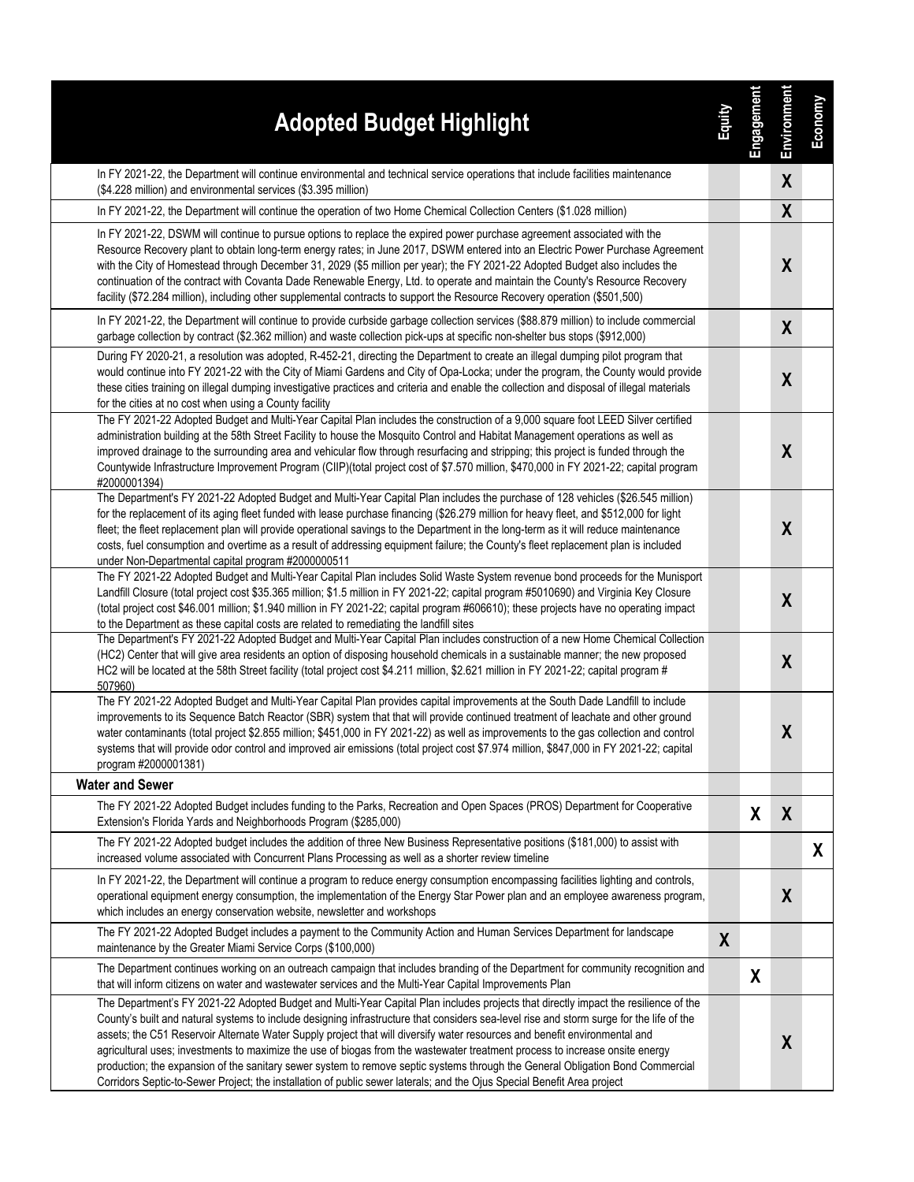| <b>Adopted Budget Highlight</b>                                                                                                                                                                                                                                                                                                                                                                                                                                                                                                                                                                                                                                                                                                                                                                            | <b>Equity</b> | Engagement | <b>Environment</b> | Economy |
|------------------------------------------------------------------------------------------------------------------------------------------------------------------------------------------------------------------------------------------------------------------------------------------------------------------------------------------------------------------------------------------------------------------------------------------------------------------------------------------------------------------------------------------------------------------------------------------------------------------------------------------------------------------------------------------------------------------------------------------------------------------------------------------------------------|---------------|------------|--------------------|---------|
| In FY 2021-22, the Department will continue environmental and technical service operations that include facilities maintenance<br>(\$4.228 million) and environmental services (\$3.395 million)                                                                                                                                                                                                                                                                                                                                                                                                                                                                                                                                                                                                           |               |            | X                  |         |
| In FY 2021-22, the Department will continue the operation of two Home Chemical Collection Centers (\$1.028 million)                                                                                                                                                                                                                                                                                                                                                                                                                                                                                                                                                                                                                                                                                        |               |            | $\boldsymbol{X}$   |         |
| In FY 2021-22, DSWM will continue to pursue options to replace the expired power purchase agreement associated with the<br>Resource Recovery plant to obtain long-term energy rates; in June 2017, DSWM entered into an Electric Power Purchase Agreement<br>with the City of Homestead through December 31, 2029 (\$5 million per year); the FY 2021-22 Adopted Budget also includes the<br>continuation of the contract with Covanta Dade Renewable Energy, Ltd. to operate and maintain the County's Resource Recovery<br>facility (\$72.284 million), including other supplemental contracts to support the Resource Recovery operation (\$501,500)                                                                                                                                                    |               |            | $\boldsymbol{X}$   |         |
| In FY 2021-22, the Department will continue to provide curbside garbage collection services (\$88.879 million) to include commercial<br>garbage collection by contract (\$2.362 million) and waste collection pick-ups at specific non-shelter bus stops (\$912,000)                                                                                                                                                                                                                                                                                                                                                                                                                                                                                                                                       |               |            | $\boldsymbol{X}$   |         |
| During FY 2020-21, a resolution was adopted, R-452-21, directing the Department to create an illegal dumping pilot program that<br>would continue into FY 2021-22 with the City of Miami Gardens and City of Opa-Locka; under the program, the County would provide<br>these cities training on illegal dumping investigative practices and criteria and enable the collection and disposal of illegal materials<br>for the cities at no cost when using a County facility                                                                                                                                                                                                                                                                                                                                 |               |            | $\boldsymbol{X}$   |         |
| The FY 2021-22 Adopted Budget and Multi-Year Capital Plan includes the construction of a 9,000 square foot LEED Silver certified<br>administration building at the 58th Street Facility to house the Mosquito Control and Habitat Management operations as well as<br>improved drainage to the surrounding area and vehicular flow through resurfacing and stripping; this project is funded through the<br>Countywide Infrastructure Improvement Program (CIIP)(total project cost of \$7.570 million, \$470,000 in FY 2021-22; capital program<br>#2000001394)                                                                                                                                                                                                                                           |               |            | $\boldsymbol{X}$   |         |
| The Department's FY 2021-22 Adopted Budget and Multi-Year Capital Plan includes the purchase of 128 vehicles (\$26.545 million)<br>for the replacement of its aging fleet funded with lease purchase financing (\$26.279 million for heavy fleet, and \$512,000 for light<br>fleet; the fleet replacement plan will provide operational savings to the Department in the long-term as it will reduce maintenance<br>costs, fuel consumption and overtime as a result of addressing equipment failure; the County's fleet replacement plan is included<br>under Non-Departmental capital program #2000000511                                                                                                                                                                                                |               |            | X                  |         |
| The FY 2021-22 Adopted Budget and Multi-Year Capital Plan includes Solid Waste System revenue bond proceeds for the Munisport<br>Landfill Closure (total project cost \$35.365 million; \$1.5 million in FY 2021-22; capital program #5010690) and Virginia Key Closure<br>(total project cost \$46.001 million; \$1.940 million in FY 2021-22; capital program #606610); these projects have no operating impact<br>to the Department as these capital costs are related to remediating the landfill sites                                                                                                                                                                                                                                                                                                |               |            | $\boldsymbol{X}$   |         |
| The Department's FY 2021-22 Adopted Budget and Multi-Year Capital Plan includes construction of a new Home Chemical Collection<br>(HC2) Center that will give area residents an option of disposing household chemicals in a sustainable manner; the new proposed<br>HC2 will be located at the 58th Street facility (total project cost \$4.211 million, \$2.621 million in FY 2021-22; capital program #<br>507960)                                                                                                                                                                                                                                                                                                                                                                                      |               |            | $\boldsymbol{X}$   |         |
| The FY 2021-22 Adopted Budget and Multi-Year Capital Plan provides capital improvements at the South Dade Landfill to include<br>improvements to its Sequence Batch Reactor (SBR) system that that will provide continued treatment of leachate and other ground<br>water contaminants (total project \$2.855 million; \$451,000 in FY 2021-22) as well as improvements to the gas collection and control<br>systems that will provide odor control and improved air emissions (total project cost \$7.974 million, \$847,000 in FY 2021-22; capital<br>program #2000001381)                                                                                                                                                                                                                               |               |            | X                  |         |
| <b>Water and Sewer</b>                                                                                                                                                                                                                                                                                                                                                                                                                                                                                                                                                                                                                                                                                                                                                                                     |               |            |                    |         |
| The FY 2021-22 Adopted Budget includes funding to the Parks, Recreation and Open Spaces (PROS) Department for Cooperative<br>Extension's Florida Yards and Neighborhoods Program (\$285,000)                                                                                                                                                                                                                                                                                                                                                                                                                                                                                                                                                                                                               |               | X          | X                  |         |
| The FY 2021-22 Adopted budget includes the addition of three New Business Representative positions (\$181,000) to assist with<br>increased volume associated with Concurrent Plans Processing as well as a shorter review timeline                                                                                                                                                                                                                                                                                                                                                                                                                                                                                                                                                                         |               |            |                    | X       |
| In FY 2021-22, the Department will continue a program to reduce energy consumption encompassing facilities lighting and controls,<br>operational equipment energy consumption, the implementation of the Energy Star Power plan and an employee awareness program,<br>which includes an energy conservation website, newsletter and workshops                                                                                                                                                                                                                                                                                                                                                                                                                                                              |               |            | X                  |         |
| The FY 2021-22 Adopted Budget includes a payment to the Community Action and Human Services Department for landscape<br>maintenance by the Greater Miami Service Corps (\$100,000)                                                                                                                                                                                                                                                                                                                                                                                                                                                                                                                                                                                                                         | X             |            |                    |         |
| The Department continues working on an outreach campaign that includes branding of the Department for community recognition and<br>that will inform citizens on water and wastewater services and the Multi-Year Capital Improvements Plan                                                                                                                                                                                                                                                                                                                                                                                                                                                                                                                                                                 |               | X          |                    |         |
| The Department's FY 2021-22 Adopted Budget and Multi-Year Capital Plan includes projects that directly impact the resilience of the<br>County's built and natural systems to include designing infrastructure that considers sea-level rise and storm surge for the life of the<br>assets; the C51 Reservoir Alternate Water Supply project that will diversify water resources and benefit environmental and<br>agricultural uses; investments to maximize the use of biogas from the wastewater treatment process to increase onsite energy<br>production; the expansion of the sanitary sewer system to remove septic systems through the General Obligation Bond Commercial<br>Corridors Septic-to-Sewer Project; the installation of public sewer laterals; and the Ojus Special Benefit Area project |               |            | X                  |         |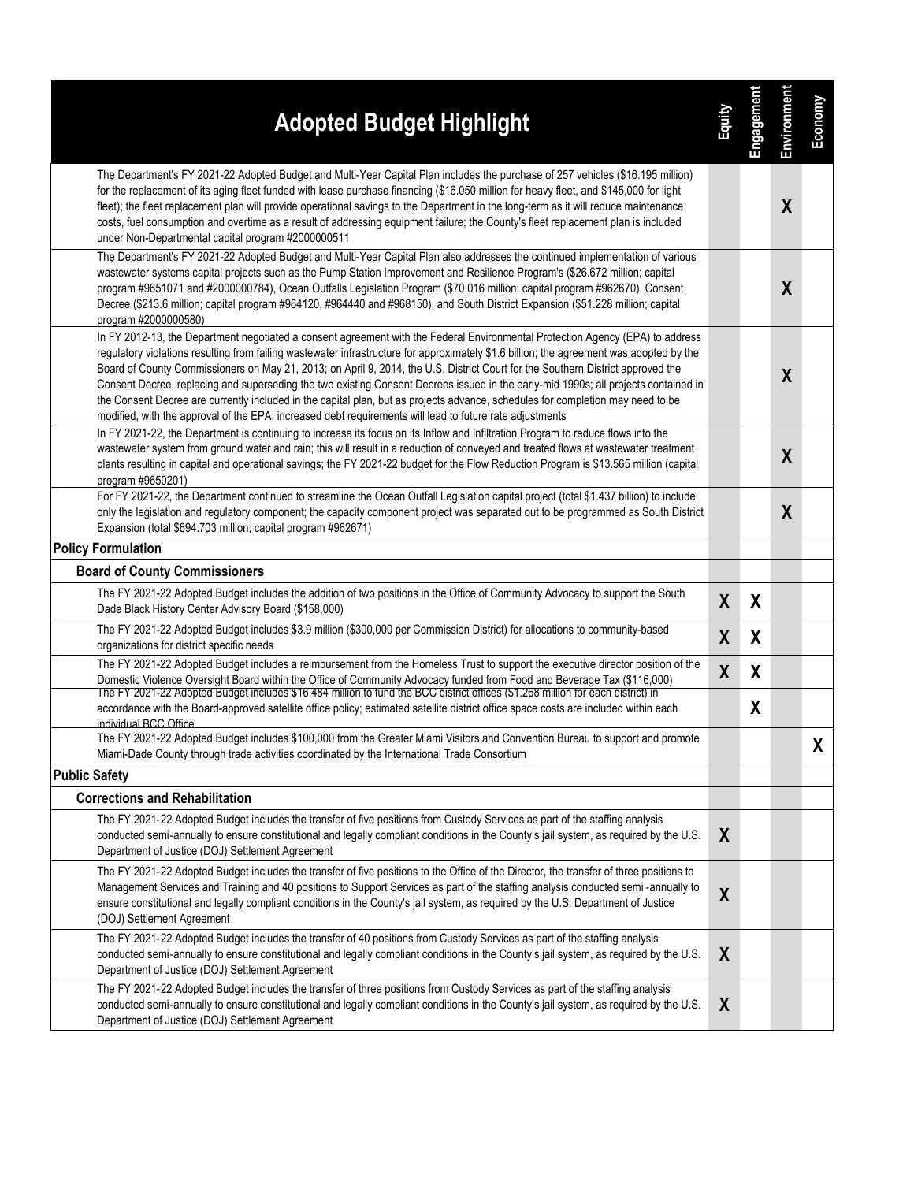| <b>Adopted Budget Highlight</b>                                                                                                                                                                                                                                                                                                                                                                                                                                                                                                                                                                                                                                                                                                                                                                     | <b>Zamic</b>     | Engagement | Environment      | Economy |
|-----------------------------------------------------------------------------------------------------------------------------------------------------------------------------------------------------------------------------------------------------------------------------------------------------------------------------------------------------------------------------------------------------------------------------------------------------------------------------------------------------------------------------------------------------------------------------------------------------------------------------------------------------------------------------------------------------------------------------------------------------------------------------------------------------|------------------|------------|------------------|---------|
| The Department's FY 2021-22 Adopted Budget and Multi-Year Capital Plan includes the purchase of 257 vehicles (\$16.195 million)<br>for the replacement of its aging fleet funded with lease purchase financing (\$16.050 million for heavy fleet, and \$145,000 for light<br>fleet); the fleet replacement plan will provide operational savings to the Department in the long-term as it will reduce maintenance<br>costs, fuel consumption and overtime as a result of addressing equipment failure; the County's fleet replacement plan is included<br>under Non-Departmental capital program #2000000511                                                                                                                                                                                        |                  |            | X                |         |
| The Department's FY 2021-22 Adopted Budget and Multi-Year Capital Plan also addresses the continued implementation of various<br>wastewater systems capital projects such as the Pump Station Improvement and Resilience Program's (\$26.672 million; capital<br>program #9651071 and #2000000784), Ocean Outfalls Legislation Program (\$70.016 million; capital program #962670), Consent<br>Decree (\$213.6 million; capital program #964120, #964440 and #968150), and South District Expansion (\$51.228 million; capital<br>program #2000000580)                                                                                                                                                                                                                                              |                  |            | X                |         |
| In FY 2012-13, the Department negotiated a consent agreement with the Federal Environmental Protection Agency (EPA) to address<br>regulatory violations resulting from failing wastewater infrastructure for approximately \$1.6 billion; the agreement was adopted by the<br>Board of County Commissioners on May 21, 2013; on April 9, 2014, the U.S. District Court for the Southern District approved the<br>Consent Decree, replacing and superseding the two existing Consent Decrees issued in the early-mid 1990s; all projects contained in<br>the Consent Decree are currently included in the capital plan, but as projects advance, schedules for completion may need to be<br>modified, with the approval of the EPA; increased debt requirements will lead to future rate adjustments |                  |            | $\boldsymbol{X}$ |         |
| In FY 2021-22, the Department is continuing to increase its focus on its Inflow and Infiltration Program to reduce flows into the<br>wastewater system from ground water and rain; this will result in a reduction of conveyed and treated flows at wastewater treatment<br>plants resulting in capital and operational savings; the FY 2021-22 budget for the Flow Reduction Program is \$13.565 million (capital<br>program #9650201)                                                                                                                                                                                                                                                                                                                                                             |                  |            | $\boldsymbol{X}$ |         |
| For FY 2021-22, the Department continued to streamline the Ocean Outfall Legislation capital project (total \$1.437 billion) to include<br>only the legislation and regulatory component; the capacity component project was separated out to be programmed as South District<br>Expansion (total \$694.703 million; capital program #962671)                                                                                                                                                                                                                                                                                                                                                                                                                                                       |                  |            | X                |         |
| <b>Policy Formulation</b>                                                                                                                                                                                                                                                                                                                                                                                                                                                                                                                                                                                                                                                                                                                                                                           |                  |            |                  |         |
| <b>Board of County Commissioners</b>                                                                                                                                                                                                                                                                                                                                                                                                                                                                                                                                                                                                                                                                                                                                                                |                  |            |                  |         |
| The FY 2021-22 Adopted Budget includes the addition of two positions in the Office of Community Advocacy to support the South<br>Dade Black History Center Advisory Board (\$158,000)                                                                                                                                                                                                                                                                                                                                                                                                                                                                                                                                                                                                               | $\boldsymbol{X}$ | X          |                  |         |
| The FY 2021-22 Adopted Budget includes \$3.9 million (\$300,000 per Commission District) for allocations to community-based<br>organizations for district specific needs                                                                                                                                                                                                                                                                                                                                                                                                                                                                                                                                                                                                                            | $\boldsymbol{X}$ | χ          |                  |         |
| The FY 2021-22 Adopted Budget includes a reimbursement from the Homeless Trust to support the executive director position of the<br>Domestic Violence Oversight Board within the Office of Community Advocacy funded from Food and Beverage Tax (\$116,000)                                                                                                                                                                                                                                                                                                                                                                                                                                                                                                                                         | $\boldsymbol{X}$ | χ          |                  |         |
| The FY 2021-22 Adopted Budget includes \$16.484 million to fund the BCC district offices (\$1.268 million for each district) in<br>accordance with the Board-approved satellite office policy; estimated satellite district office space costs are included within each<br>individual BCC Office                                                                                                                                                                                                                                                                                                                                                                                                                                                                                                    |                  | χ          |                  |         |
| The FY 2021-22 Adopted Budget includes \$100,000 from the Greater Miami Visitors and Convention Bureau to support and promote<br>Miami-Dade County through trade activities coordinated by the International Trade Consortium                                                                                                                                                                                                                                                                                                                                                                                                                                                                                                                                                                       |                  |            |                  | X.      |
| <b>Public Safety</b>                                                                                                                                                                                                                                                                                                                                                                                                                                                                                                                                                                                                                                                                                                                                                                                |                  |            |                  |         |
| <b>Corrections and Rehabilitation</b>                                                                                                                                                                                                                                                                                                                                                                                                                                                                                                                                                                                                                                                                                                                                                               |                  |            |                  |         |
| The FY 2021-22 Adopted Budget includes the transfer of five positions from Custody Services as part of the staffing analysis<br>conducted semi-annually to ensure constitutional and legally compliant conditions in the County's jail system, as required by the U.S.<br>Department of Justice (DOJ) Settlement Agreement                                                                                                                                                                                                                                                                                                                                                                                                                                                                          | X                |            |                  |         |
| The FY 2021-22 Adopted Budget includes the transfer of five positions to the Office of the Director, the transfer of three positions to<br>Management Services and Training and 40 positions to Support Services as part of the staffing analysis conducted semi-annually to<br>ensure constitutional and legally compliant conditions in the County's jail system, as required by the U.S. Department of Justice<br>(DOJ) Settlement Agreement                                                                                                                                                                                                                                                                                                                                                     | $\boldsymbol{X}$ |            |                  |         |
| The FY 2021-22 Adopted Budget includes the transfer of 40 positions from Custody Services as part of the staffing analysis<br>conducted semi-annually to ensure constitutional and legally compliant conditions in the County's jail system, as required by the U.S.<br>Department of Justice (DOJ) Settlement Agreement                                                                                                                                                                                                                                                                                                                                                                                                                                                                            | X                |            |                  |         |
| The FY 2021-22 Adopted Budget includes the transfer of three positions from Custody Services as part of the staffing analysis<br>conducted semi-annually to ensure constitutional and legally compliant conditions in the County's jail system, as required by the U.S.<br>Department of Justice (DOJ) Settlement Agreement                                                                                                                                                                                                                                                                                                                                                                                                                                                                         | X                |            |                  |         |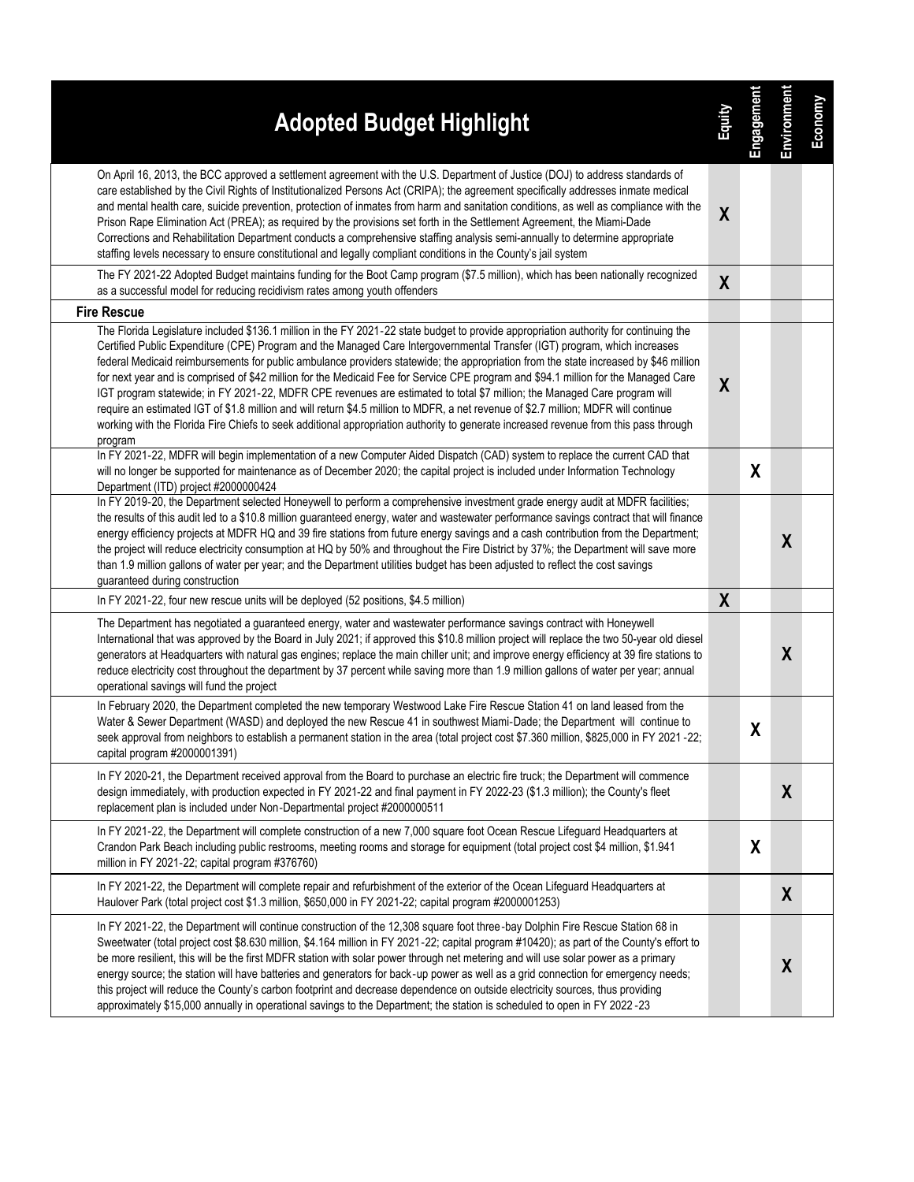| <b>Adopted Budget Highlight</b>                                                                                                                                                                                                                                                                                                                                                                                                                                                                                                                                                                                                                                                                                                                                                                                                                                                                                                                                          | <b>Zulup</b>     | Engagement | Environment      | Economy |
|--------------------------------------------------------------------------------------------------------------------------------------------------------------------------------------------------------------------------------------------------------------------------------------------------------------------------------------------------------------------------------------------------------------------------------------------------------------------------------------------------------------------------------------------------------------------------------------------------------------------------------------------------------------------------------------------------------------------------------------------------------------------------------------------------------------------------------------------------------------------------------------------------------------------------------------------------------------------------|------------------|------------|------------------|---------|
| On April 16, 2013, the BCC approved a settlement agreement with the U.S. Department of Justice (DOJ) to address standards of<br>care established by the Civil Rights of Institutionalized Persons Act (CRIPA); the agreement specifically addresses inmate medical<br>and mental health care, suicide prevention, protection of inmates from harm and sanitation conditions, as well as compliance with the<br>Prison Rape Elimination Act (PREA); as required by the provisions set forth in the Settlement Agreement, the Miami-Dade<br>Corrections and Rehabilitation Department conducts a comprehensive staffing analysis semi-annually to determine appropriate<br>staffing levels necessary to ensure constitutional and legally compliant conditions in the County's jail system                                                                                                                                                                                 | $\boldsymbol{X}$ |            |                  |         |
| The FY 2021-22 Adopted Budget maintains funding for the Boot Camp program (\$7.5 million), which has been nationally recognized<br>as a successful model for reducing recidivism rates among youth offenders                                                                                                                                                                                                                                                                                                                                                                                                                                                                                                                                                                                                                                                                                                                                                             | X                |            |                  |         |
| <b>Fire Rescue</b>                                                                                                                                                                                                                                                                                                                                                                                                                                                                                                                                                                                                                                                                                                                                                                                                                                                                                                                                                       |                  |            |                  |         |
| The Florida Legislature included \$136.1 million in the FY 2021-22 state budget to provide appropriation authority for continuing the<br>Certified Public Expenditure (CPE) Program and the Managed Care Intergovernmental Transfer (IGT) program, which increases<br>federal Medicaid reimbursements for public ambulance providers statewide; the appropriation from the state increased by \$46 million<br>for next year and is comprised of \$42 million for the Medicaid Fee for Service CPE program and \$94.1 million for the Managed Care<br>IGT program statewide; in FY 2021-22, MDFR CPE revenues are estimated to total \$7 million; the Managed Care program will<br>require an estimated IGT of \$1.8 million and will return \$4.5 million to MDFR, a net revenue of \$2.7 million; MDFR will continue<br>working with the Florida Fire Chiefs to seek additional appropriation authority to generate increased revenue from this pass through<br>program | $\boldsymbol{X}$ |            |                  |         |
| In FY 2021-22, MDFR will begin implementation of a new Computer Aided Dispatch (CAD) system to replace the current CAD that<br>will no longer be supported for maintenance as of December 2020; the capital project is included under Information Technology<br>Department (ITD) project #2000000424                                                                                                                                                                                                                                                                                                                                                                                                                                                                                                                                                                                                                                                                     |                  | X          |                  |         |
| In FY 2019-20, the Department selected Honeywell to perform a comprehensive investment grade energy audit at MDFR facilities;<br>the results of this audit led to a \$10.8 million guaranteed energy, water and wastewater performance savings contract that will finance<br>energy efficiency projects at MDFR HQ and 39 fire stations from future energy savings and a cash contribution from the Department;<br>the project will reduce electricity consumption at HQ by 50% and throughout the Fire District by 37%; the Department will save more<br>than 1.9 million gallons of water per year; and the Department utilities budget has been adjusted to reflect the cost savings<br>guaranteed during construction                                                                                                                                                                                                                                                |                  |            | X                |         |
| In FY 2021-22, four new rescue units will be deployed (52 positions, \$4.5 million)                                                                                                                                                                                                                                                                                                                                                                                                                                                                                                                                                                                                                                                                                                                                                                                                                                                                                      | $\boldsymbol{X}$ |            |                  |         |
| The Department has negotiated a guaranteed energy, water and wastewater performance savings contract with Honeywell<br>International that was approved by the Board in July 2021; if approved this \$10.8 million project will replace the two 50-year old diesel<br>generators at Headquarters with natural gas engines; replace the main chiller unit; and improve energy efficiency at 39 fire stations to<br>reduce electricity cost throughout the department by 37 percent while saving more than 1.9 million gallons of water per year; annual<br>operational savings will fund the project                                                                                                                                                                                                                                                                                                                                                                       |                  |            | $\boldsymbol{X}$ |         |
| In February 2020, the Department completed the new temporary Westwood Lake Fire Rescue Station 41 on land leased from the<br>Water & Sewer Department (WASD) and deployed the new Rescue 41 in southwest Miami-Dade; the Department will continue to<br>seek approval from neighbors to establish a permanent station in the area (total project cost \$7.360 million, \$825,000 in FY 2021-22;<br>capital program #2000001391)                                                                                                                                                                                                                                                                                                                                                                                                                                                                                                                                          |                  | X          |                  |         |
| In FY 2020-21, the Department received approval from the Board to purchase an electric fire truck; the Department will commence<br>design immediately, with production expected in FY 2021-22 and final payment in FY 2022-23 (\$1.3 million); the County's fleet<br>replacement plan is included under Non-Departmental project #2000000511                                                                                                                                                                                                                                                                                                                                                                                                                                                                                                                                                                                                                             |                  |            | X                |         |
| In FY 2021-22, the Department will complete construction of a new 7,000 square foot Ocean Rescue Lifeguard Headquarters at<br>Crandon Park Beach including public restrooms, meeting rooms and storage for equipment (total project cost \$4 million, \$1.941<br>million in FY 2021-22; capital program #376760)                                                                                                                                                                                                                                                                                                                                                                                                                                                                                                                                                                                                                                                         |                  | X          |                  |         |
| In FY 2021-22, the Department will complete repair and refurbishment of the exterior of the Ocean Lifeguard Headquarters at<br>Haulover Park (total project cost \$1.3 million, \$650,000 in FY 2021-22; capital program #2000001253)                                                                                                                                                                                                                                                                                                                                                                                                                                                                                                                                                                                                                                                                                                                                    |                  |            | X                |         |
| In FY 2021-22, the Department will continue construction of the 12,308 square foot three-bay Dolphin Fire Rescue Station 68 in<br>Sweetwater (total project cost \$8.630 million, \$4.164 million in FY 2021-22; capital program #10420); as part of the County's effort to<br>be more resilient, this will be the first MDFR station with solar power through net metering and will use solar power as a primary<br>energy source; the station will have batteries and generators for back-up power as well as a grid connection for emergency needs;<br>this project will reduce the County's carbon footprint and decrease dependence on outside electricity sources, thus providing<br>approximately \$15,000 annually in operational savings to the Department; the station is scheduled to open in FY 2022 -23                                                                                                                                                     |                  |            | $\boldsymbol{X}$ |         |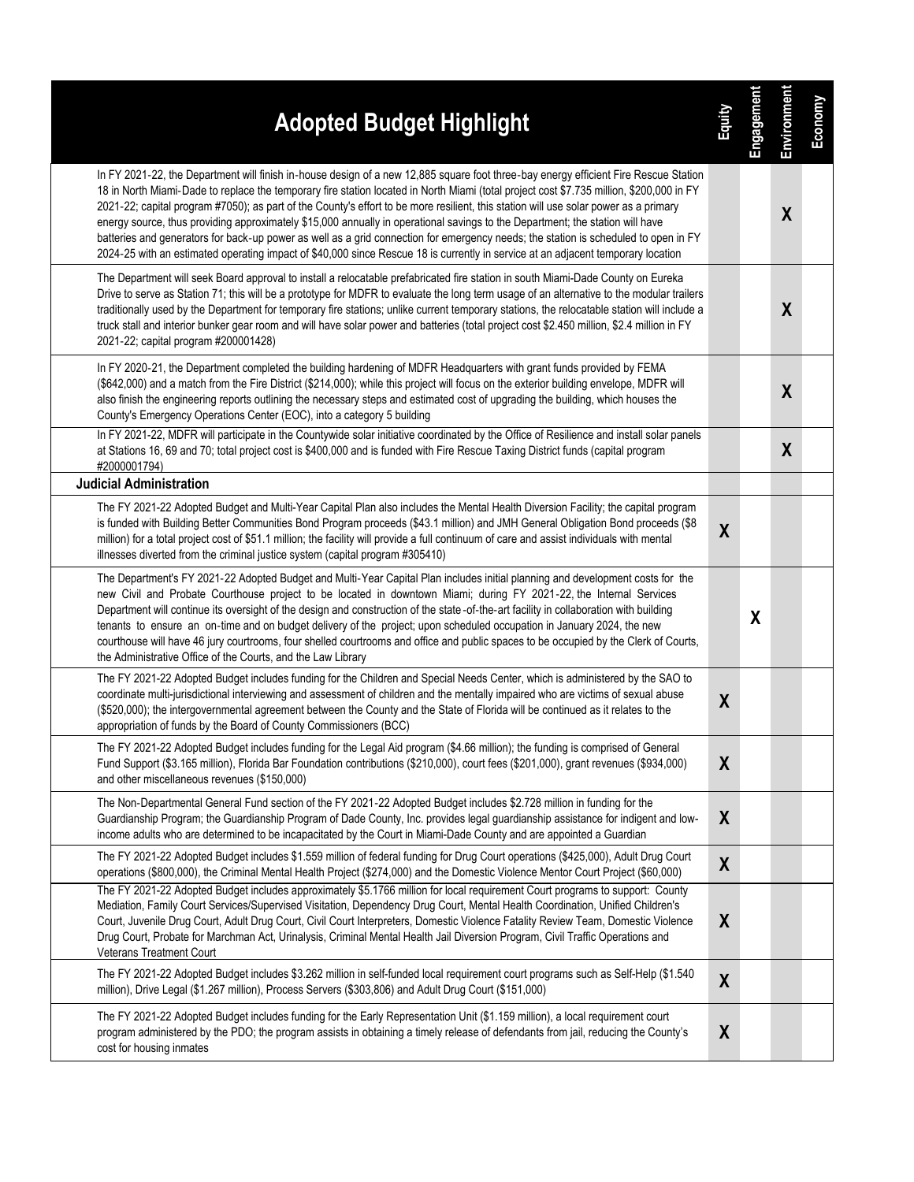| <b>Adopted Budget Highlight</b>                                                                                                                                                                                                                                                                                                                                                                                                                                                                                                                                                                                                                                                                                                                                                                                                      | <b>Equity</b>    | Engagement | Environment      | Economy |
|--------------------------------------------------------------------------------------------------------------------------------------------------------------------------------------------------------------------------------------------------------------------------------------------------------------------------------------------------------------------------------------------------------------------------------------------------------------------------------------------------------------------------------------------------------------------------------------------------------------------------------------------------------------------------------------------------------------------------------------------------------------------------------------------------------------------------------------|------------------|------------|------------------|---------|
| In FY 2021-22, the Department will finish in-house design of a new 12,885 square foot three-bay energy efficient Fire Rescue Station<br>18 in North Miami-Dade to replace the temporary fire station located in North Miami (total project cost \$7.735 million, \$200,000 in FY<br>2021-22; capital program #7050); as part of the County's effort to be more resilient, this station will use solar power as a primary<br>energy source, thus providing approximately \$15,000 annually in operational savings to the Department; the station will have<br>batteries and generators for back-up power as well as a grid connection for emergency needs; the station is scheduled to open in FY<br>2024-25 with an estimated operating impact of \$40,000 since Rescue 18 is currently in service at an adjacent temporary location |                  |            | $\boldsymbol{X}$ |         |
| The Department will seek Board approval to install a relocatable prefabricated fire station in south Miami-Dade County on Eureka<br>Drive to serve as Station 71; this will be a prototype for MDFR to evaluate the long term usage of an alternative to the modular trailers<br>traditionally used by the Department for temporary fire stations; unlike current temporary stations, the relocatable station will include a<br>truck stall and interior bunker gear room and will have solar power and batteries (total project cost \$2.450 million, \$2.4 million in FY<br>2021-22; capital program #200001428)                                                                                                                                                                                                                   |                  |            | X                |         |
| In FY 2020-21, the Department completed the building hardening of MDFR Headquarters with grant funds provided by FEMA<br>(\$642,000) and a match from the Fire District (\$214,000); while this project will focus on the exterior building envelope, MDFR will<br>also finish the engineering reports outlining the necessary steps and estimated cost of upgrading the building, which houses the<br>County's Emergency Operations Center (EOC), into a category 5 building                                                                                                                                                                                                                                                                                                                                                        |                  |            | $\boldsymbol{X}$ |         |
| In FY 2021-22, MDFR will participate in the Countywide solar initiative coordinated by the Office of Resilience and install solar panels<br>at Stations 16, 69 and 70; total project cost is \$400,000 and is funded with Fire Rescue Taxing District funds (capital program<br>#2000001794)                                                                                                                                                                                                                                                                                                                                                                                                                                                                                                                                         |                  |            | $\boldsymbol{X}$ |         |
| <b>Judicial Administration</b>                                                                                                                                                                                                                                                                                                                                                                                                                                                                                                                                                                                                                                                                                                                                                                                                       |                  |            |                  |         |
| The FY 2021-22 Adopted Budget and Multi-Year Capital Plan also includes the Mental Health Diversion Facility; the capital program<br>is funded with Building Better Communities Bond Program proceeds (\$43.1 million) and JMH General Obligation Bond proceeds (\$8<br>million) for a total project cost of \$51.1 million; the facility will provide a full continuum of care and assist individuals with mental<br>illnesses diverted from the criminal justice system (capital program #305410)                                                                                                                                                                                                                                                                                                                                  | $\boldsymbol{X}$ |            |                  |         |
| The Department's FY 2021-22 Adopted Budget and Multi-Year Capital Plan includes initial planning and development costs for the<br>new Civil and Probate Courthouse project to be located in downtown Miami; during FY 2021-22, the Internal Services<br>Department will continue its oversight of the design and construction of the state-of-the-art facility in collaboration with building<br>tenants to ensure an on-time and on budget delivery of the project; upon scheduled occupation in January 2024, the new<br>courthouse will have 46 jury courtrooms, four shelled courtrooms and office and public spaces to be occupied by the Clerk of Courts,<br>the Administrative Office of the Courts, and the Law Library                                                                                                      |                  | X          |                  |         |
| The FY 2021-22 Adopted Budget includes funding for the Children and Special Needs Center, which is administered by the SAO to<br>coordinate multi-jurisdictional interviewing and assessment of children and the mentally impaired who are victims of sexual abuse<br>(\$520,000); the intergovernmental agreement between the County and the State of Florida will be continued as it relates to the<br>appropriation of funds by the Board of County Commissioners (BCC)                                                                                                                                                                                                                                                                                                                                                           | $\boldsymbol{X}$ |            |                  |         |
| The FY 2021-22 Adopted Budget includes funding for the Legal Aid program (\$4.66 million); the funding is comprised of General<br>Fund Support (\$3.165 million), Florida Bar Foundation contributions (\$210,000), court fees (\$201,000), grant revenues (\$934,000)<br>and other miscellaneous revenues (\$150,000)                                                                                                                                                                                                                                                                                                                                                                                                                                                                                                               | X                |            |                  |         |
| The Non-Departmental General Fund section of the FY 2021-22 Adopted Budget includes \$2.728 million in funding for the<br>Guardianship Program; the Guardianship Program of Dade County, Inc. provides legal guardianship assistance for indigent and low-<br>income adults who are determined to be incapacitated by the Court in Miami-Dade County and are appointed a Guardian                                                                                                                                                                                                                                                                                                                                                                                                                                                    | X                |            |                  |         |
| The FY 2021-22 Adopted Budget includes \$1.559 million of federal funding for Drug Court operations (\$425,000), Adult Drug Court<br>operations (\$800,000), the Criminal Mental Health Project (\$274,000) and the Domestic Violence Mentor Court Project (\$60,000)                                                                                                                                                                                                                                                                                                                                                                                                                                                                                                                                                                | X                |            |                  |         |
| The FY 2021-22 Adopted Budget includes approximately \$5.1766 million for local requirement Court programs to support: County<br>Mediation, Family Court Services/Supervised Visitation, Dependency Drug Court, Mental Health Coordination, Unified Children's<br>Court, Juvenile Drug Court, Adult Drug Court, Civil Court Interpreters, Domestic Violence Fatality Review Team, Domestic Violence<br>Drug Court, Probate for Marchman Act, Urinalysis, Criminal Mental Health Jail Diversion Program, Civil Traffic Operations and<br><b>Veterans Treatment Court</b>                                                                                                                                                                                                                                                              | $\boldsymbol{X}$ |            |                  |         |
| The FY 2021-22 Adopted Budget includes \$3.262 million in self-funded local requirement court programs such as Self-Help (\$1.540<br>million), Drive Legal (\$1.267 million), Process Servers (\$303,806) and Adult Drug Court (\$151,000)                                                                                                                                                                                                                                                                                                                                                                                                                                                                                                                                                                                           | X                |            |                  |         |
| The FY 2021-22 Adopted Budget includes funding for the Early Representation Unit (\$1.159 million), a local requirement court<br>program administered by the PDO; the program assists in obtaining a timely release of defendants from jail, reducing the County's<br>cost for housing inmates                                                                                                                                                                                                                                                                                                                                                                                                                                                                                                                                       | X                |            |                  |         |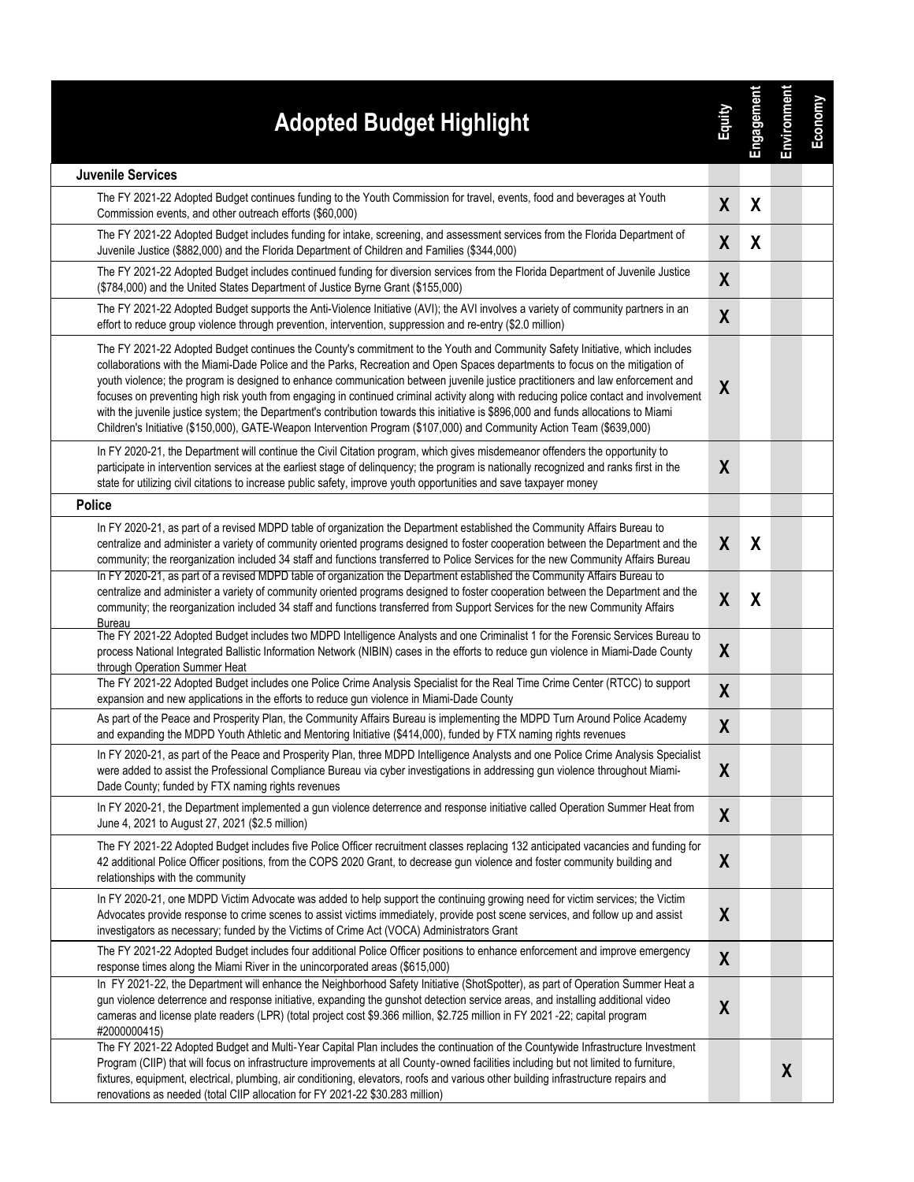| <b>Adopted Budget Highlight</b>                                                                                                                                                                                                                                                                                                                                                                                                                                                                                                                                                                                                                                                                                                                                                                           | 富                | Engagement | Environment      | Economy |
|-----------------------------------------------------------------------------------------------------------------------------------------------------------------------------------------------------------------------------------------------------------------------------------------------------------------------------------------------------------------------------------------------------------------------------------------------------------------------------------------------------------------------------------------------------------------------------------------------------------------------------------------------------------------------------------------------------------------------------------------------------------------------------------------------------------|------------------|------------|------------------|---------|
| <b>Juvenile Services</b>                                                                                                                                                                                                                                                                                                                                                                                                                                                                                                                                                                                                                                                                                                                                                                                  |                  |            |                  |         |
| The FY 2021-22 Adopted Budget continues funding to the Youth Commission for travel, events, food and beverages at Youth<br>Commission events, and other outreach efforts (\$60,000)                                                                                                                                                                                                                                                                                                                                                                                                                                                                                                                                                                                                                       | $\boldsymbol{X}$ | X          |                  |         |
| The FY 2021-22 Adopted Budget includes funding for intake, screening, and assessment services from the Florida Department of<br>Juvenile Justice (\$882,000) and the Florida Department of Children and Families (\$344,000)                                                                                                                                                                                                                                                                                                                                                                                                                                                                                                                                                                              | X                | X          |                  |         |
| The FY 2021-22 Adopted Budget includes continued funding for diversion services from the Florida Department of Juvenile Justice<br>(\$784,000) and the United States Department of Justice Byrne Grant (\$155,000)                                                                                                                                                                                                                                                                                                                                                                                                                                                                                                                                                                                        | $\boldsymbol{X}$ |            |                  |         |
| The FY 2021-22 Adopted Budget supports the Anti-Violence Initiative (AVI); the AVI involves a variety of community partners in an<br>effort to reduce group violence through prevention, intervention, suppression and re-entry (\$2.0 million)                                                                                                                                                                                                                                                                                                                                                                                                                                                                                                                                                           | X                |            |                  |         |
| The FY 2021-22 Adopted Budget continues the County's commitment to the Youth and Community Safety Initiative, which includes<br>collaborations with the Miami-Dade Police and the Parks, Recreation and Open Spaces departments to focus on the mitigation of<br>youth violence; the program is designed to enhance communication between juvenile justice practitioners and law enforcement and<br>focuses on preventing high risk youth from engaging in continued criminal activity along with reducing police contact and involvement<br>with the juvenile justice system; the Department's contribution towards this initiative is \$896,000 and funds allocations to Miami<br>Children's Initiative (\$150,000), GATE-Weapon Intervention Program (\$107,000) and Community Action Team (\$639,000) | $\boldsymbol{X}$ |            |                  |         |
| In FY 2020-21, the Department will continue the Civil Citation program, which gives misdemeanor offenders the opportunity to<br>participate in intervention services at the earliest stage of delinquency; the program is nationally recognized and ranks first in the<br>state for utilizing civil citations to increase public safety, improve youth opportunities and save taxpayer money                                                                                                                                                                                                                                                                                                                                                                                                              | $\boldsymbol{X}$ |            |                  |         |
| <b>Police</b>                                                                                                                                                                                                                                                                                                                                                                                                                                                                                                                                                                                                                                                                                                                                                                                             |                  |            |                  |         |
| In FY 2020-21, as part of a revised MDPD table of organization the Department established the Community Affairs Bureau to<br>centralize and administer a variety of community oriented programs designed to foster cooperation between the Department and the<br>community; the reorganization included 34 staff and functions transferred to Police Services for the new Community Affairs Bureau                                                                                                                                                                                                                                                                                                                                                                                                        | $\boldsymbol{X}$ | X          |                  |         |
| In FY 2020-21, as part of a revised MDPD table of organization the Department established the Community Affairs Bureau to<br>centralize and administer a variety of community oriented programs designed to foster cooperation between the Department and the<br>community; the reorganization included 34 staff and functions transferred from Support Services for the new Community Affairs<br>Bureau                                                                                                                                                                                                                                                                                                                                                                                                  | $\boldsymbol{X}$ | X          |                  |         |
| The FY 2021-22 Adopted Budget includes two MDPD Intelligence Analysts and one Criminalist 1 for the Forensic Services Bureau to<br>process National Integrated Ballistic Information Network (NIBIN) cases in the efforts to reduce gun violence in Miami-Dade County<br>through Operation Summer Heat                                                                                                                                                                                                                                                                                                                                                                                                                                                                                                    | X                |            |                  |         |
| The FY 2021-22 Adopted Budget includes one Police Crime Analysis Specialist for the Real Time Crime Center (RTCC) to support<br>expansion and new applications in the efforts to reduce gun violence in Miami-Dade County                                                                                                                                                                                                                                                                                                                                                                                                                                                                                                                                                                                 | $\boldsymbol{X}$ |            |                  |         |
| As part of the Peace and Prosperity Plan, the Community Affairs Bureau is implementing the MDPD Turn Around Police Academy<br>and expanding the MDPD Youth Athletic and Mentoring Initiative (\$414,000), funded by FTX naming rights revenues                                                                                                                                                                                                                                                                                                                                                                                                                                                                                                                                                            | X                |            |                  |         |
| In FY 2020-21, as part of the Peace and Prosperity Plan, three MDPD Intelligence Analysts and one Police Crime Analysis Specialist<br>were added to assist the Professional Compliance Bureau via cyber investigations in addressing gun violence throughout Miami-<br>Dade County; funded by FTX naming rights revenues                                                                                                                                                                                                                                                                                                                                                                                                                                                                                  | X                |            |                  |         |
| In FY 2020-21, the Department implemented a gun violence deterrence and response initiative called Operation Summer Heat from<br>June 4, 2021 to August 27, 2021 (\$2.5 million)                                                                                                                                                                                                                                                                                                                                                                                                                                                                                                                                                                                                                          | $\boldsymbol{X}$ |            |                  |         |
| The FY 2021-22 Adopted Budget includes five Police Officer recruitment classes replacing 132 anticipated vacancies and funding for<br>42 additional Police Officer positions, from the COPS 2020 Grant, to decrease gun violence and foster community building and<br>relationships with the community                                                                                                                                                                                                                                                                                                                                                                                                                                                                                                    | X                |            |                  |         |
| In FY 2020-21, one MDPD Victim Advocate was added to help support the continuing growing need for victim services; the Victim<br>Advocates provide response to crime scenes to assist victims immediately, provide post scene services, and follow up and assist<br>investigators as necessary; funded by the Victims of Crime Act (VOCA) Administrators Grant                                                                                                                                                                                                                                                                                                                                                                                                                                            | X                |            |                  |         |
| The FY 2021-22 Adopted Budget includes four additional Police Officer positions to enhance enforcement and improve emergency<br>response times along the Miami River in the unincorporated areas (\$615,000)                                                                                                                                                                                                                                                                                                                                                                                                                                                                                                                                                                                              | $\boldsymbol{X}$ |            |                  |         |
| In FY 2021-22, the Department will enhance the Neighborhood Safety Initiative (ShotSpotter), as part of Operation Summer Heat a<br>gun violence deterrence and response initiative, expanding the gunshot detection service areas, and installing additional video<br>cameras and license plate readers (LPR) (total project cost \$9.366 million, \$2.725 million in FY 2021 -22; capital program<br>#2000000415)                                                                                                                                                                                                                                                                                                                                                                                        | $\boldsymbol{X}$ |            |                  |         |
| The FY 2021-22 Adopted Budget and Multi-Year Capital Plan includes the continuation of the Countywide Infrastructure Investment<br>Program (CIIP) that will focus on infrastructure improvements at all County-owned facilities including but not limited to furniture,<br>fixtures, equipment, electrical, plumbing, air conditioning, elevators, roofs and various other building infrastructure repairs and<br>renovations as needed (total CIIP allocation for FY 2021-22 \$30.283 million)                                                                                                                                                                                                                                                                                                           |                  |            | $\boldsymbol{X}$ |         |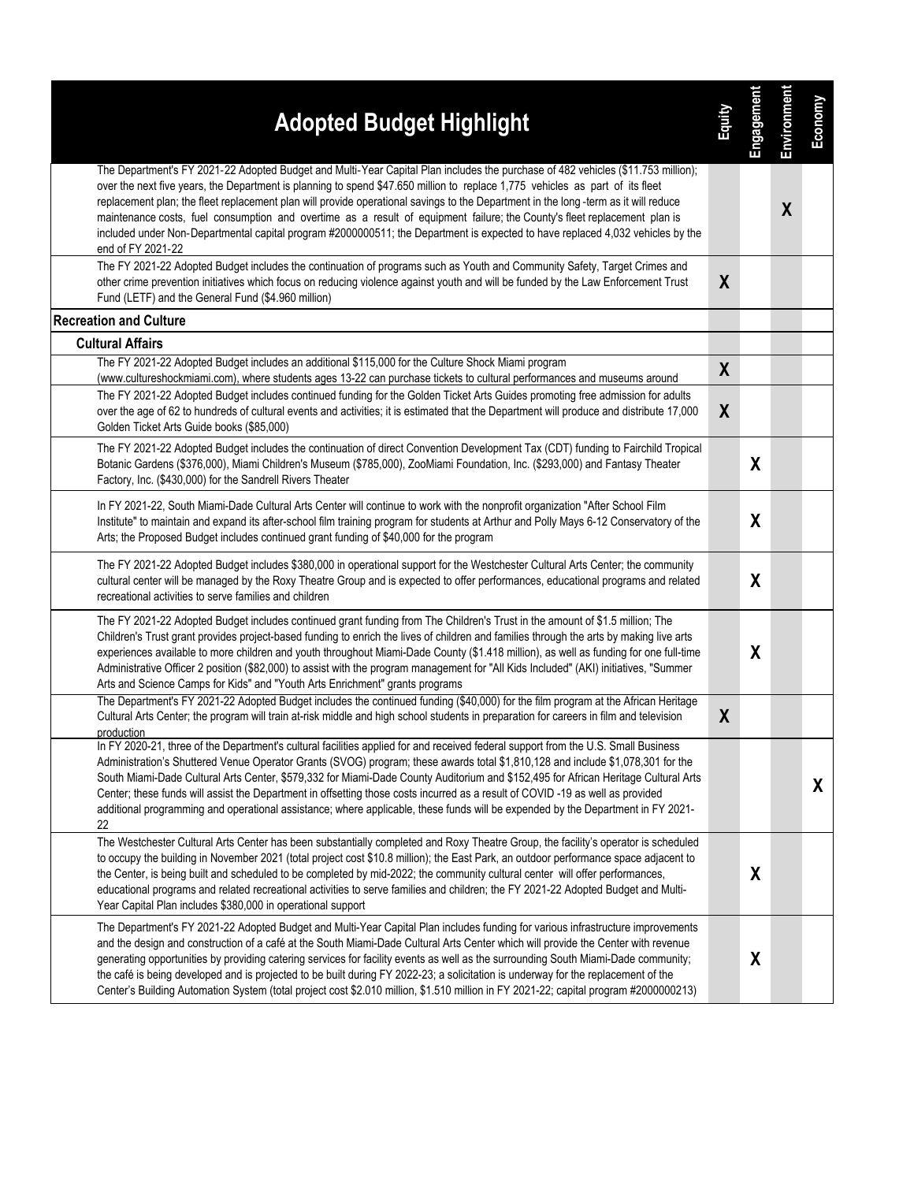| <b>Adopted Budget Highlight</b>                                                                                                                                                                                                                                                                                                                                                                                                                                                                                                                                                                                                                                                             | <b>Equity</b>    | Engagement | Environment      | Economy |
|---------------------------------------------------------------------------------------------------------------------------------------------------------------------------------------------------------------------------------------------------------------------------------------------------------------------------------------------------------------------------------------------------------------------------------------------------------------------------------------------------------------------------------------------------------------------------------------------------------------------------------------------------------------------------------------------|------------------|------------|------------------|---------|
| The Department's FY 2021-22 Adopted Budget and Multi-Year Capital Plan includes the purchase of 482 vehicles (\$11.753 million);<br>over the next five years, the Department is planning to spend \$47.650 million to replace 1,775 vehicles as part of its fleet<br>replacement plan; the fleet replacement plan will provide operational savings to the Department in the long-term as it will reduce<br>maintenance costs, fuel consumption and overtime as a result of equipment failure; the County's fleet replacement plan is<br>included under Non-Departmental capital program #2000000511; the Department is expected to have replaced 4,032 vehicles by the<br>end of FY 2021-22 |                  |            | $\boldsymbol{X}$ |         |
| The FY 2021-22 Adopted Budget includes the continuation of programs such as Youth and Community Safety, Target Crimes and<br>other crime prevention initiatives which focus on reducing violence against youth and will be funded by the Law Enforcement Trust<br>Fund (LETF) and the General Fund (\$4.960 million)                                                                                                                                                                                                                                                                                                                                                                        | $\boldsymbol{X}$ |            |                  |         |
| <b>Recreation and Culture</b>                                                                                                                                                                                                                                                                                                                                                                                                                                                                                                                                                                                                                                                               |                  |            |                  |         |
| <b>Cultural Affairs</b><br>The FY 2021-22 Adopted Budget includes an additional \$115,000 for the Culture Shock Miami program                                                                                                                                                                                                                                                                                                                                                                                                                                                                                                                                                               |                  |            |                  |         |
| (www.cultureshockmiami.com), where students ages 13-22 can purchase tickets to cultural performances and museums around                                                                                                                                                                                                                                                                                                                                                                                                                                                                                                                                                                     | X                |            |                  |         |
| The FY 2021-22 Adopted Budget includes continued funding for the Golden Ticket Arts Guides promoting free admission for adults<br>over the age of 62 to hundreds of cultural events and activities; it is estimated that the Department will produce and distribute 17,000<br>Golden Ticket Arts Guide books (\$85,000)                                                                                                                                                                                                                                                                                                                                                                     | X                |            |                  |         |
| The FY 2021-22 Adopted Budget includes the continuation of direct Convention Development Tax (CDT) funding to Fairchild Tropical<br>Botanic Gardens (\$376,000), Miami Children's Museum (\$785,000), ZooMiami Foundation, Inc. (\$293,000) and Fantasy Theater<br>Factory, Inc. (\$430,000) for the Sandrell Rivers Theater                                                                                                                                                                                                                                                                                                                                                                |                  | X          |                  |         |
| In FY 2021-22, South Miami-Dade Cultural Arts Center will continue to work with the nonprofit organization "After School Film<br>Institute" to maintain and expand its after-school film training program for students at Arthur and Polly Mays 6-12 Conservatory of the<br>Arts; the Proposed Budget includes continued grant funding of \$40,000 for the program                                                                                                                                                                                                                                                                                                                          |                  | X          |                  |         |
| The FY 2021-22 Adopted Budget includes \$380,000 in operational support for the Westchester Cultural Arts Center; the community<br>cultural center will be managed by the Roxy Theatre Group and is expected to offer performances, educational programs and related<br>recreational activities to serve families and children                                                                                                                                                                                                                                                                                                                                                              |                  | X          |                  |         |
| The FY 2021-22 Adopted Budget includes continued grant funding from The Children's Trust in the amount of \$1.5 million; The<br>Children's Trust grant provides project-based funding to enrich the lives of children and families through the arts by making live arts<br>experiences available to more children and youth throughout Miami-Dade County (\$1.418 million), as well as funding for one full-time<br>Administrative Officer 2 position (\$82,000) to assist with the program management for "All Kids Included" (AKI) initiatives, "Summer<br>Arts and Science Camps for Kids" and "Youth Arts Enrichment" grants programs                                                   |                  | X          |                  |         |
| The Department's FY 2021-22 Adopted Budget includes the continued funding (\$40,000) for the film program at the African Heritage<br>Cultural Arts Center; the program will train at-risk middle and high school students in preparation for careers in film and television<br>production                                                                                                                                                                                                                                                                                                                                                                                                   | X                |            |                  |         |
| In FY 2020-21, three of the Department's cultural facilities applied for and received federal support from the U.S. Small Business<br>Administration's Shuttered Venue Operator Grants (SVOG) program; these awards total \$1,810,128 and include \$1,078,301 for the<br>South Miami-Dade Cultural Arts Center, \$579,332 for Miami-Dade County Auditorium and \$152,495 for African Heritage Cultural Arts<br>Center; these funds will assist the Department in offsetting those costs incurred as a result of COVID -19 as well as provided<br>additional programming and operational assistance; where applicable, these funds will be expended by the Department in FY 2021-<br>22      |                  |            |                  | X       |
| The Westchester Cultural Arts Center has been substantially completed and Roxy Theatre Group, the facility's operator is scheduled<br>to occupy the building in November 2021 (total project cost \$10.8 million); the East Park, an outdoor performance space adjacent to<br>the Center, is being built and scheduled to be completed by mid-2022; the community cultural center will offer performances,<br>educational programs and related recreational activities to serve families and children; the FY 2021-22 Adopted Budget and Multi-<br>Year Capital Plan includes \$380,000 in operational support                                                                              |                  | X          |                  |         |
| The Department's FY 2021-22 Adopted Budget and Multi-Year Capital Plan includes funding for various infrastructure improvements<br>and the design and construction of a café at the South Miami-Dade Cultural Arts Center which will provide the Center with revenue<br>generating opportunities by providing catering services for facility events as well as the surrounding South Miami-Dade community;<br>the café is being developed and is projected to be built during FY 2022-23; a solicitation is underway for the replacement of the<br>Center's Building Automation System (total project cost \$2.010 million, \$1.510 million in FY 2021-22; capital program #2000000213)     |                  | X          |                  |         |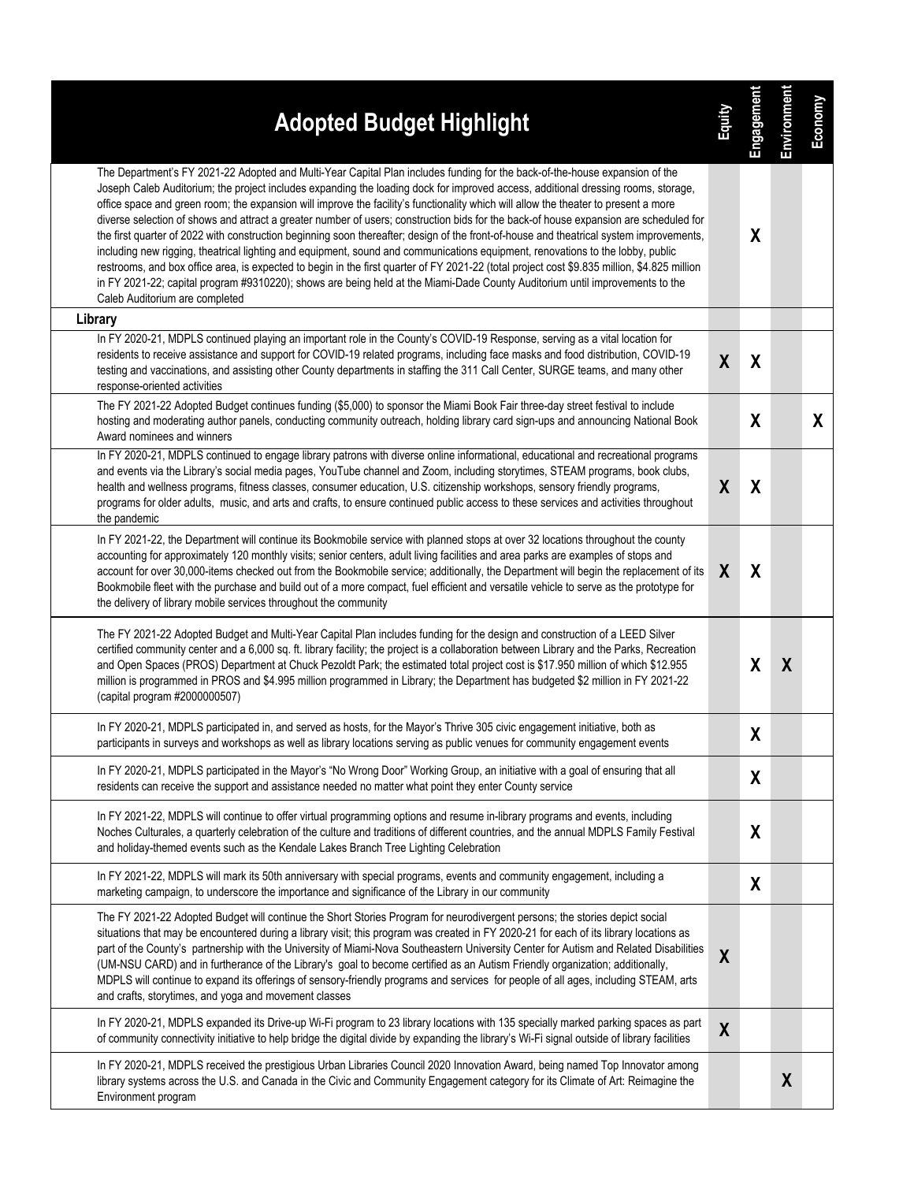| The Department's FY 2021-22 Adopted and Multi-Year Capital Plan includes funding for the back-of-the-house expansion of the<br>Joseph Caleb Auditorium; the project includes expanding the loading dock for improved access, additional dressing rooms, storage,<br>office space and green room; the expansion will improve the facility's functionality which will allow the theater to present a more<br>diverse selection of shows and attract a greater number of users; construction bids for the back-of house expansion are scheduled for<br>X<br>the first quarter of 2022 with construction beginning soon thereafter; design of the front-of-house and theatrical system improvements,<br>including new rigging, theatrical lighting and equipment, sound and communications equipment, renovations to the lobby, public<br>restrooms, and box office area, is expected to begin in the first quarter of FY 2021-22 (total project cost \$9.835 million, \$4.825 million<br>in FY 2021-22; capital program #9310220); shows are being held at the Miami-Dade County Auditorium until improvements to the<br>Caleb Auditorium are completed<br>Library<br>In FY 2020-21, MDPLS continued playing an important role in the County's COVID-19 Response, serving as a vital location for<br>residents to receive assistance and support for COVID-19 related programs, including face masks and food distribution, COVID-19<br>$\boldsymbol{X}$<br>X<br>testing and vaccinations, and assisting other County departments in staffing the 311 Call Center, SURGE teams, and many other<br>response-oriented activities<br>The FY 2021-22 Adopted Budget continues funding (\$5,000) to sponsor the Miami Book Fair three-day street festival to include<br>χ<br>hosting and moderating author panels, conducting community outreach, holding library card sign-ups and announcing National Book<br>Award nominees and winners<br>In FY 2020-21, MDPLS continued to engage library patrons with diverse online informational, educational and recreational programs<br>and events via the Library's social media pages, YouTube channel and Zoom, including storytimes, STEAM programs, book clubs,<br>X<br>X<br>health and wellness programs, fitness classes, consumer education, U.S. citizenship workshops, sensory friendly programs,<br>programs for older adults, music, and arts and crafts, to ensure continued public access to these services and activities throughout<br>the pandemic<br>In FY 2021-22, the Department will continue its Bookmobile service with planned stops at over 32 locations throughout the county<br>accounting for approximately 120 monthly visits; senior centers, adult living facilities and area parks are examples of stops and<br>X<br>X<br>account for over 30,000-items checked out from the Bookmobile service; additionally, the Department will begin the replacement of its<br>Bookmobile fleet with the purchase and build out of a more compact, fuel efficient and versatile vehicle to serve as the prototype for<br>the delivery of library mobile services throughout the community<br>The FY 2021-22 Adopted Budget and Multi-Year Capital Plan includes funding for the design and construction of a LEED Silver<br>certified community center and a 6,000 sq. ft. library facility; the project is a collaboration between Library and the Parks, Recreation<br>X<br>$\boldsymbol{X}$<br>and Open Spaces (PROS) Department at Chuck Pezoldt Park; the estimated total project cost is \$17.950 million of which \$12.955<br>million is programmed in PROS and \$4.995 million programmed in Library; the Department has budgeted \$2 million in FY 2021-22<br>(capital program #2000000507)<br>In FY 2020-21, MDPLS participated in, and served as hosts, for the Mayor's Thrive 305 civic engagement initiative, both as<br>χ<br>participants in surveys and workshops as well as library locations serving as public venues for community engagement events<br>In FY 2020-21, MDPLS participated in the Mayor's "No Wrong Door" Working Group, an initiative with a goal of ensuring that all<br>X<br>residents can receive the support and assistance needed no matter what point they enter County service<br>In FY 2021-22, MDPLS will continue to offer virtual programming options and resume in-library programs and events, including<br>X<br>Noches Culturales, a quarterly celebration of the culture and traditions of different countries, and the annual MDPLS Family Festival<br>and holiday-themed events such as the Kendale Lakes Branch Tree Lighting Celebration<br>In FY 2021-22, MDPLS will mark its 50th anniversary with special programs, events and community engagement, including a<br>X<br>marketing campaign, to underscore the importance and significance of the Library in our community<br>The FY 2021-22 Adopted Budget will continue the Short Stories Program for neurodivergent persons; the stories depict social<br>situations that may be encountered during a library visit; this program was created in FY 2020-21 for each of its library locations as<br>part of the County's partnership with the University of Miami-Nova Southeastern University Center for Autism and Related Disabilities<br>X<br>(UM-NSU CARD) and in furtherance of the Library's goal to become certified as an Autism Friendly organization; additionally,<br>MDPLS will continue to expand its offerings of sensory-friendly programs and services for people of all ages, including STEAM, arts<br>and crafts, storytimes, and yoga and movement classes<br>In FY 2020-21, MDPLS expanded its Drive-up Wi-Fi program to 23 library locations with 135 specially marked parking spaces as part<br>$\boldsymbol{X}$<br>of community connectivity initiative to help bridge the digital divide by expanding the library's Wi-Fi signal outside of library facilities<br>In FY 2020-21, MDPLS received the prestigious Urban Libraries Council 2020 Innovation Award, being named Top Innovator among<br>X<br>library systems across the U.S. and Canada in the Civic and Community Engagement category for its Climate of Art: Reimagine the | <b>Adopted Budget Highlight</b> | Equity | Engagement | Environment | Economy |
|-----------------------------------------------------------------------------------------------------------------------------------------------------------------------------------------------------------------------------------------------------------------------------------------------------------------------------------------------------------------------------------------------------------------------------------------------------------------------------------------------------------------------------------------------------------------------------------------------------------------------------------------------------------------------------------------------------------------------------------------------------------------------------------------------------------------------------------------------------------------------------------------------------------------------------------------------------------------------------------------------------------------------------------------------------------------------------------------------------------------------------------------------------------------------------------------------------------------------------------------------------------------------------------------------------------------------------------------------------------------------------------------------------------------------------------------------------------------------------------------------------------------------------------------------------------------------------------------------------------------------------------------------------------------------------------------------------------------------------------------------------------------------------------------------------------------------------------------------------------------------------------------------------------------------------------------------------------------------------------------------------------------------------------------------------------------------------------------------------------------------------------------------------------------------------------------------------------------------------------------------------------------------------------------------------------------------------------------------------------------------------------------------------------------------------------------------------------------------------------------------------------------------------------------------------------------------------------------------------------------------------------------------------------------------------------------------------------------------------------------------------------------------------------------------------------------------------------------------------------------------------------------------------------------------------------------------------------------------------------------------------------------------------------------------------------------------------------------------------------------------------------------------------------------------------------------------------------------------------------------------------------------------------------------------------------------------------------------------------------------------------------------------------------------------------------------------------------------------------------------------------------------------------------------------------------------------------------------------------------------------------------------------------------------------------------------------------------------------------------------------------------------------------------------------------------------------------------------------------------------------------------------------------------------------------------------------------------------------------------------------------------------------------------------------------------------------------------------------------------------------------------------------------------------------------------------------------------------------------------------------------------------------------------------------------------------------------------------------------------------------------------------------------------------------------------------------------------------------------------------------------------------------------------------------------------------------------------------------------------------------------------------------------------------------------------------------------------------------------------------------------------------------------------------------------------------------------------------------------------------------------------------------------------------------------------------------------------------------------------------------------------------------------------------------------------------------------------------------------------------------------------------------------------------------------------------------------------------------------------------------------------------------------------------------------------------------------------------------------------------------------------------------------------------------------------------------------------------------------------------------------------------------------------------------------------------------------------------------------------------------------------------------------------------------------------------------------------------------------------------------------------------------------------------------------------------------------------------------------------------------------------------------------------------------------------------------------------------------------------------------------------------------------------------------------------------------------------------------------------------------------------------------------------------------------------------------------------------------------------|---------------------------------|--------|------------|-------------|---------|
|                                                                                                                                                                                                                                                                                                                                                                                                                                                                                                                                                                                                                                                                                                                                                                                                                                                                                                                                                                                                                                                                                                                                                                                                                                                                                                                                                                                                                                                                                                                                                                                                                                                                                                                                                                                                                                                                                                                                                                                                                                                                                                                                                                                                                                                                                                                                                                                                                                                                                                                                                                                                                                                                                                                                                                                                                                                                                                                                                                                                                                                                                                                                                                                                                                                                                                                                                                                                                                                                                                                                                                                                                                                                                                                                                                                                                                                                                                                                                                                                                                                                                                                                                                                                                                                                                                                                                                                                                                                                                                                                                                                                                                                                                                                                                                                                                                                                                                                                                                                                                                                                                                                                                                                                                                                                                                                                                                                                                                                                                                                                                                                                                                                                                                                                                                                                                                                                                                                                                                                                                                                                                                                                                                                                                                   |                                 |        |            |             |         |
|                                                                                                                                                                                                                                                                                                                                                                                                                                                                                                                                                                                                                                                                                                                                                                                                                                                                                                                                                                                                                                                                                                                                                                                                                                                                                                                                                                                                                                                                                                                                                                                                                                                                                                                                                                                                                                                                                                                                                                                                                                                                                                                                                                                                                                                                                                                                                                                                                                                                                                                                                                                                                                                                                                                                                                                                                                                                                                                                                                                                                                                                                                                                                                                                                                                                                                                                                                                                                                                                                                                                                                                                                                                                                                                                                                                                                                                                                                                                                                                                                                                                                                                                                                                                                                                                                                                                                                                                                                                                                                                                                                                                                                                                                                                                                                                                                                                                                                                                                                                                                                                                                                                                                                                                                                                                                                                                                                                                                                                                                                                                                                                                                                                                                                                                                                                                                                                                                                                                                                                                                                                                                                                                                                                                                                   |                                 |        |            |             |         |
|                                                                                                                                                                                                                                                                                                                                                                                                                                                                                                                                                                                                                                                                                                                                                                                                                                                                                                                                                                                                                                                                                                                                                                                                                                                                                                                                                                                                                                                                                                                                                                                                                                                                                                                                                                                                                                                                                                                                                                                                                                                                                                                                                                                                                                                                                                                                                                                                                                                                                                                                                                                                                                                                                                                                                                                                                                                                                                                                                                                                                                                                                                                                                                                                                                                                                                                                                                                                                                                                                                                                                                                                                                                                                                                                                                                                                                                                                                                                                                                                                                                                                                                                                                                                                                                                                                                                                                                                                                                                                                                                                                                                                                                                                                                                                                                                                                                                                                                                                                                                                                                                                                                                                                                                                                                                                                                                                                                                                                                                                                                                                                                                                                                                                                                                                                                                                                                                                                                                                                                                                                                                                                                                                                                                                                   |                                 |        |            |             |         |
|                                                                                                                                                                                                                                                                                                                                                                                                                                                                                                                                                                                                                                                                                                                                                                                                                                                                                                                                                                                                                                                                                                                                                                                                                                                                                                                                                                                                                                                                                                                                                                                                                                                                                                                                                                                                                                                                                                                                                                                                                                                                                                                                                                                                                                                                                                                                                                                                                                                                                                                                                                                                                                                                                                                                                                                                                                                                                                                                                                                                                                                                                                                                                                                                                                                                                                                                                                                                                                                                                                                                                                                                                                                                                                                                                                                                                                                                                                                                                                                                                                                                                                                                                                                                                                                                                                                                                                                                                                                                                                                                                                                                                                                                                                                                                                                                                                                                                                                                                                                                                                                                                                                                                                                                                                                                                                                                                                                                                                                                                                                                                                                                                                                                                                                                                                                                                                                                                                                                                                                                                                                                                                                                                                                                                                   |                                 |        |            |             | X       |
|                                                                                                                                                                                                                                                                                                                                                                                                                                                                                                                                                                                                                                                                                                                                                                                                                                                                                                                                                                                                                                                                                                                                                                                                                                                                                                                                                                                                                                                                                                                                                                                                                                                                                                                                                                                                                                                                                                                                                                                                                                                                                                                                                                                                                                                                                                                                                                                                                                                                                                                                                                                                                                                                                                                                                                                                                                                                                                                                                                                                                                                                                                                                                                                                                                                                                                                                                                                                                                                                                                                                                                                                                                                                                                                                                                                                                                                                                                                                                                                                                                                                                                                                                                                                                                                                                                                                                                                                                                                                                                                                                                                                                                                                                                                                                                                                                                                                                                                                                                                                                                                                                                                                                                                                                                                                                                                                                                                                                                                                                                                                                                                                                                                                                                                                                                                                                                                                                                                                                                                                                                                                                                                                                                                                                                   |                                 |        |            |             |         |
|                                                                                                                                                                                                                                                                                                                                                                                                                                                                                                                                                                                                                                                                                                                                                                                                                                                                                                                                                                                                                                                                                                                                                                                                                                                                                                                                                                                                                                                                                                                                                                                                                                                                                                                                                                                                                                                                                                                                                                                                                                                                                                                                                                                                                                                                                                                                                                                                                                                                                                                                                                                                                                                                                                                                                                                                                                                                                                                                                                                                                                                                                                                                                                                                                                                                                                                                                                                                                                                                                                                                                                                                                                                                                                                                                                                                                                                                                                                                                                                                                                                                                                                                                                                                                                                                                                                                                                                                                                                                                                                                                                                                                                                                                                                                                                                                                                                                                                                                                                                                                                                                                                                                                                                                                                                                                                                                                                                                                                                                                                                                                                                                                                                                                                                                                                                                                                                                                                                                                                                                                                                                                                                                                                                                                                   |                                 |        |            |             |         |
|                                                                                                                                                                                                                                                                                                                                                                                                                                                                                                                                                                                                                                                                                                                                                                                                                                                                                                                                                                                                                                                                                                                                                                                                                                                                                                                                                                                                                                                                                                                                                                                                                                                                                                                                                                                                                                                                                                                                                                                                                                                                                                                                                                                                                                                                                                                                                                                                                                                                                                                                                                                                                                                                                                                                                                                                                                                                                                                                                                                                                                                                                                                                                                                                                                                                                                                                                                                                                                                                                                                                                                                                                                                                                                                                                                                                                                                                                                                                                                                                                                                                                                                                                                                                                                                                                                                                                                                                                                                                                                                                                                                                                                                                                                                                                                                                                                                                                                                                                                                                                                                                                                                                                                                                                                                                                                                                                                                                                                                                                                                                                                                                                                                                                                                                                                                                                                                                                                                                                                                                                                                                                                                                                                                                                                   |                                 |        |            |             |         |
|                                                                                                                                                                                                                                                                                                                                                                                                                                                                                                                                                                                                                                                                                                                                                                                                                                                                                                                                                                                                                                                                                                                                                                                                                                                                                                                                                                                                                                                                                                                                                                                                                                                                                                                                                                                                                                                                                                                                                                                                                                                                                                                                                                                                                                                                                                                                                                                                                                                                                                                                                                                                                                                                                                                                                                                                                                                                                                                                                                                                                                                                                                                                                                                                                                                                                                                                                                                                                                                                                                                                                                                                                                                                                                                                                                                                                                                                                                                                                                                                                                                                                                                                                                                                                                                                                                                                                                                                                                                                                                                                                                                                                                                                                                                                                                                                                                                                                                                                                                                                                                                                                                                                                                                                                                                                                                                                                                                                                                                                                                                                                                                                                                                                                                                                                                                                                                                                                                                                                                                                                                                                                                                                                                                                                                   |                                 |        |            |             |         |
|                                                                                                                                                                                                                                                                                                                                                                                                                                                                                                                                                                                                                                                                                                                                                                                                                                                                                                                                                                                                                                                                                                                                                                                                                                                                                                                                                                                                                                                                                                                                                                                                                                                                                                                                                                                                                                                                                                                                                                                                                                                                                                                                                                                                                                                                                                                                                                                                                                                                                                                                                                                                                                                                                                                                                                                                                                                                                                                                                                                                                                                                                                                                                                                                                                                                                                                                                                                                                                                                                                                                                                                                                                                                                                                                                                                                                                                                                                                                                                                                                                                                                                                                                                                                                                                                                                                                                                                                                                                                                                                                                                                                                                                                                                                                                                                                                                                                                                                                                                                                                                                                                                                                                                                                                                                                                                                                                                                                                                                                                                                                                                                                                                                                                                                                                                                                                                                                                                                                                                                                                                                                                                                                                                                                                                   |                                 |        |            |             |         |
|                                                                                                                                                                                                                                                                                                                                                                                                                                                                                                                                                                                                                                                                                                                                                                                                                                                                                                                                                                                                                                                                                                                                                                                                                                                                                                                                                                                                                                                                                                                                                                                                                                                                                                                                                                                                                                                                                                                                                                                                                                                                                                                                                                                                                                                                                                                                                                                                                                                                                                                                                                                                                                                                                                                                                                                                                                                                                                                                                                                                                                                                                                                                                                                                                                                                                                                                                                                                                                                                                                                                                                                                                                                                                                                                                                                                                                                                                                                                                                                                                                                                                                                                                                                                                                                                                                                                                                                                                                                                                                                                                                                                                                                                                                                                                                                                                                                                                                                                                                                                                                                                                                                                                                                                                                                                                                                                                                                                                                                                                                                                                                                                                                                                                                                                                                                                                                                                                                                                                                                                                                                                                                                                                                                                                                   |                                 |        |            |             |         |
|                                                                                                                                                                                                                                                                                                                                                                                                                                                                                                                                                                                                                                                                                                                                                                                                                                                                                                                                                                                                                                                                                                                                                                                                                                                                                                                                                                                                                                                                                                                                                                                                                                                                                                                                                                                                                                                                                                                                                                                                                                                                                                                                                                                                                                                                                                                                                                                                                                                                                                                                                                                                                                                                                                                                                                                                                                                                                                                                                                                                                                                                                                                                                                                                                                                                                                                                                                                                                                                                                                                                                                                                                                                                                                                                                                                                                                                                                                                                                                                                                                                                                                                                                                                                                                                                                                                                                                                                                                                                                                                                                                                                                                                                                                                                                                                                                                                                                                                                                                                                                                                                                                                                                                                                                                                                                                                                                                                                                                                                                                                                                                                                                                                                                                                                                                                                                                                                                                                                                                                                                                                                                                                                                                                                                                   |                                 |        |            |             |         |
|                                                                                                                                                                                                                                                                                                                                                                                                                                                                                                                                                                                                                                                                                                                                                                                                                                                                                                                                                                                                                                                                                                                                                                                                                                                                                                                                                                                                                                                                                                                                                                                                                                                                                                                                                                                                                                                                                                                                                                                                                                                                                                                                                                                                                                                                                                                                                                                                                                                                                                                                                                                                                                                                                                                                                                                                                                                                                                                                                                                                                                                                                                                                                                                                                                                                                                                                                                                                                                                                                                                                                                                                                                                                                                                                                                                                                                                                                                                                                                                                                                                                                                                                                                                                                                                                                                                                                                                                                                                                                                                                                                                                                                                                                                                                                                                                                                                                                                                                                                                                                                                                                                                                                                                                                                                                                                                                                                                                                                                                                                                                                                                                                                                                                                                                                                                                                                                                                                                                                                                                                                                                                                                                                                                                                                   |                                 |        |            |             |         |
|                                                                                                                                                                                                                                                                                                                                                                                                                                                                                                                                                                                                                                                                                                                                                                                                                                                                                                                                                                                                                                                                                                                                                                                                                                                                                                                                                                                                                                                                                                                                                                                                                                                                                                                                                                                                                                                                                                                                                                                                                                                                                                                                                                                                                                                                                                                                                                                                                                                                                                                                                                                                                                                                                                                                                                                                                                                                                                                                                                                                                                                                                                                                                                                                                                                                                                                                                                                                                                                                                                                                                                                                                                                                                                                                                                                                                                                                                                                                                                                                                                                                                                                                                                                                                                                                                                                                                                                                                                                                                                                                                                                                                                                                                                                                                                                                                                                                                                                                                                                                                                                                                                                                                                                                                                                                                                                                                                                                                                                                                                                                                                                                                                                                                                                                                                                                                                                                                                                                                                                                                                                                                                                                                                                                                                   |                                 |        |            |             |         |
|                                                                                                                                                                                                                                                                                                                                                                                                                                                                                                                                                                                                                                                                                                                                                                                                                                                                                                                                                                                                                                                                                                                                                                                                                                                                                                                                                                                                                                                                                                                                                                                                                                                                                                                                                                                                                                                                                                                                                                                                                                                                                                                                                                                                                                                                                                                                                                                                                                                                                                                                                                                                                                                                                                                                                                                                                                                                                                                                                                                                                                                                                                                                                                                                                                                                                                                                                                                                                                                                                                                                                                                                                                                                                                                                                                                                                                                                                                                                                                                                                                                                                                                                                                                                                                                                                                                                                                                                                                                                                                                                                                                                                                                                                                                                                                                                                                                                                                                                                                                                                                                                                                                                                                                                                                                                                                                                                                                                                                                                                                                                                                                                                                                                                                                                                                                                                                                                                                                                                                                                                                                                                                                                                                                                                                   | Environment program             |        |            |             |         |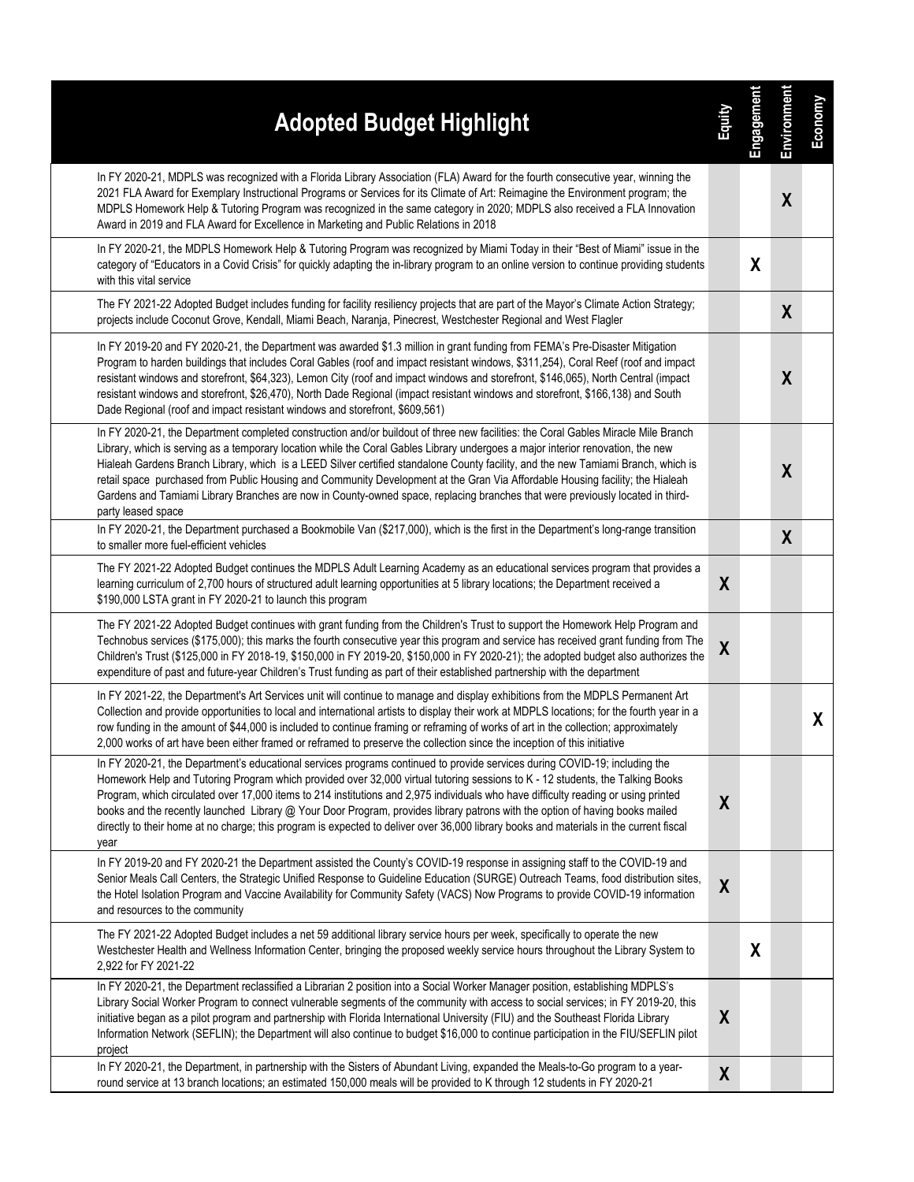| <b>Adopted Budget Highlight</b>                                                                                                                                                                                                                                                                                                                                                                                                                                                                                                                                                                                                                                                                    | Equity           | Engagement | Environment      | Economy |
|----------------------------------------------------------------------------------------------------------------------------------------------------------------------------------------------------------------------------------------------------------------------------------------------------------------------------------------------------------------------------------------------------------------------------------------------------------------------------------------------------------------------------------------------------------------------------------------------------------------------------------------------------------------------------------------------------|------------------|------------|------------------|---------|
| In FY 2020-21, MDPLS was recognized with a Florida Library Association (FLA) Award for the fourth consecutive year, winning the<br>2021 FLA Award for Exemplary Instructional Programs or Services for its Climate of Art: Reimagine the Environment program; the<br>MDPLS Homework Help & Tutoring Program was recognized in the same category in 2020; MDPLS also received a FLA Innovation<br>Award in 2019 and FLA Award for Excellence in Marketing and Public Relations in 2018                                                                                                                                                                                                              |                  |            | $\boldsymbol{X}$ |         |
| In FY 2020-21, the MDPLS Homework Help & Tutoring Program was recognized by Miami Today in their "Best of Miami" issue in the<br>category of "Educators in a Covid Crisis" for quickly adapting the in-library program to an online version to continue providing students<br>with this vital service                                                                                                                                                                                                                                                                                                                                                                                              |                  | X          |                  |         |
| The FY 2021-22 Adopted Budget includes funding for facility resiliency projects that are part of the Mayor's Climate Action Strategy;<br>projects include Coconut Grove, Kendall, Miami Beach, Naranja, Pinecrest, Westchester Regional and West Flagler                                                                                                                                                                                                                                                                                                                                                                                                                                           |                  |            | X                |         |
| In FY 2019-20 and FY 2020-21, the Department was awarded \$1.3 million in grant funding from FEMA's Pre-Disaster Mitigation<br>Program to harden buildings that includes Coral Gables (roof and impact resistant windows, \$311,254), Coral Reef (roof and impact<br>resistant windows and storefront, \$64,323), Lemon City (roof and impact windows and storefront, \$146,065), North Central (impact<br>resistant windows and storefront, \$26,470), North Dade Regional (impact resistant windows and storefront, \$166,138) and South<br>Dade Regional (roof and impact resistant windows and storefront, \$609,561)                                                                          |                  |            | $\boldsymbol{X}$ |         |
| In FY 2020-21, the Department completed construction and/or buildout of three new facilities: the Coral Gables Miracle Mile Branch<br>Library, which is serving as a temporary location while the Coral Gables Library undergoes a major interior renovation, the new<br>Hialeah Gardens Branch Library, which is a LEED Silver certified standalone County facility, and the new Tamiami Branch, which is<br>retail space purchased from Public Housing and Community Development at the Gran Via Affordable Housing facility; the Hialeah<br>Gardens and Tamiami Library Branches are now in County-owned space, replacing branches that were previously located in third-<br>party leased space |                  |            | X                |         |
| In FY 2020-21, the Department purchased a Bookmobile Van (\$217,000), which is the first in the Department's long-range transition<br>to smaller more fuel-efficient vehicles                                                                                                                                                                                                                                                                                                                                                                                                                                                                                                                      |                  |            | $\boldsymbol{X}$ |         |
| The FY 2021-22 Adopted Budget continues the MDPLS Adult Learning Academy as an educational services program that provides a<br>learning curriculum of 2,700 hours of structured adult learning opportunities at 5 library locations; the Department received a<br>\$190,000 LSTA grant in FY 2020-21 to launch this program                                                                                                                                                                                                                                                                                                                                                                        | X                |            |                  |         |
| The FY 2021-22 Adopted Budget continues with grant funding from the Children's Trust to support the Homework Help Program and<br>Technobus services (\$175,000); this marks the fourth consecutive year this program and service has received grant funding from The<br>Children's Trust (\$125,000 in FY 2018-19, \$150,000 in FY 2019-20, \$150,000 in FY 2020-21); the adopted budget also authorizes the<br>expenditure of past and future-year Children's Trust funding as part of their established partnership with the department                                                                                                                                                          | $\boldsymbol{X}$ |            |                  |         |
| In FY 2021-22, the Department's Art Services unit will continue to manage and display exhibitions from the MDPLS Permanent Art<br>Collection and provide opportunities to local and international artists to display their work at MDPLS locations; for the fourth year in a<br>row funding in the amount of \$44,000 is included to continue framing or reframing of works of art in the collection; approximately<br>2,000 works of art have been either framed or reframed to preserve the collection since the inception of this initiative                                                                                                                                                    |                  |            |                  | X       |
| In FY 2020-21, the Department's educational services programs continued to provide services during COVID-19; including the<br>Homework Help and Tutoring Program which provided over 32,000 virtual tutoring sessions to K - 12 students, the Talking Books<br>Program, which circulated over 17,000 items to 214 institutions and 2,975 individuals who have difficulty reading or using printed<br>books and the recently launched Library @ Your Door Program, provides library patrons with the option of having books mailed<br>directly to their home at no charge; this program is expected to deliver over 36,000 library books and materials in the current fiscal<br>year                | X                |            |                  |         |
| In FY 2019-20 and FY 2020-21 the Department assisted the County's COVID-19 response in assigning staff to the COVID-19 and<br>Senior Meals Call Centers, the Strategic Unified Response to Guideline Education (SURGE) Outreach Teams, food distribution sites,<br>the Hotel Isolation Program and Vaccine Availability for Community Safety (VACS) Now Programs to provide COVID-19 information<br>and resources to the community                                                                                                                                                                                                                                                                 | $\boldsymbol{X}$ |            |                  |         |
| The FY 2021-22 Adopted Budget includes a net 59 additional library service hours per week, specifically to operate the new<br>Westchester Health and Wellness Information Center, bringing the proposed weekly service hours throughout the Library System to<br>2,922 for FY 2021-22                                                                                                                                                                                                                                                                                                                                                                                                              |                  | X          |                  |         |
| In FY 2020-21, the Department reclassified a Librarian 2 position into a Social Worker Manager position, establishing MDPLS's<br>Library Social Worker Program to connect vulnerable segments of the community with access to social services; in FY 2019-20, this<br>initiative began as a pilot program and partnership with Florida International University (FIU) and the Southeast Florida Library<br>Information Network (SEFLIN); the Department will also continue to budget \$16,000 to continue participation in the FIU/SEFLIN pilot<br>project                                                                                                                                         | $\boldsymbol{X}$ |            |                  |         |
| In FY 2020-21, the Department, in partnership with the Sisters of Abundant Living, expanded the Meals-to-Go program to a year-<br>round service at 13 branch locations; an estimated 150,000 meals will be provided to K through 12 students in FY 2020-21                                                                                                                                                                                                                                                                                                                                                                                                                                         | X                |            |                  |         |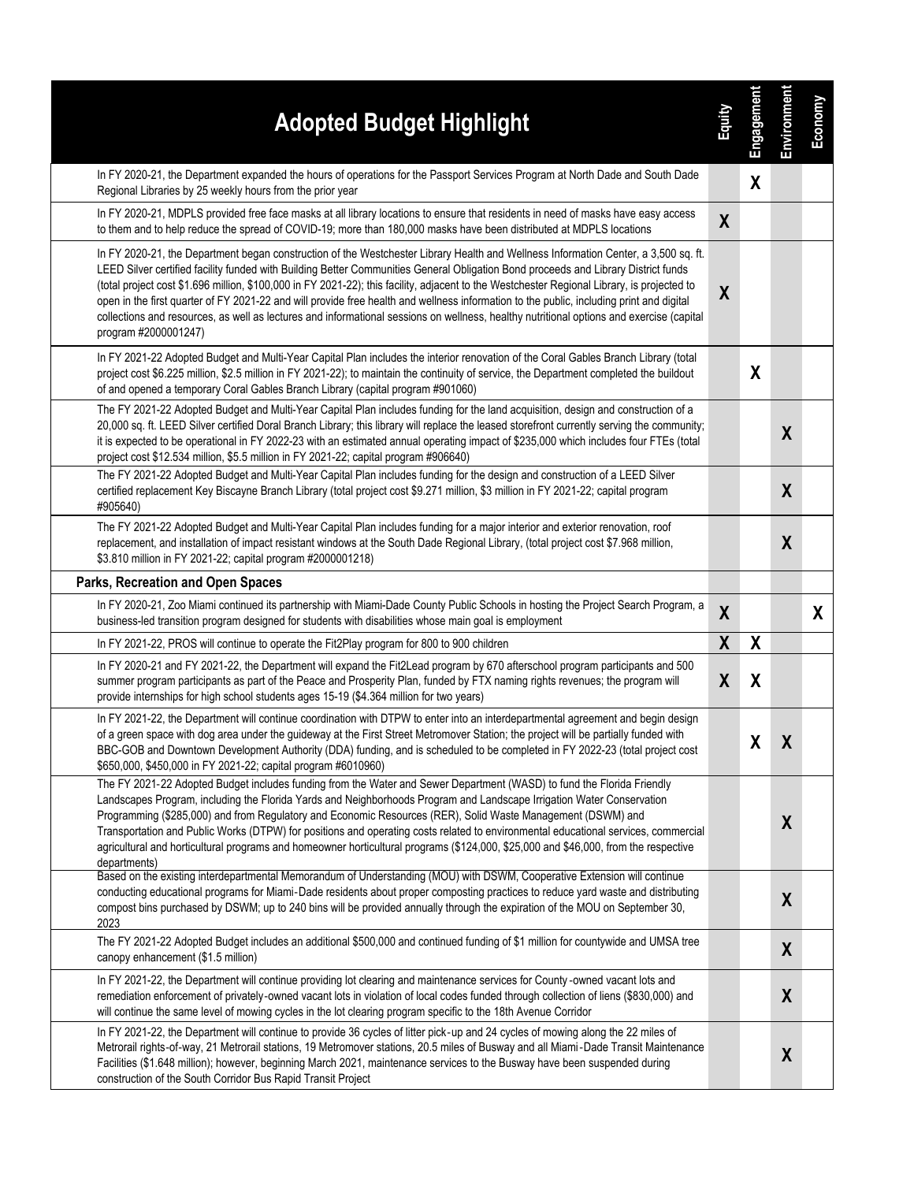| <b>Adopted Budget Highlight</b>                                                                                                                                                                                                                                                                                                                                                                                                                                                                                                                                                                                                                                                                                                          | Equity           | Engagement       | Environment      | Economy |
|------------------------------------------------------------------------------------------------------------------------------------------------------------------------------------------------------------------------------------------------------------------------------------------------------------------------------------------------------------------------------------------------------------------------------------------------------------------------------------------------------------------------------------------------------------------------------------------------------------------------------------------------------------------------------------------------------------------------------------------|------------------|------------------|------------------|---------|
| In FY 2020-21, the Department expanded the hours of operations for the Passport Services Program at North Dade and South Dade<br>Regional Libraries by 25 weekly hours from the prior year                                                                                                                                                                                                                                                                                                                                                                                                                                                                                                                                               |                  | χ                |                  |         |
| In FY 2020-21, MDPLS provided free face masks at all library locations to ensure that residents in need of masks have easy access<br>to them and to help reduce the spread of COVID-19; more than 180,000 masks have been distributed at MDPLS locations                                                                                                                                                                                                                                                                                                                                                                                                                                                                                 | X                |                  |                  |         |
| In FY 2020-21, the Department began construction of the Westchester Library Health and Wellness Information Center, a 3,500 sq. ft.<br>LEED Silver certified facility funded with Building Better Communities General Obligation Bond proceeds and Library District funds<br>(total project cost \$1.696 million, \$100,000 in FY 2021-22); this facility, adjacent to the Westchester Regional Library, is projected to<br>open in the first quarter of FY 2021-22 and will provide free health and wellness information to the public, including print and digital<br>collections and resources, as well as lectures and informational sessions on wellness, healthy nutritional options and exercise (capital<br>program #2000001247) | X                |                  |                  |         |
| In FY 2021-22 Adopted Budget and Multi-Year Capital Plan includes the interior renovation of the Coral Gables Branch Library (total<br>project cost \$6.225 million, \$2.5 million in FY 2021-22); to maintain the continuity of service, the Department completed the buildout<br>of and opened a temporary Coral Gables Branch Library (capital program #901060)                                                                                                                                                                                                                                                                                                                                                                       |                  | X                |                  |         |
| The FY 2021-22 Adopted Budget and Multi-Year Capital Plan includes funding for the land acquisition, design and construction of a<br>20,000 sq. ft. LEED Silver certified Doral Branch Library; this library will replace the leased storefront currently serving the community;<br>it is expected to be operational in FY 2022-23 with an estimated annual operating impact of \$235,000 which includes four FTEs (total<br>project cost \$12.534 million, \$5.5 million in FY 2021-22; capital program #906640)                                                                                                                                                                                                                        |                  |                  | $\boldsymbol{X}$ |         |
| The FY 2021-22 Adopted Budget and Multi-Year Capital Plan includes funding for the design and construction of a LEED Silver<br>certified replacement Key Biscayne Branch Library (total project cost \$9.271 million, \$3 million in FY 2021-22; capital program<br>#905640)                                                                                                                                                                                                                                                                                                                                                                                                                                                             |                  |                  | X                |         |
| The FY 2021-22 Adopted Budget and Multi-Year Capital Plan includes funding for a major interior and exterior renovation, roof<br>replacement, and installation of impact resistant windows at the South Dade Regional Library, (total project cost \$7.968 million,<br>\$3.810 million in FY 2021-22; capital program #2000001218)                                                                                                                                                                                                                                                                                                                                                                                                       |                  |                  | X                |         |
| Parks, Recreation and Open Spaces                                                                                                                                                                                                                                                                                                                                                                                                                                                                                                                                                                                                                                                                                                        |                  |                  |                  |         |
| In FY 2020-21, Zoo Miami continued its partnership with Miami-Dade County Public Schools in hosting the Project Search Program, a<br>business-led transition program designed for students with disabilities whose main goal is employment                                                                                                                                                                                                                                                                                                                                                                                                                                                                                               | $\boldsymbol{X}$ |                  |                  | X       |
| In FY 2021-22, PROS will continue to operate the Fit2Play program for 800 to 900 children                                                                                                                                                                                                                                                                                                                                                                                                                                                                                                                                                                                                                                                | $\boldsymbol{X}$ | $\boldsymbol{X}$ |                  |         |
| In FY 2020-21 and FY 2021-22, the Department will expand the Fit2Lead program by 670 afterschool program participants and 500<br>summer program participants as part of the Peace and Prosperity Plan, funded by FTX naming rights revenues; the program will<br>provide internships for high school students ages 15-19 (\$4.364 million for two years)                                                                                                                                                                                                                                                                                                                                                                                 | $\boldsymbol{X}$ | X                |                  |         |
| In FY 2021-22, the Department will continue coordination with DTPW to enter into an interdepartmental agreement and begin design<br>of a green space with dog area under the guideway at the First Street Metromover Station; the project will be partially funded with<br>BBC-GOB and Downtown Development Authority (DDA) funding, and is scheduled to be completed in FY 2022-23 (total project cost<br>\$650,000, \$450,000 in FY 2021-22; capital program #6010960)                                                                                                                                                                                                                                                                 |                  | χ                | $\boldsymbol{X}$ |         |
| The FY 2021-22 Adopted Budget includes funding from the Water and Sewer Department (WASD) to fund the Florida Friendly<br>Landscapes Program, including the Florida Yards and Neighborhoods Program and Landscape Irrigation Water Conservation<br>Programming (\$285,000) and from Regulatory and Economic Resources (RER), Solid Waste Management (DSWM) and<br>Transportation and Public Works (DTPW) for positions and operating costs related to environmental educational services, commercial<br>agricultural and horticultural programs and homeowner horticultural programs (\$124,000, \$25,000 and \$46,000, from the respective<br>departments)                                                                              |                  |                  | $\boldsymbol{X}$ |         |
| Based on the existing interdepartmental Memorandum of Understanding (MOU) with DSWM, Cooperative Extension will continue<br>conducting educational programs for Miami-Dade residents about proper composting practices to reduce yard waste and distributing<br>compost bins purchased by DSWM; up to 240 bins will be provided annually through the expiration of the MOU on September 30,<br>2023                                                                                                                                                                                                                                                                                                                                      |                  |                  | $\boldsymbol{X}$ |         |
| The FY 2021-22 Adopted Budget includes an additional \$500,000 and continued funding of \$1 million for countywide and UMSA tree<br>canopy enhancement (\$1.5 million)                                                                                                                                                                                                                                                                                                                                                                                                                                                                                                                                                                   |                  |                  | $\boldsymbol{X}$ |         |
| In FY 2021-22, the Department will continue providing lot clearing and maintenance services for County-owned vacant lots and<br>remediation enforcement of privately-owned vacant lots in violation of local codes funded through collection of liens (\$830,000) and<br>will continue the same level of mowing cycles in the lot clearing program specific to the 18th Avenue Corridor                                                                                                                                                                                                                                                                                                                                                  |                  |                  | $\boldsymbol{X}$ |         |
| In FY 2021-22, the Department will continue to provide 36 cycles of litter pick-up and 24 cycles of mowing along the 22 miles of<br>Metrorail rights-of-way, 21 Metrorail stations, 19 Metromover stations, 20.5 miles of Busway and all Miami-Dade Transit Maintenance<br>Facilities (\$1.648 million); however, beginning March 2021, maintenance services to the Busway have been suspended during<br>construction of the South Corridor Bus Rapid Transit Project                                                                                                                                                                                                                                                                    |                  |                  | $\boldsymbol{X}$ |         |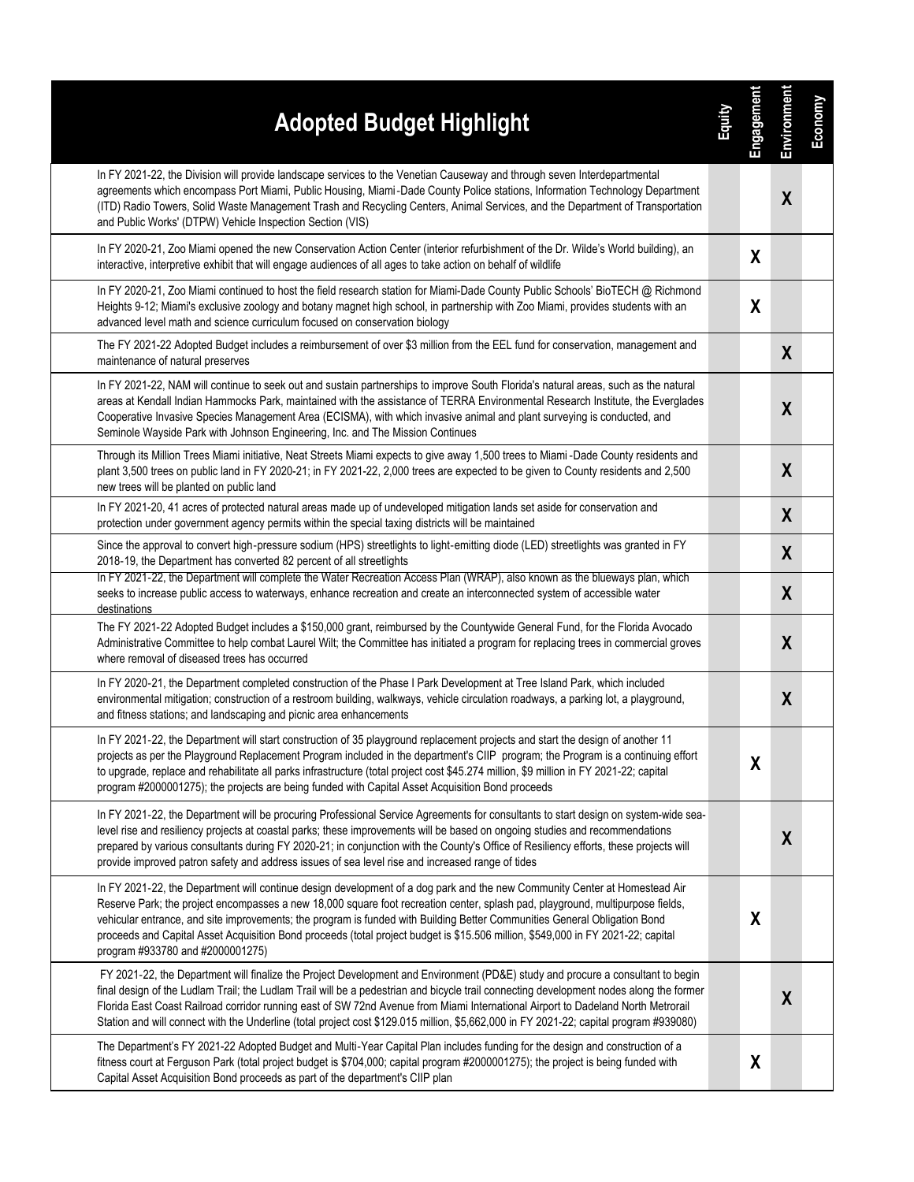| <b>Adopted Budget Highlight</b>                                                                                                                                                                                                                                                                                                                                                                                                                                                                                                                                   | 富田 | Engagement | Environment      | Economy |
|-------------------------------------------------------------------------------------------------------------------------------------------------------------------------------------------------------------------------------------------------------------------------------------------------------------------------------------------------------------------------------------------------------------------------------------------------------------------------------------------------------------------------------------------------------------------|----|------------|------------------|---------|
| In FY 2021-22, the Division will provide landscape services to the Venetian Causeway and through seven Interdepartmental<br>agreements which encompass Port Miami, Public Housing, Miami-Dade County Police stations, Information Technology Department<br>(ITD) Radio Towers, Solid Waste Management Trash and Recycling Centers, Animal Services, and the Department of Transportation<br>and Public Works' (DTPW) Vehicle Inspection Section (VIS)                                                                                                             |    |            | $\boldsymbol{X}$ |         |
| In FY 2020-21, Zoo Miami opened the new Conservation Action Center (interior refurbishment of the Dr. Wilde's World building), an<br>interactive, interpretive exhibit that will engage audiences of all ages to take action on behalf of wildlife                                                                                                                                                                                                                                                                                                                |    | X          |                  |         |
| In FY 2020-21, Zoo Miami continued to host the field research station for Miami-Dade County Public Schools' BioTECH @ Richmond<br>Heights 9-12; Miami's exclusive zoology and botany magnet high school, in partnership with Zoo Miami, provides students with an<br>advanced level math and science curriculum focused on conservation biology                                                                                                                                                                                                                   |    | X          |                  |         |
| The FY 2021-22 Adopted Budget includes a reimbursement of over \$3 million from the EEL fund for conservation, management and<br>maintenance of natural preserves                                                                                                                                                                                                                                                                                                                                                                                                 |    |            | $\boldsymbol{X}$ |         |
| In FY 2021-22, NAM will continue to seek out and sustain partnerships to improve South Florida's natural areas, such as the natural<br>areas at Kendall Indian Hammocks Park, maintained with the assistance of TERRA Environmental Research Institute, the Everglades<br>Cooperative Invasive Species Management Area (ECISMA), with which invasive animal and plant surveying is conducted, and<br>Seminole Wayside Park with Johnson Engineering, Inc. and The Mission Continues                                                                               |    |            | X                |         |
| Through its Million Trees Miami initiative, Neat Streets Miami expects to give away 1,500 trees to Miami -Dade County residents and<br>plant 3,500 trees on public land in FY 2020-21; in FY 2021-22, 2,000 trees are expected to be given to County residents and 2,500<br>new trees will be planted on public land                                                                                                                                                                                                                                              |    |            | X                |         |
| In FY 2021-20, 41 acres of protected natural areas made up of undeveloped mitigation lands set aside for conservation and<br>protection under government agency permits within the special taxing districts will be maintained                                                                                                                                                                                                                                                                                                                                    |    |            | X                |         |
| Since the approval to convert high-pressure sodium (HPS) streetlights to light-emitting diode (LED) streetlights was granted in FY<br>2018-19, the Department has converted 82 percent of all streetlights                                                                                                                                                                                                                                                                                                                                                        |    |            | X                |         |
| In FY 2021-22, the Department will complete the Water Recreation Access Plan (WRAP), also known as the blueways plan, which<br>seeks to increase public access to waterways, enhance recreation and create an interconnected system of accessible water<br>destinations                                                                                                                                                                                                                                                                                           |    |            | $\boldsymbol{X}$ |         |
| The FY 2021-22 Adopted Budget includes a \$150,000 grant, reimbursed by the Countywide General Fund, for the Florida Avocado<br>Administrative Committee to help combat Laurel Wilt; the Committee has initiated a program for replacing trees in commercial groves<br>where removal of diseased trees has occurred                                                                                                                                                                                                                                               |    |            | $\boldsymbol{X}$ |         |
| In FY 2020-21, the Department completed construction of the Phase I Park Development at Tree Island Park, which included<br>environmental mitigation; construction of a restroom building, walkways, vehicle circulation roadways, a parking lot, a playground,<br>and fitness stations; and landscaping and picnic area enhancements                                                                                                                                                                                                                             |    |            | $\boldsymbol{X}$ |         |
| In FY 2021-22, the Department will start construction of 35 playground replacement projects and start the design of another 11<br>projects as per the Playground Replacement Program included in the department's CIIP program; the Program is a continuing effort<br>to upgrade, replace and rehabilitate all parks infrastructure (total project cost \$45.274 million, \$9 million in FY 2021-22; capital<br>program #2000001275); the projects are being funded with Capital Asset Acquisition Bond proceeds                                                  |    | X          |                  |         |
| In FY 2021-22, the Department will be procuring Professional Service Agreements for consultants to start design on system-wide sea-<br>level rise and resiliency projects at coastal parks; these improvements will be based on ongoing studies and recommendations<br>prepared by various consultants during FY 2020-21; in conjunction with the County's Office of Resiliency efforts, these projects will<br>provide improved patron safety and address issues of sea level rise and increased range of tides                                                  |    |            | $\boldsymbol{X}$ |         |
| In FY 2021-22, the Department will continue design development of a dog park and the new Community Center at Homestead Air<br>Reserve Park; the project encompasses a new 18,000 square foot recreation center, splash pad, playground, multipurpose fields,<br>vehicular entrance, and site improvements; the program is funded with Building Better Communities General Obligation Bond<br>proceeds and Capital Asset Acquisition Bond proceeds (total project budget is \$15.506 million, \$549,000 in FY 2021-22; capital<br>program #933780 and #2000001275) |    | X          |                  |         |
| FY 2021-22, the Department will finalize the Project Development and Environment (PD&E) study and procure a consultant to begin<br>final design of the Ludlam Trail; the Ludlam Trail will be a pedestrian and bicycle trail connecting development nodes along the former<br>Florida East Coast Railroad corridor running east of SW 72nd Avenue from Miami International Airport to Dadeland North Metrorail<br>Station and will connect with the Underline (total project cost \$129.015 million, \$5,662,000 in FY 2021-22; capital program #939080)          |    |            | $\boldsymbol{X}$ |         |
| The Department's FY 2021-22 Adopted Budget and Multi-Year Capital Plan includes funding for the design and construction of a<br>fitness court at Ferguson Park (total project budget is \$704,000; capital program #2000001275); the project is being funded with<br>Capital Asset Acquisition Bond proceeds as part of the department's CIIP plan                                                                                                                                                                                                                |    | X          |                  |         |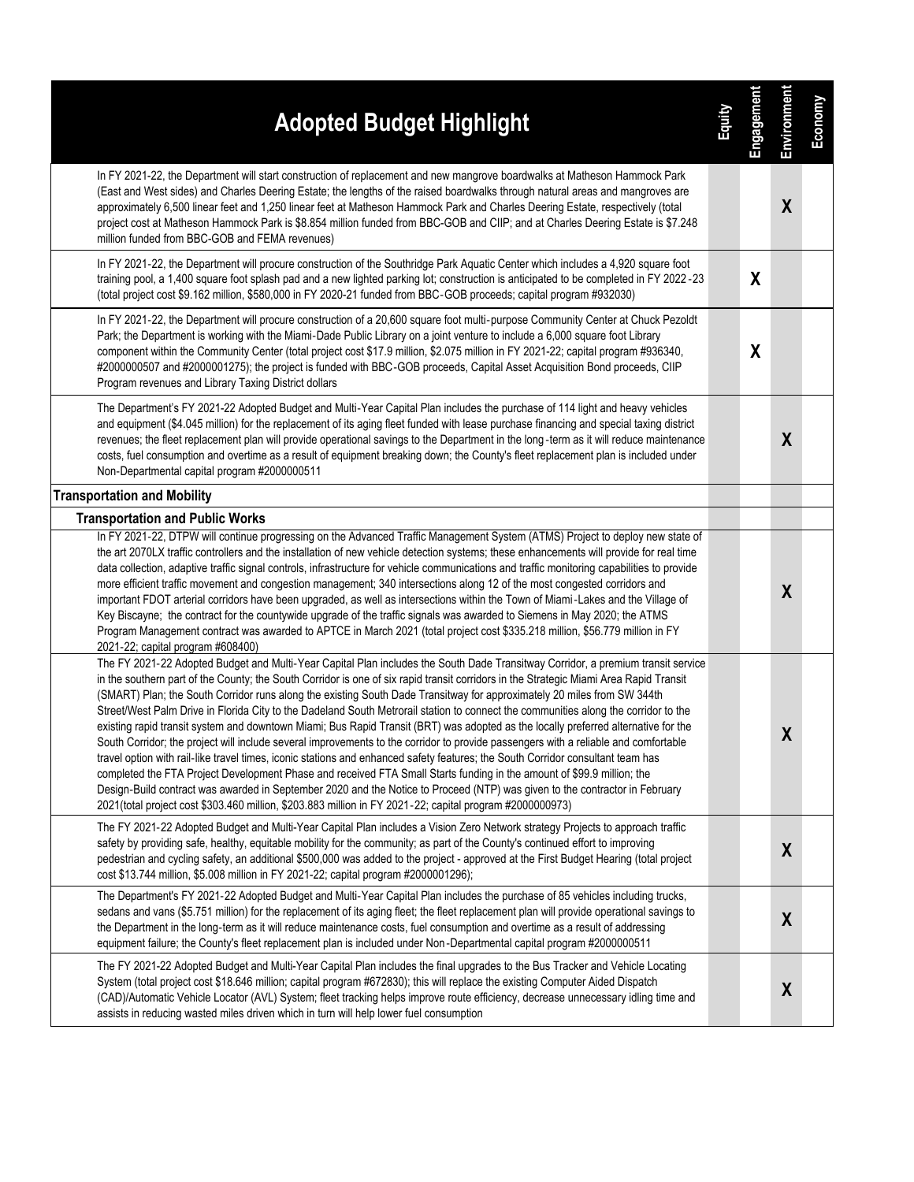| <b>Adopted Budget Highlight</b>                                                                                                                                                                                                                                                                                                                                                                                                                                                                                                                                                                                                                                                                                                                                                                                                                                                                                                                                                                                                                                                                                                                                                                                                                                                                                                   | <b>Ramic</b> | Engagement       | Environment      | Economy |
|-----------------------------------------------------------------------------------------------------------------------------------------------------------------------------------------------------------------------------------------------------------------------------------------------------------------------------------------------------------------------------------------------------------------------------------------------------------------------------------------------------------------------------------------------------------------------------------------------------------------------------------------------------------------------------------------------------------------------------------------------------------------------------------------------------------------------------------------------------------------------------------------------------------------------------------------------------------------------------------------------------------------------------------------------------------------------------------------------------------------------------------------------------------------------------------------------------------------------------------------------------------------------------------------------------------------------------------|--------------|------------------|------------------|---------|
| In FY 2021-22, the Department will start construction of replacement and new mangrove boardwalks at Matheson Hammock Park<br>(East and West sides) and Charles Deering Estate; the lengths of the raised boardwalks through natural areas and mangroves are<br>approximately 6,500 linear feet and 1,250 linear feet at Matheson Hammock Park and Charles Deering Estate, respectively (total<br>project cost at Matheson Hammock Park is \$8.854 million funded from BBC-GOB and CIIP; and at Charles Deering Estate is \$7.248<br>million funded from BBC-GOB and FEMA revenues)                                                                                                                                                                                                                                                                                                                                                                                                                                                                                                                                                                                                                                                                                                                                                |              |                  | $\boldsymbol{X}$ |         |
| In FY 2021-22, the Department will procure construction of the Southridge Park Aquatic Center which includes a 4,920 square foot<br>training pool, a 1,400 square foot splash pad and a new lighted parking lot; construction is anticipated to be completed in FY 2022 -23<br>(total project cost \$9.162 million, \$580,000 in FY 2020-21 funded from BBC-GOB proceeds; capital program #932030)                                                                                                                                                                                                                                                                                                                                                                                                                                                                                                                                                                                                                                                                                                                                                                                                                                                                                                                                |              | X                |                  |         |
| In FY 2021-22, the Department will procure construction of a 20,600 square foot multi-purpose Community Center at Chuck Pezoldt<br>Park; the Department is working with the Miami-Dade Public Library on a joint venture to include a 6,000 square foot Library<br>component within the Community Center (total project cost \$17.9 million, \$2.075 million in FY 2021-22; capital program #936340,<br>#2000000507 and #2000001275); the project is funded with BBC-GOB proceeds, Capital Asset Acquisition Bond proceeds, CIIP<br>Program revenues and Library Taxing District dollars                                                                                                                                                                                                                                                                                                                                                                                                                                                                                                                                                                                                                                                                                                                                          |              | $\boldsymbol{X}$ |                  |         |
| The Department's FY 2021-22 Adopted Budget and Multi-Year Capital Plan includes the purchase of 114 light and heavy vehicles<br>and equipment (\$4.045 million) for the replacement of its aging fleet funded with lease purchase financing and special taxing district<br>revenues; the fleet replacement plan will provide operational savings to the Department in the long -term as it will reduce maintenance<br>costs, fuel consumption and overtime as a result of equipment breaking down; the County's fleet replacement plan is included under<br>Non-Departmental capital program #2000000511                                                                                                                                                                                                                                                                                                                                                                                                                                                                                                                                                                                                                                                                                                                          |              |                  | $\boldsymbol{X}$ |         |
| <b>Transportation and Mobility</b>                                                                                                                                                                                                                                                                                                                                                                                                                                                                                                                                                                                                                                                                                                                                                                                                                                                                                                                                                                                                                                                                                                                                                                                                                                                                                                |              |                  |                  |         |
| <b>Transportation and Public Works</b>                                                                                                                                                                                                                                                                                                                                                                                                                                                                                                                                                                                                                                                                                                                                                                                                                                                                                                                                                                                                                                                                                                                                                                                                                                                                                            |              |                  |                  |         |
| In FY 2021-22, DTPW will continue progressing on the Advanced Traffic Management System (ATMS) Project to deploy new state of<br>the art 2070LX traffic controllers and the installation of new vehicle detection systems; these enhancements will provide for real time<br>data collection, adaptive traffic signal controls, infrastructure for vehicle communications and traffic monitoring capabilities to provide<br>more efficient traffic movement and congestion management; 340 intersections along 12 of the most congested corridors and<br>important FDOT arterial corridors have been upgraded, as well as intersections within the Town of Miami-Lakes and the Village of<br>Key Biscayne; the contract for the countywide upgrade of the traffic signals was awarded to Siemens in May 2020; the ATMS<br>Program Management contract was awarded to APTCE in March 2021 (total project cost \$335.218 million, \$56.779 million in FY<br>2021-22; capital program #608400)                                                                                                                                                                                                                                                                                                                                        |              |                  | $\boldsymbol{X}$ |         |
| The FY 2021-22 Adopted Budget and Multi-Year Capital Plan includes the South Dade Transitway Corridor, a premium transit service<br>in the southern part of the County; the South Corridor is one of six rapid transit corridors in the Strategic Miami Area Rapid Transit<br>(SMART) Plan; the South Corridor runs along the existing South Dade Transitway for approximately 20 miles from SW 344th<br>Street/West Palm Drive in Florida City to the Dadeland South Metrorail station to connect the communities along the corridor to the<br>existing rapid transit system and downtown Miami; Bus Rapid Transit (BRT) was adopted as the locally preferred alternative for the<br>South Corridor; the project will include several improvements to the corridor to provide passengers with a reliable and comfortable<br>travel option with rail-like travel times, iconic stations and enhanced safety features; the South Corridor consultant team has<br>completed the FTA Project Development Phase and received FTA Small Starts funding in the amount of \$99.9 million; the<br>Design-Build contract was awarded in September 2020 and the Notice to Proceed (NTP) was given to the contractor in February<br>2021(total project cost \$303.460 million, \$203.883 million in FY 2021-22; capital program #2000000973) |              |                  | $\boldsymbol{X}$ |         |
| The FY 2021-22 Adopted Budget and Multi-Year Capital Plan includes a Vision Zero Network strategy Projects to approach traffic<br>safety by providing safe, healthy, equitable mobility for the community; as part of the County's continued effort to improving<br>pedestrian and cycling safety, an additional \$500,000 was added to the project - approved at the First Budget Hearing (total project<br>cost \$13.744 million, \$5.008 million in FY 2021-22; capital program #2000001296);                                                                                                                                                                                                                                                                                                                                                                                                                                                                                                                                                                                                                                                                                                                                                                                                                                  |              |                  | $\boldsymbol{X}$ |         |
| The Department's FY 2021-22 Adopted Budget and Multi-Year Capital Plan includes the purchase of 85 vehicles including trucks,<br>sedans and vans (\$5.751 million) for the replacement of its aging fleet; the fleet replacement plan will provide operational savings to<br>the Department in the long-term as it will reduce maintenance costs, fuel consumption and overtime as a result of addressing<br>equipment failure; the County's fleet replacement plan is included under Non-Departmental capital program #2000000511                                                                                                                                                                                                                                                                                                                                                                                                                                                                                                                                                                                                                                                                                                                                                                                                |              |                  | $\boldsymbol{X}$ |         |
| The FY 2021-22 Adopted Budget and Multi-Year Capital Plan includes the final upgrades to the Bus Tracker and Vehicle Locating<br>System (total project cost \$18.646 million; capital program #672830); this will replace the existing Computer Aided Dispatch<br>(CAD)/Automatic Vehicle Locator (AVL) System; fleet tracking helps improve route efficiency, decrease unnecessary idling time and<br>assists in reducing wasted miles driven which in turn will help lower fuel consumption                                                                                                                                                                                                                                                                                                                                                                                                                                                                                                                                                                                                                                                                                                                                                                                                                                     |              |                  | X                |         |